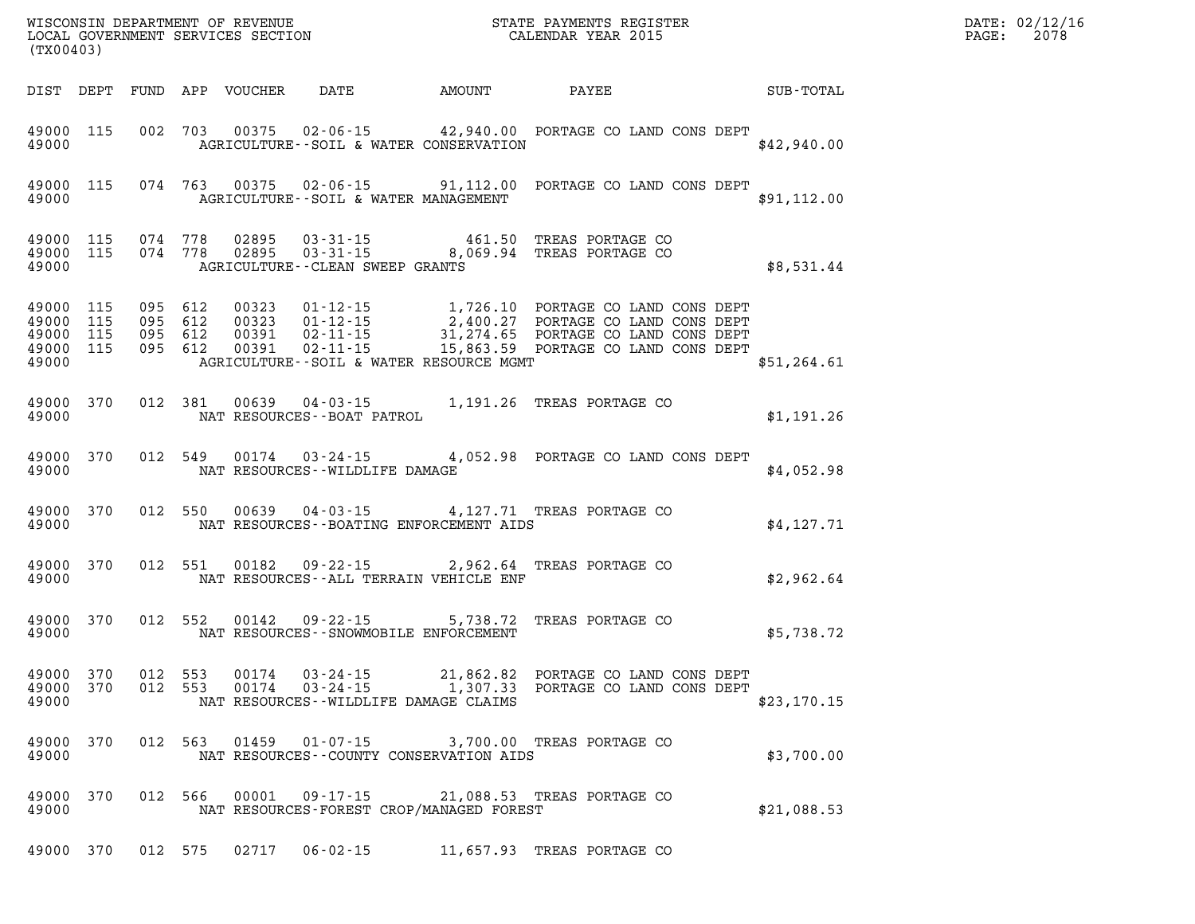| (TX00403)                                                 |     |                    |                    |                  |                                                                            |                                                                                                                                                                                                                                | $\mathbb{E} \mathbf{R}$ | $\mathtt{PAGE}$ : | DATE: 02/12/16<br>2078 |
|-----------------------------------------------------------|-----|--------------------|--------------------|------------------|----------------------------------------------------------------------------|--------------------------------------------------------------------------------------------------------------------------------------------------------------------------------------------------------------------------------|-------------------------|-------------------|------------------------|
| DIST DEPT                                                 |     |                    |                    | FUND APP VOUCHER | DATE AMOUNT                                                                | PAYEE                                                                                                                                                                                                                          | SUB-TOTAL               |                   |                        |
| 49000 115<br>49000                                        |     |                    |                    |                  | AGRICULTURE -- SOIL & WATER CONSERVATION                                   | 002 703 00375 02-06-15 42,940.00 PORTAGE CO LAND CONS DEPT                                                                                                                                                                     | \$42,940.00             |                   |                        |
| 49000 115<br>49000                                        |     |                    |                    |                  | AGRICULTURE--SOIL & WATER MANAGEMENT                                       | 074 763 00375 02-06-15 91,112.00 PORTAGE CO LAND CONS DEPT                                                                                                                                                                     | \$91,112.00             |                   |                        |
| 49000 115<br>49000 115<br>49000                           |     |                    |                    |                  | AGRICULTURE - - CLEAN SWEEP GRANTS                                         | $074$ $778$ $02895$ $03-31-15$ $461.50$ TREAS PORTAGE CO<br>$074$ $778$ $02895$ $03-31-15$ $8,069.94$ TREAS PORTAGE CO                                                                                                         | \$8,531.44              |                   |                        |
| 49000 115<br>49000 115<br>49000 115<br>49000 115<br>49000 |     | 095 612<br>095 612 | 095 612<br>095 612 |                  | AGRICULTURE--SOIL & WATER RESOURCE MGMT                                    | 00323  01-12-15  1,726.10  PORTAGE CO LAND CONS DEPT<br>00323  01-12-15  2,400.27  PORTAGE CO LAND CONS DEPT<br>00391  02-11-15  31,274.65  PORTAGE CO LAND CONS DEPT<br>00391  02-11-15  15,863.59  PORTAGE CO LAND CONS DEPT | \$51,264.61             |                   |                        |
| 49000 370<br>49000                                        |     |                    | 012 381            |                  | NAT RESOURCES--BOAT PATROL                                                 | 00639  04-03-15  1,191.26  TREAS PORTAGE CO                                                                                                                                                                                    | \$1,191.26              |                   |                        |
| 49000 370<br>49000                                        |     |                    | 012 549            |                  | NAT RESOURCES - - WILDLIFE DAMAGE                                          | 00174  03-24-15  4,052.98  PORTAGE CO LAND CONS DEPT                                                                                                                                                                           | \$4,052.98              |                   |                        |
| 49000 370<br>49000                                        |     |                    |                    |                  |                                                                            | 012 550 00639 04-03-15 4,127.71 TREAS PORTAGE CO<br>NAT RESOURCES--BOATING ENFORCEMENT AIDS                                                                                                                                    | \$4,127.71              |                   |                        |
| 49000 370<br>49000                                        |     |                    | 012 551            |                  | NAT RESOURCES--ALL TERRAIN VEHICLE ENF                                     | 00182  09-22-15  2,962.64  TREAS PORTAGE CO                                                                                                                                                                                    | \$2,962.64              |                   |                        |
| 49000 370<br>49000                                        |     |                    | 012 552            |                  | 00142 09-22-15<br>NAT RESOURCES - - SNOWMOBILE ENFORCEMENT                 | 5,738.72 TREAS PORTAGE CO                                                                                                                                                                                                      | \$5,738.72              |                   |                        |
| 49000 370<br>49000 370<br>49000                           |     | 012 553<br>012 553 |                    | 00174<br>00174   | $03 - 24 - 15$<br>$03 - 24 - 15$<br>NAT RESOURCES - WILDLIFE DAMAGE CLAIMS | 21,862.82 PORTAGE CO LAND CONS DEPT<br>1,307.33 PORTAGE CO LAND CONS DEPT                                                                                                                                                      | \$23,170.15             |                   |                        |
| 49000<br>49000                                            | 370 | 012 563            |                    | 01459            | $01 - 07 - 15$<br>NAT RESOURCES - COUNTY CONSERVATION AIDS                 | 3,700.00 TREAS PORTAGE CO                                                                                                                                                                                                      | \$3,700.00              |                   |                        |
| 49000<br>49000                                            | 370 | 012                | 566                | 00001            | $09 - 17 - 15$<br>NAT RESOURCES-FOREST CROP/MANAGED FOREST                 | 21,088.53 TREAS PORTAGE CO                                                                                                                                                                                                     | \$21,088.53             |                   |                        |
| 49000 370                                                 |     | 012 575            |                    | 02717            | $06 - 02 - 15$                                                             | 11,657.93 TREAS PORTAGE CO                                                                                                                                                                                                     |                         |                   |                        |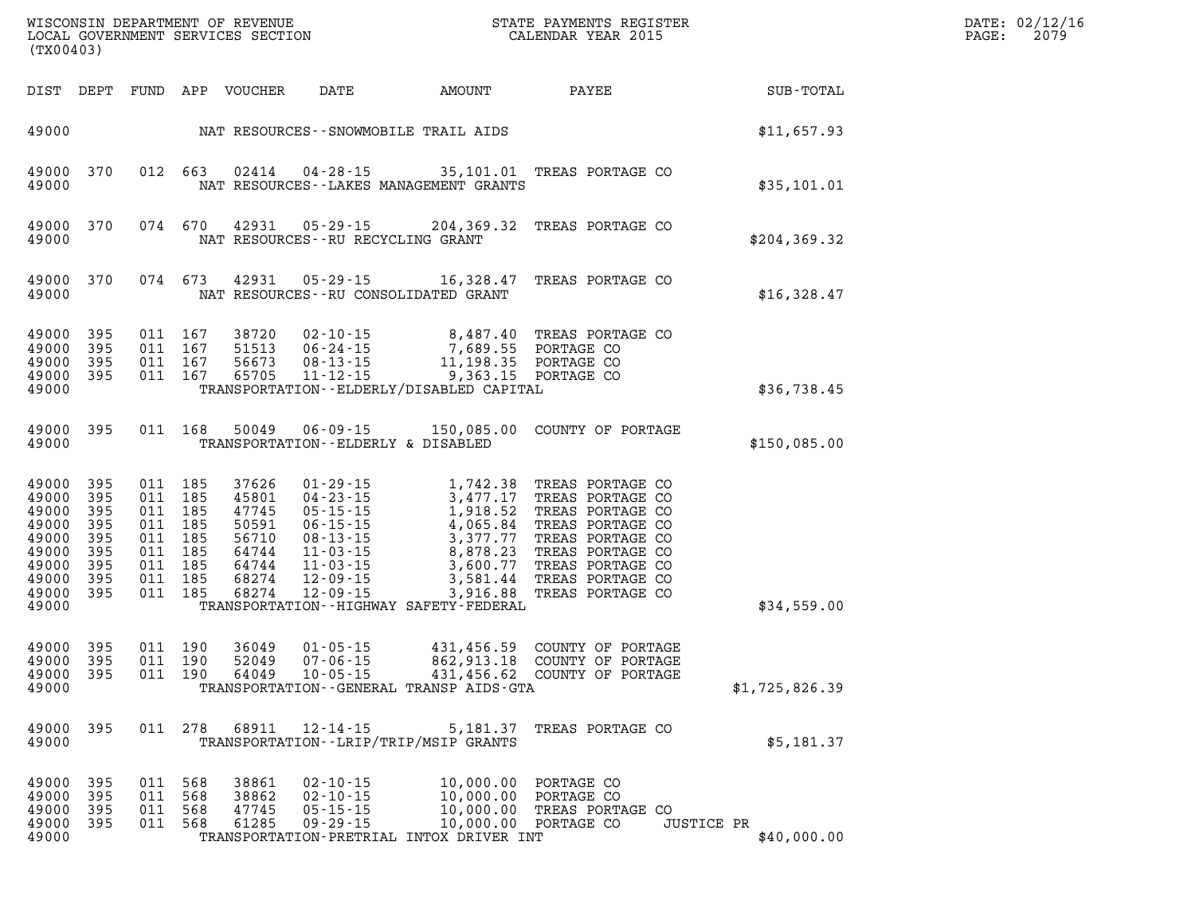| (TX00403)                                                                                  |                                                          |                                                                                 |                          | WISCONSIN DEPARTMENT OF REVENUE<br>LOCAL GOVERNMENT SERVICES SECTION          |                                                                      |                                                                                                                                                                                                                                                                   | STATE PAYMENTS REGISTER<br>CALENDAR YEAR 2015                                                                                                                                             |                                  | DATE: 02/12/16<br>PAGE:<br>2079 |
|--------------------------------------------------------------------------------------------|----------------------------------------------------------|---------------------------------------------------------------------------------|--------------------------|-------------------------------------------------------------------------------|----------------------------------------------------------------------|-------------------------------------------------------------------------------------------------------------------------------------------------------------------------------------------------------------------------------------------------------------------|-------------------------------------------------------------------------------------------------------------------------------------------------------------------------------------------|----------------------------------|---------------------------------|
|                                                                                            |                                                          |                                                                                 |                          | DIST DEPT FUND APP VOUCHER                                                    | DATE                                                                 | AMOUNT                                                                                                                                                                                                                                                            | PAYEE                                                                                                                                                                                     | SUB-TOTAL                        |                                 |
| 49000                                                                                      |                                                          |                                                                                 |                          |                                                                               |                                                                      | NAT RESOURCES--SNOWMOBILE TRAIL AIDS                                                                                                                                                                                                                              |                                                                                                                                                                                           | \$11,657.93                      |                                 |
| 49000<br>49000                                                                             | 370                                                      | 012 663                                                                         |                          |                                                                               |                                                                      | NAT RESOURCES - - LAKES MANAGEMENT GRANTS                                                                                                                                                                                                                         | 02414  04-28-15  35,101.01  TREAS PORTAGE CO                                                                                                                                              | \$35,101.01                      |                                 |
| 49000<br>49000                                                                             | 370                                                      | 074 670                                                                         |                          | 42931                                                                         | NAT RESOURCES - - RU RECYCLING GRANT                                 |                                                                                                                                                                                                                                                                   | 05-29-15 204,369.32 TREAS PORTAGE CO                                                                                                                                                      | \$204, 369.32                    |                                 |
| 49000 370<br>49000                                                                         |                                                          | 074 673                                                                         |                          | 42931                                                                         | 05-29-15                                                             | 16,328.47<br>NAT RESOURCES -- RU CONSOLIDATED GRANT                                                                                                                                                                                                               | TREAS PORTAGE CO                                                                                                                                                                          | \$16,328.47                      |                                 |
| 49000<br>49000<br>49000<br>49000 395<br>49000                                              | 395<br>- 395<br>395                                      | 011 167<br>011 167<br>011 167<br>011 167                                        |                          | 38720<br>56673<br>65705                                                       | 08-13-15<br>11-12-15                                                 | 02-10-15  8,487.40 TREAS PORTA<br>06-24-15  7,689.55 PORTAGE CO<br>9,363.15 PORTAGE CO<br>TRANSPORTATION - - ELDERLY/DISABLED CAPITAL                                                                                                                             | TREAS PORTAGE CO<br>11,198.35 PORTAGE CO                                                                                                                                                  | \$36,738.45                      |                                 |
| 49000 395<br>49000                                                                         |                                                          |                                                                                 | 011 168                  | 50049                                                                         | TRANSPORTATION--ELDERLY & DISABLED                                   |                                                                                                                                                                                                                                                                   | 06-09-15 150,085.00 COUNTY OF PORTAGE                                                                                                                                                     | \$150,085.00                     |                                 |
| 49000<br>49000<br>49000<br>49000<br>49000<br>49000<br>49000<br>49000<br>49000 395<br>49000 | 395<br>395<br>- 395<br>395<br>395<br>395<br>- 395<br>395 | 011 185<br>011<br>011 185<br>011<br>011 185<br>011 185<br>011 185<br>011<br>011 | 185<br>185<br>185<br>185 | 37626<br>45801<br>47745<br>50591<br>56710<br>64744<br>64744<br>68274<br>68274 | 01-29-15<br>04-23-15                                                 | $3,477.17$<br>$1,918.52$<br>04 - 23 - 15<br>05 - 15 - 15<br>06 - 15 - 15<br>06 - 15 - 15<br>1, 918 . 5<br>4, 065 . 84<br>08 - 13 - 15<br>3, 377 . 77<br>11 - 03 - 15<br>12 - 09 - 15<br>3, 581 . 44<br>3, 916 . 88<br>TRANSPORTATION - - HIGHWAY SAFETY - FEDERAL | 1,742.38 TREAS PORTAGE CO<br>TREAS PORTAGE CO<br>TREAS PORTAGE CO<br>TREAS PORTAGE CO<br>TREAS PORTAGE CO<br>TREAS PORTAGE CO<br>TREAS PORTAGE CO<br>TREAS PORTAGE CO<br>TREAS PORTAGE CO | \$34,559.00                      |                                 |
| 49000<br>49000<br>49000<br>49000                                                           | - 395<br>395<br>- 395                                    | 011 190<br>011<br>011                                                           | 190<br>190               | 36049<br>52049<br>64049                                                       | $01 - 05 - 15$<br>$07 - 06 - 15$<br>$10 - 05 - 15$                   | 862,913.18<br>TRANSPORTATION - - GENERAL TRANSP AIDS - GTA                                                                                                                                                                                                        | 431,456.59 COUNTY OF PORTAGE<br>COUNTY OF PORTAGE<br>431,456.62 COUNTY OF PORTAGE                                                                                                         | \$1,725,826.39                   |                                 |
| 49000 395<br>49000                                                                         |                                                          |                                                                                 |                          |                                                                               | 011 278 68911 12-14-15                                               | 5,181.37<br>TRANSPORTATION - - LRIP/TRIP/MSIP GRANTS                                                                                                                                                                                                              | TREAS PORTAGE CO                                                                                                                                                                          | \$5,181.37                       |                                 |
| 49000 395<br>49000<br>49000<br>49000<br>49000                                              | 395<br>- 395<br>- 395                                    | 011 568<br>011 568<br>011 568<br>011 568                                        |                          | 38861<br>38862<br>47745<br>61285                                              | $02 - 10 - 15$<br>$02 - 10 - 15$<br>$05 - 15 - 15$<br>$09 - 29 - 15$ | 10,000.00 PORTAGE CO<br>TRANSPORTATION-PRETRIAL INTOX DRIVER INT                                                                                                                                                                                                  | 10,000.00 PORTAGE CO<br>10,000.00 PORTAGE CO<br>10,000.00 FORTAGE CO<br>10,000.00 TREAS PORTAGE CO                                                                                        | <b>JUSTICE PR</b><br>\$40,000.00 |                                 |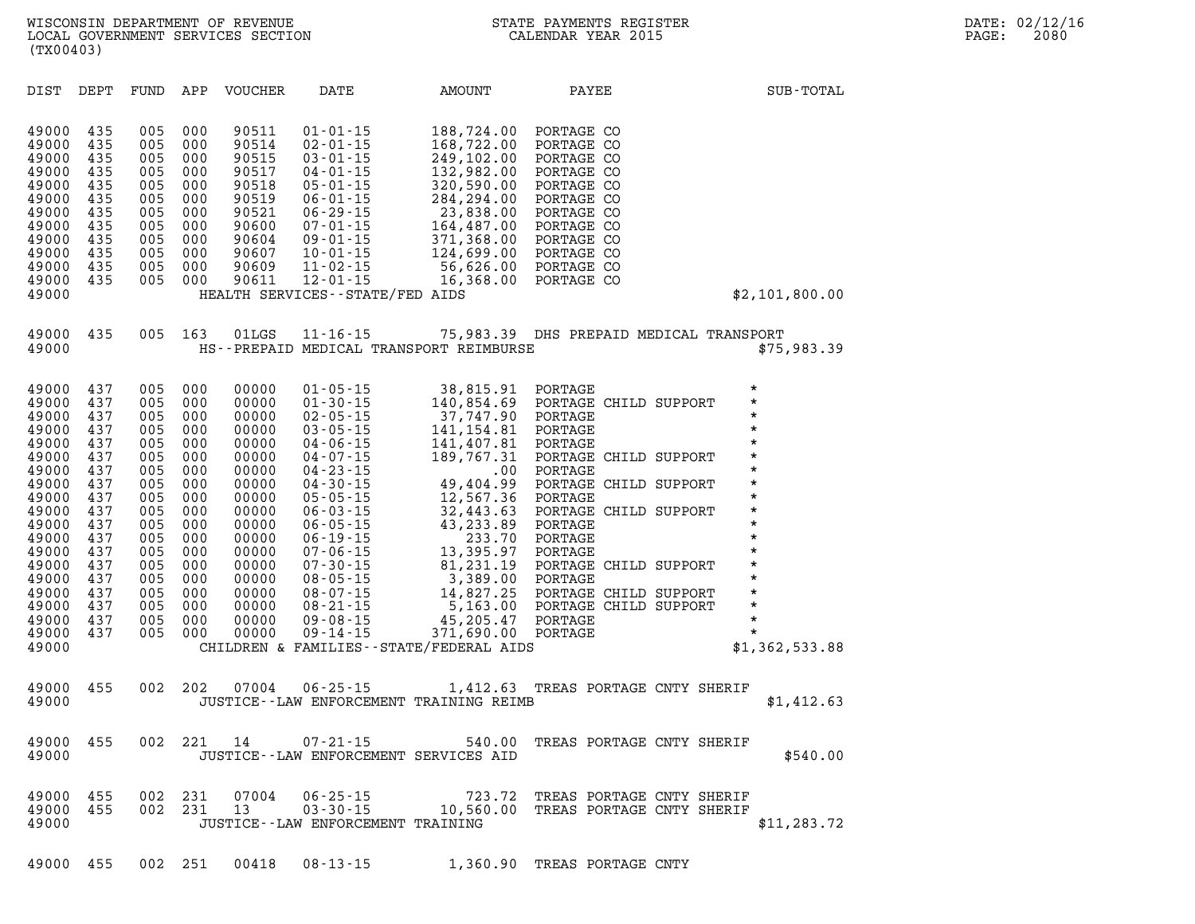| DIST                                                                                                                                                                             | DEPT                                                                                                                              | FUND                                                                                                                              | APP                                                                                                                               | <b>VOUCHER</b>                                                                                                                                                          | DATE                                                                                                                                                                                                                                                                                                                                               | AMOUNT                                                                                                                                                                                                                                                                                    | PAYEE                                                                                                                                                                                                                                                                                                           | SUB-TOTAL                                                                                                                                                                                                              |
|----------------------------------------------------------------------------------------------------------------------------------------------------------------------------------|-----------------------------------------------------------------------------------------------------------------------------------|-----------------------------------------------------------------------------------------------------------------------------------|-----------------------------------------------------------------------------------------------------------------------------------|-------------------------------------------------------------------------------------------------------------------------------------------------------------------------|----------------------------------------------------------------------------------------------------------------------------------------------------------------------------------------------------------------------------------------------------------------------------------------------------------------------------------------------------|-------------------------------------------------------------------------------------------------------------------------------------------------------------------------------------------------------------------------------------------------------------------------------------------|-----------------------------------------------------------------------------------------------------------------------------------------------------------------------------------------------------------------------------------------------------------------------------------------------------------------|------------------------------------------------------------------------------------------------------------------------------------------------------------------------------------------------------------------------|
| 49000<br>49000<br>49000<br>49000<br>49000<br>49000<br>49000<br>49000<br>49000<br>49000<br>49000<br>49000<br>49000                                                                | 435<br>435<br>435<br>435<br>435<br>435<br>435<br>435<br>435<br>435<br>435<br>435                                                  | 005<br>005<br>005<br>005<br>005<br>005<br>005<br>005<br>005<br>005<br>005<br>005                                                  | 000<br>000<br>000<br>000<br>000<br>000<br>000<br>000<br>000<br>000<br>000<br>000                                                  | 90511<br>90514<br>90515<br>90517<br>90518<br>90519<br>90521<br>90600<br>90604<br>90607<br>90609<br>90611                                                                | $01 - 01 - 15$<br>$02 - 01 - 15$<br>$03 - 01 - 15$<br>$04 - 01 - 15$<br>$05 - 01 - 15$<br>$06 - 01 - 15$<br>$06 - 29 - 15$<br>$07 - 01 - 15$<br>$09 - 01 - 15$<br>$10 - 01 - 15$<br>$11 - 02 - 15$<br>$12 - 01 - 15$<br>HEALTH SERVICES - - STATE/FED AIDS                                                                                         | 188,724.00<br>168,722.00<br>249,102.00<br>132,982.00<br>320,590.00<br>284, 294.00<br>23,838.00<br>164,487.00<br>371,368.00<br>124,699.00<br>56,626.00<br>16,368.00                                                                                                                        | PORTAGE CO<br>PORTAGE CO<br>PORTAGE CO<br>PORTAGE CO<br>PORTAGE CO<br>PORTAGE CO<br>PORTAGE CO<br>PORTAGE CO<br>PORTAGE CO<br>PORTAGE CO<br>PORTAGE CO<br>PORTAGE CO                                                                                                                                            | \$2,101,800.00                                                                                                                                                                                                         |
| 49000<br>49000                                                                                                                                                                   | 435                                                                                                                               | 005                                                                                                                               | 163                                                                                                                               | 01LGS                                                                                                                                                                   | $11 - 16 - 15$                                                                                                                                                                                                                                                                                                                                     | HS--PREPAID MEDICAL TRANSPORT REIMBURSE                                                                                                                                                                                                                                                   |                                                                                                                                                                                                                                                                                                                 | 75,983.39 DHS PREPAID MEDICAL TRANSPORT<br>\$75,983.39                                                                                                                                                                 |
| 49000<br>49000<br>49000<br>49000<br>49000<br>49000<br>49000<br>49000<br>49000<br>49000<br>49000<br>49000<br>49000<br>49000<br>49000<br>49000<br>49000<br>49000<br>49000<br>49000 | 437<br>437<br>437<br>437<br>437<br>437<br>437<br>437<br>437<br>437<br>437<br>437<br>437<br>437<br>437<br>437<br>437<br>437<br>437 | 005<br>005<br>005<br>005<br>005<br>005<br>005<br>005<br>005<br>005<br>005<br>005<br>005<br>005<br>005<br>005<br>005<br>005<br>005 | 000<br>000<br>000<br>000<br>000<br>000<br>000<br>000<br>000<br>000<br>000<br>000<br>000<br>000<br>000<br>000<br>000<br>000<br>000 | 00000<br>00000<br>00000<br>00000<br>00000<br>00000<br>00000<br>00000<br>00000<br>00000<br>00000<br>00000<br>00000<br>00000<br>00000<br>00000<br>00000<br>00000<br>00000 | $01 - 05 - 15$<br>$01 - 30 - 15$<br>$02 - 05 - 15$<br>$03 - 05 - 15$<br>$04 - 06 - 15$<br>$04 - 07 - 15$<br>$04 - 23 - 15$<br>$04 - 30 - 15$<br>$05 - 05 - 15$<br>$06 - 03 - 15$<br>$06 - 05 - 15$<br>$06 - 19 - 15$<br>$07 - 06 - 15$<br>$07 - 30 - 15$<br>$08 - 05 - 15$<br>$08 - 07 - 15$<br>$08 - 21 - 15$<br>$09 - 08 - 15$<br>$09 - 14 - 15$ | 38,815.91<br>140,854.69<br>37,747.90<br>141, 154.81<br>141,407.81<br>189,767.31<br>.00<br>49,404.99<br>12,567.36<br>32,443.63<br>43,233.89<br>233.70<br>13,395.97<br>81,231.19<br>3,389.00<br>14,827.25<br>5,163.00<br>45,205.47<br>371,690.00<br>CHILDREN & FAMILIES--STATE/FEDERAL AIDS | PORTAGE<br>PORTAGE CHILD SUPPORT<br>PORTAGE<br>PORTAGE<br>PORTAGE<br>PORTAGE CHILD SUPPORT<br>PORTAGE<br>PORTAGE CHILD SUPPORT<br>PORTAGE<br>PORTAGE CHILD SUPPORT<br>PORTAGE<br>PORTAGE<br>PORTAGE<br>PORTAGE CHILD SUPPORT<br>PORTAGE<br>PORTAGE CHILD SUPPORT<br>PORTAGE CHILD SUPPORT<br>PORTAGE<br>PORTAGE | $^\star$<br>$\star$<br>*<br>$\star$<br>$\star$<br>$^\star$<br>$\star$<br>$\star$<br>*<br>$\star$<br>$\star$<br>$\star$<br>$^\star$<br>$\star$<br>$\star$<br>$\star$<br>$\star$<br>$\star$<br>$\star$<br>\$1,362,533.88 |
| 49000<br>49000                                                                                                                                                                   | 455                                                                                                                               | 002                                                                                                                               | 202                                                                                                                               | 07004                                                                                                                                                                   | $06 - 25 - 15$                                                                                                                                                                                                                                                                                                                                     | 1,412.63<br>JUSTICE--LAW ENFORCEMENT TRAINING REIMB                                                                                                                                                                                                                                       | TREAS PORTAGE CNTY SHERIF                                                                                                                                                                                                                                                                                       | \$1,412.63                                                                                                                                                                                                             |
| 49000<br>49000                                                                                                                                                                   | 455                                                                                                                               | 002                                                                                                                               | 221                                                                                                                               | 14                                                                                                                                                                      | $07 - 21 - 15$<br>JUSTICE -- LAW ENFORCEMENT SERVICES AID                                                                                                                                                                                                                                                                                          | 540.00                                                                                                                                                                                                                                                                                    | TREAS PORTAGE CNTY SHERIF                                                                                                                                                                                                                                                                                       | \$540.00                                                                                                                                                                                                               |
| 49000<br>49000<br>49000                                                                                                                                                          | 455<br>455                                                                                                                        | 002<br>002                                                                                                                        | 231<br>231                                                                                                                        | 07004<br>13                                                                                                                                                             | $06 - 25 - 15$<br>$03 - 30 - 15$<br>JUSTICE - - LAW ENFORCEMENT TRAINING                                                                                                                                                                                                                                                                           | 723.72<br>10,560.00                                                                                                                                                                                                                                                                       | TREAS PORTAGE CNTY SHERIF<br>TREAS PORTAGE CNTY SHERIF                                                                                                                                                                                                                                                          | \$11, 283.72                                                                                                                                                                                                           |

**49000 455 002 251 00418 08-13-15 1,360.90 TREAS PORTAGE CNTY**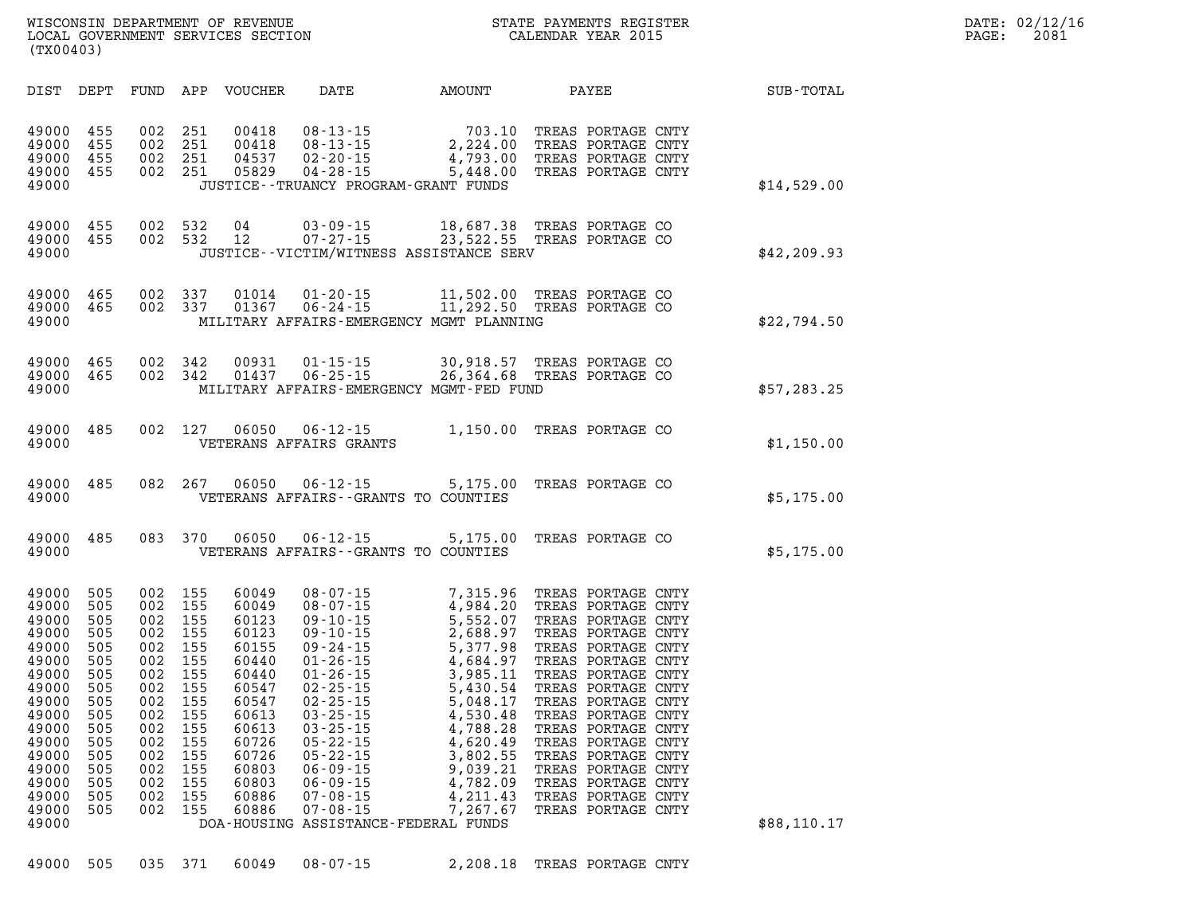| WISCONSIN DEPARTMENT OF REVENUE   |  |  |  |
|-----------------------------------|--|--|--|
| LOCAL GOVERNMENT SERVICES SECTION |  |  |  |
| (TX00403)                         |  |  |  |

| DIST                                                                                                                                                           | DEPT                                                                                                                | FUND                                                                                                                | APP                                                                                                                 | <b>VOUCHER</b>                                                                                                                                        | DATE                                                                                                                                                                                                                                                                                                                                                   | AMOUNT                                                                                                                                                                                                   | PAYEE                                                                                                                                                                                                                                                                                                                                                                              | SUB-TOTAL    |
|----------------------------------------------------------------------------------------------------------------------------------------------------------------|---------------------------------------------------------------------------------------------------------------------|---------------------------------------------------------------------------------------------------------------------|---------------------------------------------------------------------------------------------------------------------|-------------------------------------------------------------------------------------------------------------------------------------------------------|--------------------------------------------------------------------------------------------------------------------------------------------------------------------------------------------------------------------------------------------------------------------------------------------------------------------------------------------------------|----------------------------------------------------------------------------------------------------------------------------------------------------------------------------------------------------------|------------------------------------------------------------------------------------------------------------------------------------------------------------------------------------------------------------------------------------------------------------------------------------------------------------------------------------------------------------------------------------|--------------|
| 49000<br>49000<br>49000<br>49000<br>49000                                                                                                                      | 455<br>455<br>455<br>455                                                                                            | 002<br>002<br>002<br>002                                                                                            | 251<br>251<br>251<br>251                                                                                            | 00418<br>00418<br>04537<br>05829                                                                                                                      | $08 - 13 - 15$<br>$08 - 13 - 15$<br>$02 - 20 - 15$<br>$04 - 28 - 15$<br>JUSTICE - - TRUANCY PROGRAM - GRANT FUNDS                                                                                                                                                                                                                                      | 703.10<br>2,224.00<br>4,793.00<br>5,448.00                                                                                                                                                               | TREAS PORTAGE CNTY<br>TREAS PORTAGE CNTY<br>TREAS PORTAGE CNTY<br>TREAS PORTAGE CNTY                                                                                                                                                                                                                                                                                               | \$14,529.00  |
| 49000<br>49000<br>49000                                                                                                                                        | 455<br>455                                                                                                          | 002<br>002                                                                                                          | 532<br>532                                                                                                          | 04<br>12                                                                                                                                              | $03 - 09 - 15$<br>$07 - 27 - 15$                                                                                                                                                                                                                                                                                                                       | 18,687.38<br>23,522.55<br>JUSTICE--VICTIM/WITNESS ASSISTANCE SERV                                                                                                                                        | TREAS PORTAGE CO<br>TREAS PORTAGE CO                                                                                                                                                                                                                                                                                                                                               | \$42, 209.93 |
| 49000<br>49000<br>49000                                                                                                                                        | 465<br>465                                                                                                          | 002<br>002                                                                                                          | 337<br>337                                                                                                          | 01014<br>01367                                                                                                                                        | $01 - 20 - 15$<br>$06 - 24 - 15$                                                                                                                                                                                                                                                                                                                       | 11,502.00<br>11,292.50<br>MILITARY AFFAIRS-EMERGENCY MGMT PLANNING                                                                                                                                       | TREAS PORTAGE CO<br>TREAS PORTAGE CO                                                                                                                                                                                                                                                                                                                                               | \$22,794.50  |
| 49000<br>49000<br>49000                                                                                                                                        | 465<br>465                                                                                                          | 002<br>002                                                                                                          | 342<br>342                                                                                                          | 00931<br>01437                                                                                                                                        | $01 - 15 - 15$<br>$06 - 25 - 15$                                                                                                                                                                                                                                                                                                                       | 30,918.57<br>26,364.68<br>MILITARY AFFAIRS-EMERGENCY MGMT-FED FUND                                                                                                                                       | TREAS PORTAGE CO<br>TREAS PORTAGE CO                                                                                                                                                                                                                                                                                                                                               | \$57,283.25  |
| 49000<br>49000                                                                                                                                                 | 485                                                                                                                 | 002                                                                                                                 | 127                                                                                                                 | 06050                                                                                                                                                 | $06 - 12 - 15$<br>VETERANS AFFAIRS GRANTS                                                                                                                                                                                                                                                                                                              | 1,150.00                                                                                                                                                                                                 | TREAS PORTAGE CO                                                                                                                                                                                                                                                                                                                                                                   | \$1,150.00   |
| 49000<br>49000                                                                                                                                                 | 485                                                                                                                 | 082                                                                                                                 | 267                                                                                                                 | 06050                                                                                                                                                 | $06 - 12 - 15$<br>VETERANS AFFAIRS - - GRANTS TO COUNTIES                                                                                                                                                                                                                                                                                              | 5,175.00                                                                                                                                                                                                 | TREAS PORTAGE CO                                                                                                                                                                                                                                                                                                                                                                   | \$5,175.00   |
| 49000<br>49000                                                                                                                                                 | 485                                                                                                                 | 083                                                                                                                 | 370                                                                                                                 | 06050                                                                                                                                                 | $06 - 12 - 15$<br>VETERANS AFFAIRS - - GRANTS TO COUNTIES                                                                                                                                                                                                                                                                                              | 5,175.00                                                                                                                                                                                                 | TREAS PORTAGE CO                                                                                                                                                                                                                                                                                                                                                                   | \$5,175.00   |
| 49000<br>49000<br>49000<br>49000<br>49000<br>49000<br>49000<br>49000<br>49000<br>49000<br>49000<br>49000<br>49000<br>49000<br>49000<br>49000<br>49000<br>49000 | 505<br>505<br>505<br>505<br>505<br>505<br>505<br>505<br>505<br>505<br>505<br>505<br>505<br>505<br>505<br>505<br>505 | 002<br>002<br>002<br>002<br>002<br>002<br>002<br>002<br>002<br>002<br>002<br>002<br>002<br>002<br>002<br>002<br>002 | 155<br>155<br>155<br>155<br>155<br>155<br>155<br>155<br>155<br>155<br>155<br>155<br>155<br>155<br>155<br>155<br>155 | 60049<br>60049<br>60123<br>60123<br>60155<br>60440<br>60440<br>60547<br>60547<br>60613<br>60613<br>60726<br>60726<br>60803<br>60803<br>60886<br>60886 | $08 - 07 - 15$<br>$08 - 07 - 15$<br>$09 - 10 - 15$<br>$09 - 10 - 15$<br>$09 - 24 - 15$<br>$01 - 26 - 15$<br>$01 - 26 - 15$<br>$02 - 25 - 15$<br>$02 - 25 - 15$<br>$03 - 25 - 15$<br>$03 - 25 - 15$<br>$05 - 22 - 15$<br>$05 - 22 - 15$<br>$06 - 09 - 15$<br>$06 - 09 - 15$<br>$07 - 08 - 15$<br>$07 - 08 - 15$<br>DOA-HOUSING ASSISTANCE-FEDERAL FUNDS | 7,315.96<br>4,984.20<br>5,552.07<br>2,688.97<br>5,377.98<br>4,684.97<br>3,985.11<br>5,430.54<br>5,048.17<br>4,530.48<br>4,788.28<br>4,620.49<br>3,802.55<br>9,039.21<br>4,782.09<br>4,211.43<br>7,267.67 | TREAS PORTAGE CNTY<br>TREAS PORTAGE CNTY<br>TREAS PORTAGE CNTY<br>TREAS PORTAGE CNTY<br>TREAS PORTAGE CNTY<br>TREAS PORTAGE CNTY<br>TREAS PORTAGE CNTY<br>TREAS PORTAGE CNTY<br>TREAS PORTAGE CNTY<br>TREAS PORTAGE CNTY<br>TREAS PORTAGE CNTY<br>TREAS PORTAGE CNTY<br>TREAS PORTAGE CNTY<br>TREAS PORTAGE CNTY<br>TREAS PORTAGE CNTY<br>TREAS PORTAGE CNTY<br>TREAS PORTAGE CNTY | \$88,110.17  |
| 49000                                                                                                                                                          | 505                                                                                                                 | 035                                                                                                                 | 371                                                                                                                 | 60049                                                                                                                                                 | $08 - 07 - 15$                                                                                                                                                                                                                                                                                                                                         | 2,208.18                                                                                                                                                                                                 | TREAS PORTAGE CNTY                                                                                                                                                                                                                                                                                                                                                                 |              |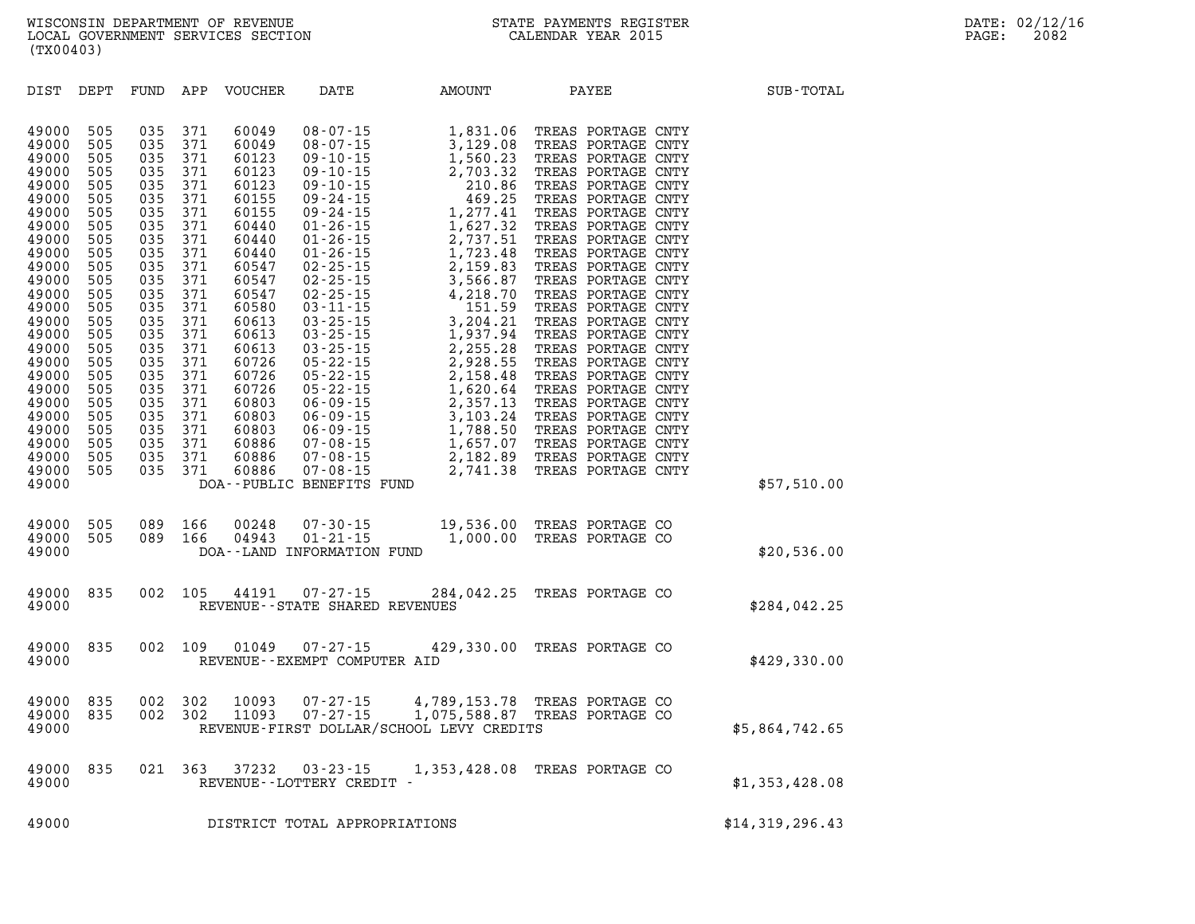| DIST                                                                                                                                                                                                                                            | DEPT                                                                                                                                                                               | FUND                                                                                                                                                                               | APP                                                                                                                                                                                | <b>VOUCHER</b>                                                                                                                                                                                                                         | DATE                                                           | AMOUNT                                                                                                                                                                                                                                                                   | PAYEE                                                                                                                                                                                                                                                                                                                                                                                                                                                                                                                                                                                             | SUB-TOTAL       |
|-------------------------------------------------------------------------------------------------------------------------------------------------------------------------------------------------------------------------------------------------|------------------------------------------------------------------------------------------------------------------------------------------------------------------------------------|------------------------------------------------------------------------------------------------------------------------------------------------------------------------------------|------------------------------------------------------------------------------------------------------------------------------------------------------------------------------------|----------------------------------------------------------------------------------------------------------------------------------------------------------------------------------------------------------------------------------------|----------------------------------------------------------------|--------------------------------------------------------------------------------------------------------------------------------------------------------------------------------------------------------------------------------------------------------------------------|---------------------------------------------------------------------------------------------------------------------------------------------------------------------------------------------------------------------------------------------------------------------------------------------------------------------------------------------------------------------------------------------------------------------------------------------------------------------------------------------------------------------------------------------------------------------------------------------------|-----------------|
| 49000<br>49000<br>49000<br>49000<br>49000<br>49000<br>49000<br>49000<br>49000<br>49000<br>49000<br>49000<br>49000<br>49000<br>49000<br>49000<br>49000<br>49000<br>49000<br>49000<br>49000<br>49000<br>49000<br>49000<br>49000<br>49000<br>49000 | 505<br>505<br>505<br>505<br>505<br>505<br>505<br>505<br>505<br>505<br>505<br>505<br>505<br>505<br>505<br>505<br>505<br>505<br>505<br>505<br>505<br>505<br>505<br>505<br>505<br>505 | 035<br>035<br>035<br>035<br>035<br>035<br>035<br>035<br>035<br>035<br>035<br>035<br>035<br>035<br>035<br>035<br>035<br>035<br>035<br>035<br>035<br>035<br>035<br>035<br>035<br>035 | 371<br>371<br>371<br>371<br>371<br>371<br>371<br>371<br>371<br>371<br>371<br>371<br>371<br>371<br>371<br>371<br>371<br>371<br>371<br>371<br>371<br>371<br>371<br>371<br>371<br>371 | 60049<br>60049<br>60123<br>60123<br>60123<br>60155<br>60155<br>60440<br>60440<br>60440<br>60547<br>60547<br>60547<br>60580<br>60613<br>60613<br>60613<br>60726<br>60726<br>60726<br>60803<br>60803<br>60803<br>60886<br>60886<br>60886 | DOA--PUBLIC BENEFITS FUND                                      | $\begin{array}{cccc} 08-07-15 & 1, 831.06 \\ 08-07-15 & 3, 129.08 \\ 09-10-15 & 1, 560.23 \\ 09-10-15 & 2, 703.32 \\ 09-10-15 & 2, 703.32 \\ 09-24-15 & 469.25 \\ 09-24-15 & 1, 277.41 \\ 01-26-15 & 1, 627.32 \\ 01-26-15 & 1, 723.48 \\ 02-25-15 & 3, 566.87 \\ 02-25$ | TREAS PORTAGE CNTY<br>TREAS PORTAGE CNTY<br>TREAS PORTAGE CNTY<br>TREAS PORTAGE CNTY<br>TREAS PORTAGE CNTY<br>TREAS PORTAGE CNTY<br>TREAS PORTAGE CNTY<br>TREAS PORTAGE CNTY<br>TREAS PORTAGE CNTY<br>TREAS PORTAGE CNTY<br>TREAS PORTAGE CNTY<br>TREAS PORTAGE CNTY<br>TREAS PORTAGE CNTY<br>TREAS PORTAGE CNTY<br>TREAS PORTAGE CNTY<br>TREAS PORTAGE CNTY<br>TREAS PORTAGE CNTY<br>TREAS PORTAGE CNTY<br>TREAS PORTAGE CNTY<br>TREAS PORTAGE CNTY<br>TREAS PORTAGE CNTY<br>TREAS PORTAGE CNTY<br>TREAS PORTAGE CNTY<br>TREAS PORTAGE CNTY<br>TREAS PORTAGE CNTY<br>2,741.38 TREAS PORTAGE CNTY | \$57,510.00     |
| 49000<br>49000<br>49000                                                                                                                                                                                                                         | 505<br>505                                                                                                                                                                         | 089<br>089                                                                                                                                                                         | 166<br>166                                                                                                                                                                         | 00248<br>04943                                                                                                                                                                                                                         | $07 - 30 - 15$<br>$01 - 21 - 15$<br>DOA--LAND INFORMATION FUND | 1,000.00                                                                                                                                                                                                                                                                 | 19,536.00 TREAS PORTAGE CO<br>TREAS PORTAGE CO                                                                                                                                                                                                                                                                                                                                                                                                                                                                                                                                                    | \$20,536.00     |
| 49000<br>49000                                                                                                                                                                                                                                  | 835                                                                                                                                                                                | 002                                                                                                                                                                                | 105                                                                                                                                                                                | 44191                                                                                                                                                                                                                                  | $07 - 27 - 15$<br>REVENUE - - STATE SHARED REVENUES            |                                                                                                                                                                                                                                                                          | 284,042.25 TREAS PORTAGE CO                                                                                                                                                                                                                                                                                                                                                                                                                                                                                                                                                                       | \$284,042.25    |
| 49000<br>49000                                                                                                                                                                                                                                  | 835                                                                                                                                                                                | 002                                                                                                                                                                                | 109                                                                                                                                                                                | 01049                                                                                                                                                                                                                                  | $07 - 27 - 15$<br>REVENUE--EXEMPT COMPUTER AID                 |                                                                                                                                                                                                                                                                          | 429,330.00 TREAS PORTAGE CO                                                                                                                                                                                                                                                                                                                                                                                                                                                                                                                                                                       | \$429,330.00    |
| 49000<br>49000<br>49000                                                                                                                                                                                                                         | 835<br>835                                                                                                                                                                         | 002<br>002                                                                                                                                                                         | 302<br>302                                                                                                                                                                         | 10093<br>11093                                                                                                                                                                                                                         | $07 - 27 - 15$<br>$07 - 27 - 15$                               | REVENUE-FIRST DOLLAR/SCHOOL LEVY CREDITS                                                                                                                                                                                                                                 | 4,789,153.78 TREAS PORTAGE CO<br>1,075,588.87 TREAS PORTAGE CO                                                                                                                                                                                                                                                                                                                                                                                                                                                                                                                                    | \$5,864,742.65  |
| 49000<br>49000                                                                                                                                                                                                                                  | 835                                                                                                                                                                                | 021                                                                                                                                                                                | 363                                                                                                                                                                                | 37232                                                                                                                                                                                                                                  | $03 - 23 - 15$<br>REVENUE--LOTTERY CREDIT -                    | 1,353,428.08                                                                                                                                                                                                                                                             | TREAS PORTAGE CO                                                                                                                                                                                                                                                                                                                                                                                                                                                                                                                                                                                  | \$1,353,428.08  |
| 49000                                                                                                                                                                                                                                           |                                                                                                                                                                                    |                                                                                                                                                                                    |                                                                                                                                                                                    |                                                                                                                                                                                                                                        | DISTRICT TOTAL APPROPRIATIONS                                  |                                                                                                                                                                                                                                                                          |                                                                                                                                                                                                                                                                                                                                                                                                                                                                                                                                                                                                   | \$14,319,296.43 |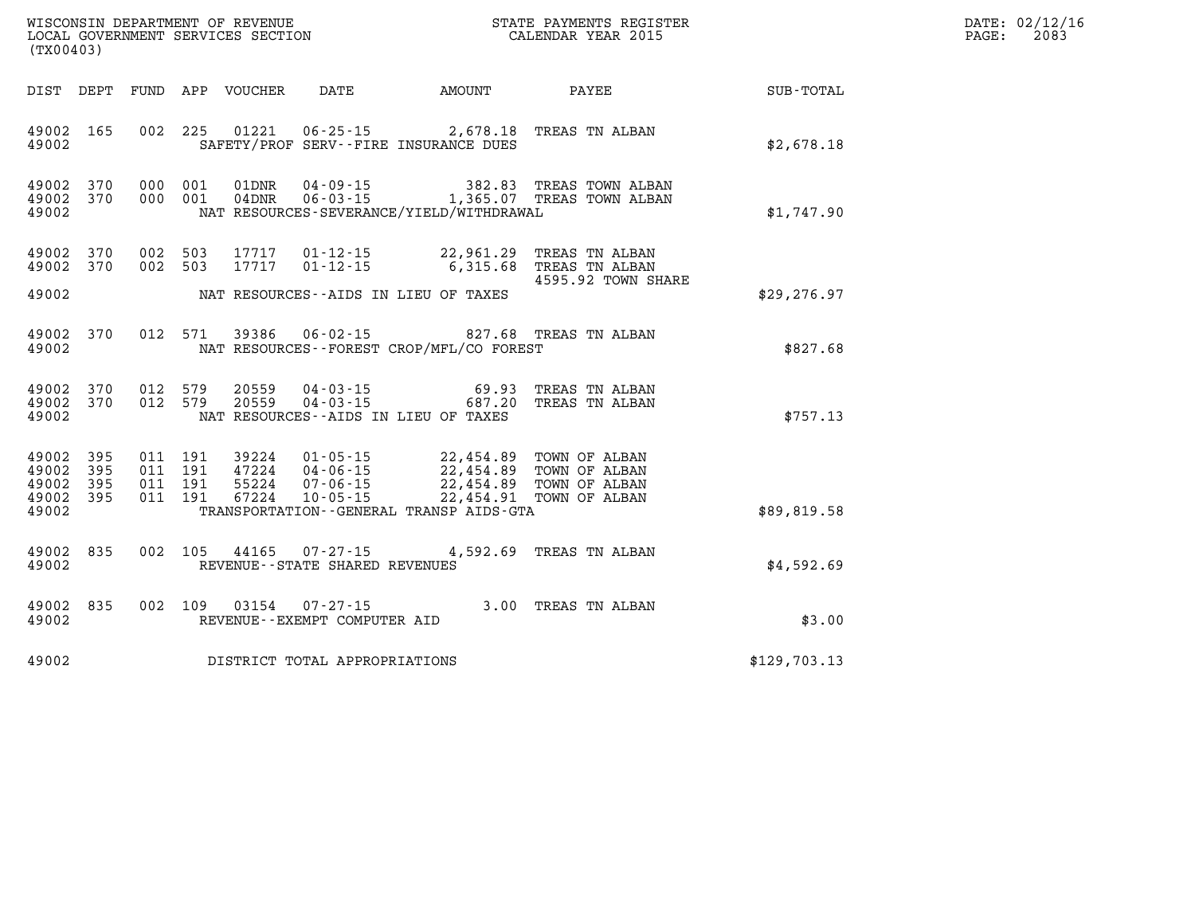| WISCONSIN DEPARTMENT OF REVENUE      | PAYMENTS REGISTER<br>3TATE | DATE: | 02/12/16 |
|--------------------------------------|----------------------------|-------|----------|
| GOVERNMENT SERVICES SECTION<br>LOCAL | CALENDAR YEAR 2015         | PAGE  | 2083     |

| (TX00403)                                             |     |  | LOCAL GOVERNMENT SERVICES SECTION |                                                        |                                                                                                                                                                                                                                                                                                                                                                                              | CALENDAR YEAR 2015                                                                                 |                             | PAGE: | 2083 |
|-------------------------------------------------------|-----|--|-----------------------------------|--------------------------------------------------------|----------------------------------------------------------------------------------------------------------------------------------------------------------------------------------------------------------------------------------------------------------------------------------------------------------------------------------------------------------------------------------------------|----------------------------------------------------------------------------------------------------|-----------------------------|-------|------|
|                                                       |     |  | DIST DEPT FUND APP VOUCHER        |                                                        |                                                                                                                                                                                                                                                                                                                                                                                              |                                                                                                    | DATE AMOUNT PAYEE SUB-TOTAL |       |      |
| 49002 165<br>49002                                    |     |  |                                   |                                                        | SAFETY/PROF SERV--FIRE INSURANCE DUES                                                                                                                                                                                                                                                                                                                                                        | 002 225 01221 06-25-15 2,678.18 TREAS TN ALBAN                                                     | \$2,678.18                  |       |      |
| 49002 370<br>49002<br>49002                           | 370 |  |                                   |                                                        | NAT RESOURCES-SEVERANCE/YIELD/WITHDRAWAL                                                                                                                                                                                                                                                                                                                                                     | 000 001 01DNR 04-09-15 382.83 TREAS TOWN ALBAN<br>000 001 04DNR 06-03-15 1,365.07 TREAS TOWN ALBAN | \$1,747.90                  |       |      |
| 49002 370<br>49002 370<br>49002                       |     |  | 002 503 17717                     | 002 503 17717 01-12-15<br>$01 - 12 - 15$               | NAT RESOURCES--AIDS IN LIEU OF TAXES                                                                                                                                                                                                                                                                                                                                                         | 22,961.29 TREAS TN ALBAN<br>6,315.68 TREAS TN ALBAN<br>4595.92 TOWN SHARE                          | \$29, 276.97                |       |      |
| 49002<br>49002                                        | 370 |  |                                   |                                                        | NAT RESOURCES--FOREST CROP/MFL/CO FOREST                                                                                                                                                                                                                                                                                                                                                     | 012 571 39386 06-02-15 827.68 TREAS TN ALBAN                                                       | \$827.68                    |       |      |
| 49002 370<br>49002 370<br>49002                       |     |  | 012 579 20559<br>012 579 20559    |                                                        | NAT RESOURCES--AIDS IN LIEU OF TAXES                                                                                                                                                                                                                                                                                                                                                         | 04-03-15 69.93 TREAS TN ALBAN<br>04-03-15 687.20 TREAS TN ALBAN                                    | \$757.13                    |       |      |
| 49002 395<br>49002<br>49002 395<br>49002 395<br>49002 | 395 |  |                                   |                                                        | $\begin{array}{cccccc} 011 & 191 & 39224 & 01\cdot 05\cdot 15 & 22\,,454\,.89 & \text{TOWN OF ALBAN} \\ 011 & 191 & 47224 & 04\cdot 06\cdot 15 & 22\,,454\,.89 & \text{TOWN OF ALBAN} \\ 011 & 191 & 55224 & 07\cdot 06\cdot 15 & 22\,,454\,.89 & \text{TOWN OF ALBAN} \\ 011 & 191 & 67224 & 10\cdot 05\cdot 15 & 22\,,454\,.91 & \text{TOWN OF$<br>TRANSPORTATION--GENERAL TRANSP AIDS-GTA |                                                                                                    | \$89,819.58                 |       |      |
| 49002<br>49002                                        | 835 |  |                                   | REVENUE - - STATE SHARED REVENUES                      |                                                                                                                                                                                                                                                                                                                                                                                              | 002 105 44165 07-27-15 4,592.69 TREAS TN ALBAN                                                     | \$4,592.69                  |       |      |
| 49002 835<br>49002                                    |     |  |                                   | 002 109 03154 07-27-15<br>REVENUE--EXEMPT COMPUTER AID |                                                                                                                                                                                                                                                                                                                                                                                              | 3.00 TREAS TN ALBAN                                                                                | \$3.00                      |       |      |
| 49002                                                 |     |  |                                   | DISTRICT TOTAL APPROPRIATIONS                          |                                                                                                                                                                                                                                                                                                                                                                                              |                                                                                                    | \$129,703.13                |       |      |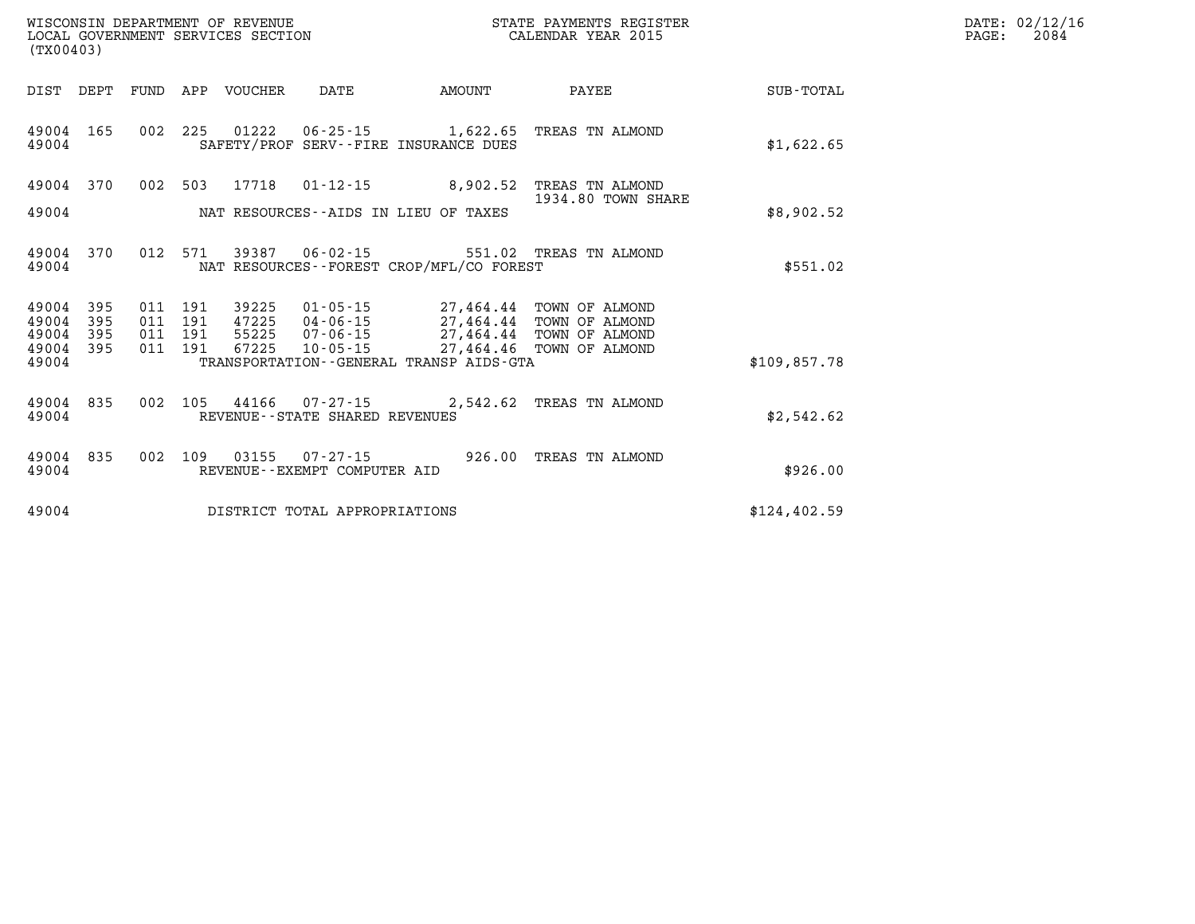| (TX00403)                                    |                                                                                                                                                                                                                                                                                                                                                 | STATE PAYMENTS REGISTER |              | DATE: 02/12/16<br>$\mathtt{PAGE:}$<br>2084 |
|----------------------------------------------|-------------------------------------------------------------------------------------------------------------------------------------------------------------------------------------------------------------------------------------------------------------------------------------------------------------------------------------------------|-------------------------|--------------|--------------------------------------------|
| DIST DEPT                                    | FUND APP VOUCHER DATE AMOUNT                                                                                                                                                                                                                                                                                                                    | <b>PAYEE</b>            | SUB-TOTAL    |                                            |
| 49004 165<br>49004                           | 002 225 01222 06-25-15 1,622.65 TREAS TN ALMOND<br>SAFETY/PROF SERV--FIRE INSURANCE DUES                                                                                                                                                                                                                                                        |                         | \$1,622.65   |                                            |
| 49004 370                                    | 002 503 17718 01-12-15 8,902.52 TREAS TN ALMOND                                                                                                                                                                                                                                                                                                 | 1934.80 TOWN SHARE      |              |                                            |
| 49004                                        | NAT RESOURCES--AIDS IN LIEU OF TAXES                                                                                                                                                                                                                                                                                                            |                         | \$8,902.52   |                                            |
| 49004 370<br>49004                           | 012 571 39387 06-02-15 551.02 TREAS TN ALMOND<br>NAT RESOURCES - - FOREST CROP/MFL/CO FOREST                                                                                                                                                                                                                                                    |                         | \$551.02     |                                            |
| 395<br>49004<br>49004<br>395<br>49004<br>395 | $\begin{array}{cccc} 011 & 191 & 39225 & 01\cdot 05\cdot 15 & 27,464.44 & \text{TOWN OF ALMOND} \\ 011 & 191 & 47225 & 04\cdot 06\cdot 15 & 27,464.44 & \text{TOWN OF ALMOND} \\ 011 & 191 & 55225 & 07\cdot 06\cdot 15 & 27,464.44 & \text{TOWN OF ALMOND} \\ 011 & 191 & 67225 & 10\cdot 05\cdot 15 & 27,464.46 & \text{TOWN OF ALMOND} \end$ |                         |              |                                            |
| 49004 395<br>49004                           | TRANSPORTATION--GENERAL TRANSP AIDS-GTA                                                                                                                                                                                                                                                                                                         |                         | \$109,857.78 |                                            |
| 49004 835<br>49004                           | 002 105 44166 07-27-15 2,542.62 TREAS TN ALMOND<br>REVENUE--STATE SHARED REVENUES                                                                                                                                                                                                                                                               |                         | \$2,542.62   |                                            |
| 49004 835<br>49004                           | 002 109 03155 07-27-15 926.00 TREAS TN ALMOND<br>REVENUE--EXEMPT COMPUTER AID                                                                                                                                                                                                                                                                   |                         | \$926.00     |                                            |
| 49004                                        | DISTRICT TOTAL APPROPRIATIONS                                                                                                                                                                                                                                                                                                                   |                         | \$124,402.59 |                                            |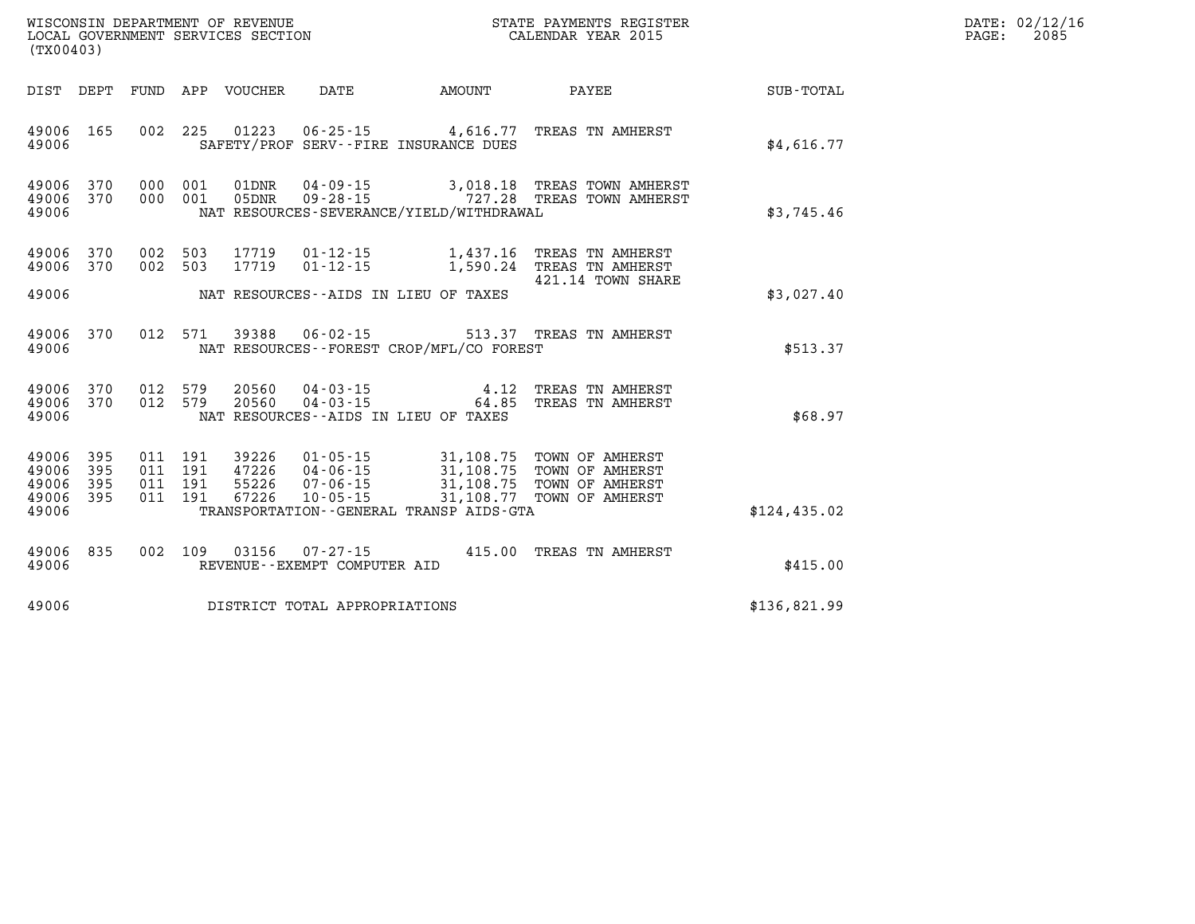| WISCONSIN DEPARTMENT OF REVENUE | PAYMENTS REGISTER<br>STATE | DATE: | 02/12/16 |
|---------------------------------|----------------------------|-------|----------|
| GOVERNMENT SERVICES SECTION     |                            |       | 2085     |
| LOCAL                           | CALENDAR YEAR 2015         | PAGE  |          |

| (TX00403)                                 |                          |                          |                          |                                  |                                                                            |                                                                                             |                                                                          |                  |
|-------------------------------------------|--------------------------|--------------------------|--------------------------|----------------------------------|----------------------------------------------------------------------------|---------------------------------------------------------------------------------------------|--------------------------------------------------------------------------|------------------|
| DIST                                      | DEPT                     | FUND                     | APP                      | VOUCHER                          | <b>DATE</b>                                                                | AMOUNT                                                                                      | PAYEE                                                                    | <b>SUB-TOTAL</b> |
| 49006<br>49006                            | 165                      | 002                      | 225                      | 01223                            | $06 - 25 - 15$                                                             | 4,616.77<br>SAFETY/PROF SERV--FIRE INSURANCE DUES                                           | TREAS TN AMHERST                                                         | \$4,616.77       |
| 49006<br>49006<br>49006                   | 370<br>370               | 000<br>000               | 001<br>001               | 01DNR<br>05DNR                   | $04 - 09 - 15$<br>$09 - 28 - 15$                                           | 3,018.18<br>NAT RESOURCES-SEVERANCE/YIELD/WITHDRAWAL                                        | TREAS TOWN AMHERST<br>727.28 TREAS TOWN AMHERST                          | \$3,745.46       |
| 49006<br>49006                            | 370<br>370               | 002<br>002               | 503<br>503               | 17719<br>17719                   | $01 - 12 - 15$<br>$01 - 12 - 15$                                           | 1,437.16<br>1,590.24                                                                        | TREAS TN AMHERST<br>TREAS TN AMHERST                                     |                  |
| 49006                                     |                          |                          |                          |                                  |                                                                            | NAT RESOURCES--AIDS IN LIEU OF TAXES                                                        | 421.14 TOWN SHARE                                                        | \$3,027.40       |
| 49006<br>49006                            | 370                      | 012                      | 571                      | 39388                            | $06 - 02 - 15$                                                             | NAT RESOURCES - - FOREST CROP/MFL/CO FOREST                                                 | 513.37 TREAS TN AMHERST                                                  | \$513.37         |
| 49006<br>49006<br>49006                   | 370<br>370               | 012<br>012               | 579<br>579               | 20560<br>20560                   | $04 - 03 - 15$<br>$04 - 03 - 15$<br>NAT RESOURCES -- AIDS IN LIEU OF TAXES | 4.12<br>64.85                                                                               | TREAS TN AMHERST<br>TREAS TN AMHERST                                     | \$68.97          |
| 49006<br>49006<br>49006<br>49006<br>49006 | 395<br>395<br>395<br>395 | 011<br>011<br>011<br>011 | 191<br>191<br>191<br>191 | 39226<br>47226<br>55226<br>67226 | $01 - 05 - 15$<br>$04 - 06 - 15$<br>$07 - 06 - 15$<br>$10 - 05 - 15$       | 31,108.75<br>31,108.75<br>31,108.75<br>31,108.77<br>TRANSPORTATION--GENERAL TRANSP AIDS-GTA | TOWN OF AMHERST<br>TOWN OF AMHERST<br>TOWN OF AMHERST<br>TOWN OF AMHERST | \$124,435.02     |
| 49006<br>49006                            | 835                      | 002                      | 109                      | 03156                            | $07 - 27 - 15$<br>REVENUE--EXEMPT COMPUTER AID                             | 415.00                                                                                      | TREAS TN AMHERST                                                         | \$415.00         |
| 49006                                     |                          |                          |                          |                                  | DISTRICT TOTAL APPROPRIATIONS                                              |                                                                                             |                                                                          | \$136,821.99     |

WISCONSIN DEPARTMENT OF REVENUE **STATE PAYMENTS REGISTER** LOCAL GOVERNMENT SERVICES SECTION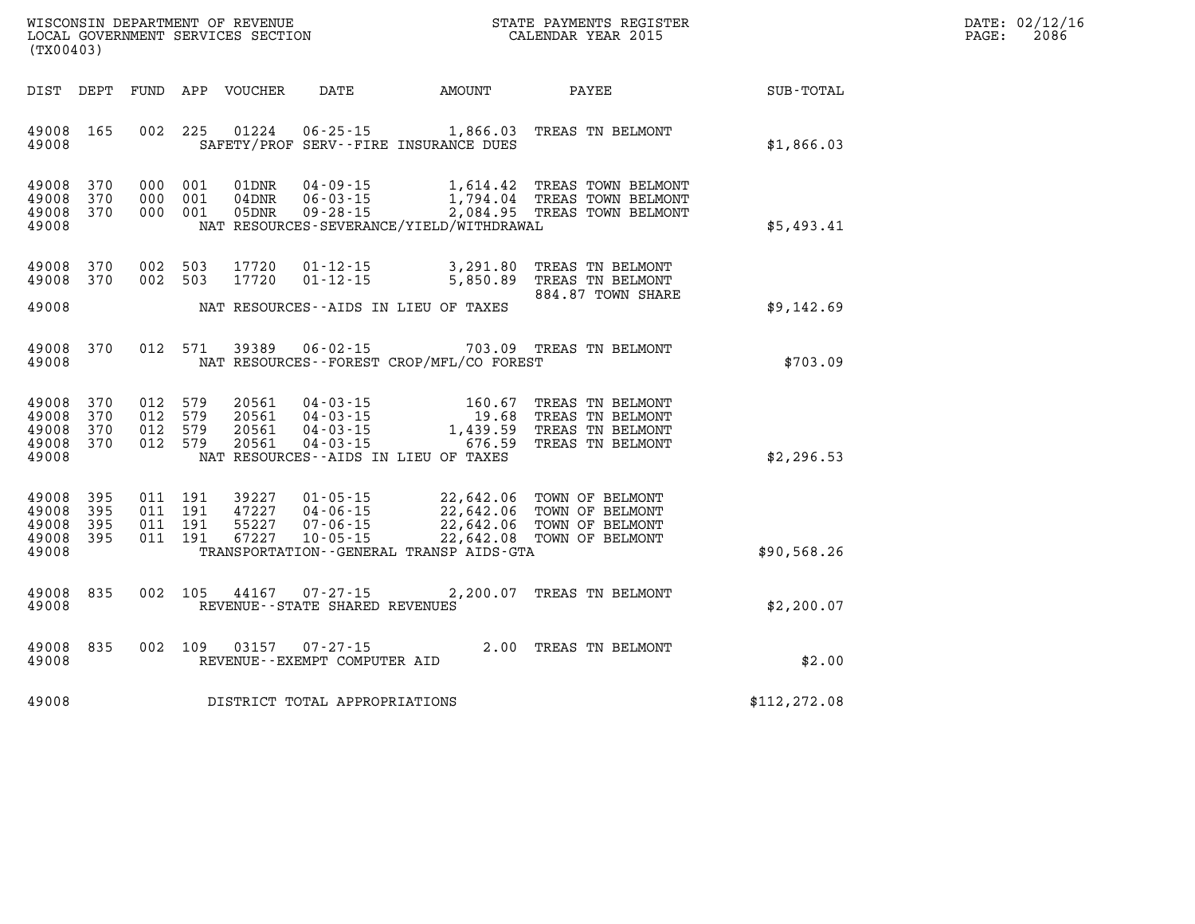| WISCONSIN DEPARTMENT OF REVENUE   | STATE PAYMENTS REGISTER | DATE: 02/12/16 |
|-----------------------------------|-------------------------|----------------|
| LOCAL GOVERNMENT SERVICES SECTION | CALENDAR YEAR 2015      | 2086<br>PAGE:  |

|                                           | (TX00403)                |     |                                      | LOCAL GOVERNMENT SERVICES SECTION |                                                                      |                                                                                 | CALENDAR YEAR 2015                                                                                               |               | PAGE: | 2086 |
|-------------------------------------------|--------------------------|-----|--------------------------------------|-----------------------------------|----------------------------------------------------------------------|---------------------------------------------------------------------------------|------------------------------------------------------------------------------------------------------------------|---------------|-------|------|
|                                           | DIST DEPT                |     |                                      | FUND APP VOUCHER                  | DATE                                                                 | AMOUNT                                                                          | PAYEE                                                                                                            | SUB-TOTAL     |       |      |
| 49008<br>49008                            | 165                      | 002 | - 225                                | 01224                             | $06 - 25 - 15$                                                       | 1,866.03<br>SAFETY/PROF SERV--FIRE INSURANCE DUES                               | TREAS TN BELMONT                                                                                                 | \$1,866.03    |       |      |
| 49008<br>49008<br>49008<br>49008          | 370<br>370<br>370        |     | 000 001<br>000 001<br>000 001        | 01DNR<br>04DNR<br>05DNR           | $04 - 09 - 15$<br>$06 - 03 - 15$<br>$09 - 28 - 15$                   | 1,614.42<br>NAT RESOURCES-SEVERANCE/YIELD/WITHDRAWAL                            | TREAS TOWN BELMONT<br>1,794.04 TREAS TOWN BELMONT<br>2,084.95 TREAS TOWN BELMONT                                 | \$5,493.41    |       |      |
| 49008<br>49008                            | 370<br>370               |     | 002 503<br>002 503                   | 17720<br>17720                    | $01 - 12 - 15$<br>$01 - 12 - 15$                                     | 3,291.80<br>5,850.89                                                            | TREAS TN BELMONT<br>TREAS TN BELMONT<br>884.87 TOWN SHARE                                                        |               |       |      |
| 49008                                     |                          |     |                                      |                                   |                                                                      | NAT RESOURCES -- AIDS IN LIEU OF TAXES                                          |                                                                                                                  | \$9,142.69    |       |      |
| 49008<br>49008                            | 370                      |     | 012 571                              | 39389                             | $06 - 02 - 15$                                                       | NAT RESOURCES--FOREST CROP/MFL/CO FOREST                                        | 703.09 TREAS TN BELMONT                                                                                          | \$703.09      |       |      |
| 49008<br>49008<br>49008<br>49008<br>49008 | 370<br>370<br>370<br>370 | 012 | 012 579<br>579<br>012 579<br>012 579 | 20561<br>20561<br>20561<br>20561  | $04 - 03 - 15$<br>$04 - 03 - 15$<br>04 - 03 - 15<br>$04 - 03 - 15$   | 160.67<br>19.68<br>1,439.59<br>676.59<br>NAT RESOURCES -- AIDS IN LIEU OF TAXES | TREAS TN BELMONT<br>TREAS TN BELMONT<br>TREAS TN BELMONT<br>TREAS TN BELMONT                                     | \$2,296.53    |       |      |
| 49008<br>49008<br>49008<br>49008<br>49008 | 395<br>395<br>395<br>395 | 011 | 011 191<br>011 191<br>191<br>011 191 | 39227<br>47227<br>55227<br>67227  | $01 - 05 - 15$<br>$04 - 06 - 15$<br>$07 - 06 - 15$<br>$10 - 05 - 15$ | TRANSPORTATION - - GENERAL TRANSP AIDS - GTA                                    | 22,642.06 TOWN OF BELMONT<br>22,642.06 TOWN OF BELMONT<br>22,642.06 TOWN OF BELMONT<br>22,642.08 TOWN OF BELMONT | \$90,568.26   |       |      |
| 49008<br>49008                            | 835                      | 002 | 105                                  | 44167                             | $07 - 27 - 15$<br>REVENUE - - STATE SHARED REVENUES                  |                                                                                 | 2,200.07 TREAS TN BELMONT                                                                                        | \$2,200.07    |       |      |
| 49008<br>49008                            | 835                      | 002 | 109                                  | 03157                             | $07 - 27 - 15$<br>REVENUE--EXEMPT COMPUTER AID                       |                                                                                 | 2.00 TREAS TN BELMONT                                                                                            | \$2.00        |       |      |
| 49008                                     |                          |     |                                      |                                   | DISTRICT TOTAL APPROPRIATIONS                                        |                                                                                 |                                                                                                                  | \$112, 272.08 |       |      |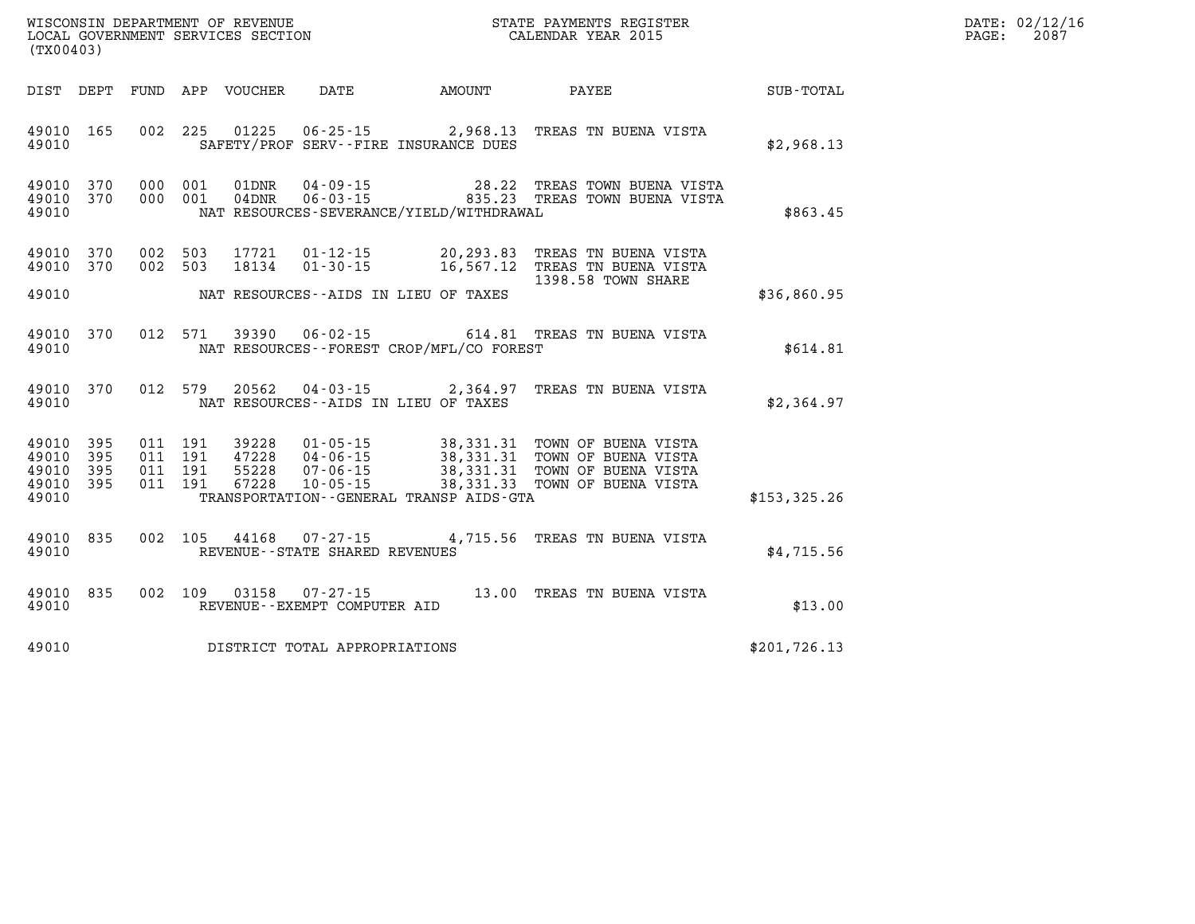| $\mathtt{DATE}$ : | 02/12/16 |
|-------------------|----------|
| PAGE:             | 2087     |

| (TX00403)                        |                          |                          |                          | WISCONSIN DEPARTMENT OF REVENUE<br>LOCAL GOVERNMENT SERVICES SECTION | STATE PAYMENTS REGISTER<br>CALENDAR YEAR 2015                        |                                                             |                                                                                          |               |
|----------------------------------|--------------------------|--------------------------|--------------------------|----------------------------------------------------------------------|----------------------------------------------------------------------|-------------------------------------------------------------|------------------------------------------------------------------------------------------|---------------|
| DIST                             | DEPT                     | <b>FUND</b>              | APP                      | VOUCHER                                                              | DATE                                                                 | AMOUNT                                                      | PAYEE                                                                                    | SUB-TOTAL     |
| 49010<br>49010                   | 165                      | 002                      | 225                      | 01225                                                                | $06 - 25 - 15$                                                       | 2,968.13<br>SAFETY/PROF SERV--FIRE INSURANCE DUES           | TREAS TN BUENA VISTA                                                                     | \$2,968.13    |
| 49010<br>49010<br>49010          | 370<br>370               | 000<br>000               | 001<br>001               | 01DNR<br>$04$ DNR                                                    | $04 - 09 - 15$<br>$06 - 03 - 15$                                     | 28.22<br>835.23<br>NAT RESOURCES-SEVERANCE/YIELD/WITHDRAWAL | TREAS TOWN BUENA VISTA<br>TREAS TOWN BUENA VISTA                                         | \$863.45      |
| 49010<br>49010                   | 370<br>370               | 002<br>002               | 503<br>503               | 17721<br>18134                                                       | $01 - 12 - 15$<br>$01 - 30 - 15$                                     | 20,293.83<br>16,567.12                                      | TREAS TN BUENA VISTA<br>TREAS TN BUENA VISTA<br>1398.58 TOWN SHARE                       |               |
| 49010                            |                          |                          |                          |                                                                      |                                                                      | NAT RESOURCES -- AIDS IN LIEU OF TAXES                      |                                                                                          | \$36,860.95   |
| 49010<br>49010                   | 370                      | 012                      | 571                      | 39390                                                                | $06 - 02 - 15$                                                       | NAT RESOURCES - - FOREST CROP/MFL/CO FOREST                 | 614.81 TREAS TN BUENA VISTA                                                              | \$614.81      |
| 49010<br>49010                   | 370                      | 012                      | 579                      | 20562                                                                | $04 - 03 - 15$                                                       | 2,364.97<br>NAT RESOURCES -- AIDS IN LIEU OF TAXES          | TREAS TN BUENA VISTA                                                                     | \$2,364.97    |
| 49010<br>49010<br>49010<br>49010 | 395<br>395<br>395<br>395 | 011<br>011<br>011<br>011 | 191<br>191<br>191<br>191 | 39228<br>47228<br>55228<br>67228                                     | $01 - 05 - 15$<br>$04 - 06 - 15$<br>$07 - 06 - 15$<br>$10 - 05 - 15$ | 38, 331. 31<br>38,331.31<br>38, 331. 31<br>38, 331. 33      | TOWN OF BUENA VISTA<br>TOWN OF BUENA VISTA<br>TOWN OF BUENA VISTA<br>TOWN OF BUENA VISTA |               |
| 49010                            |                          |                          |                          |                                                                      |                                                                      | TRANSPORTATION--GENERAL TRANSP AIDS-GTA                     |                                                                                          | \$153,325.26  |
| 49010<br>49010                   | 835                      | 002                      | 105                      | 44168                                                                | $07 - 27 - 15$<br>REVENUE - - STATE SHARED REVENUES                  |                                                             | 4,715.56 TREAS TN BUENA VISTA                                                            | \$4,715.56    |
| 49010<br>49010                   | 835                      | 002                      | 109                      | 03158                                                                | $07 - 27 - 15$<br>REVENUE - - EXEMPT COMPUTER AID                    | 13.00                                                       | TREAS TN BUENA VISTA                                                                     | \$13.00       |
| 49010                            |                          |                          |                          |                                                                      | DISTRICT TOTAL APPROPRIATIONS                                        |                                                             |                                                                                          | \$201, 726.13 |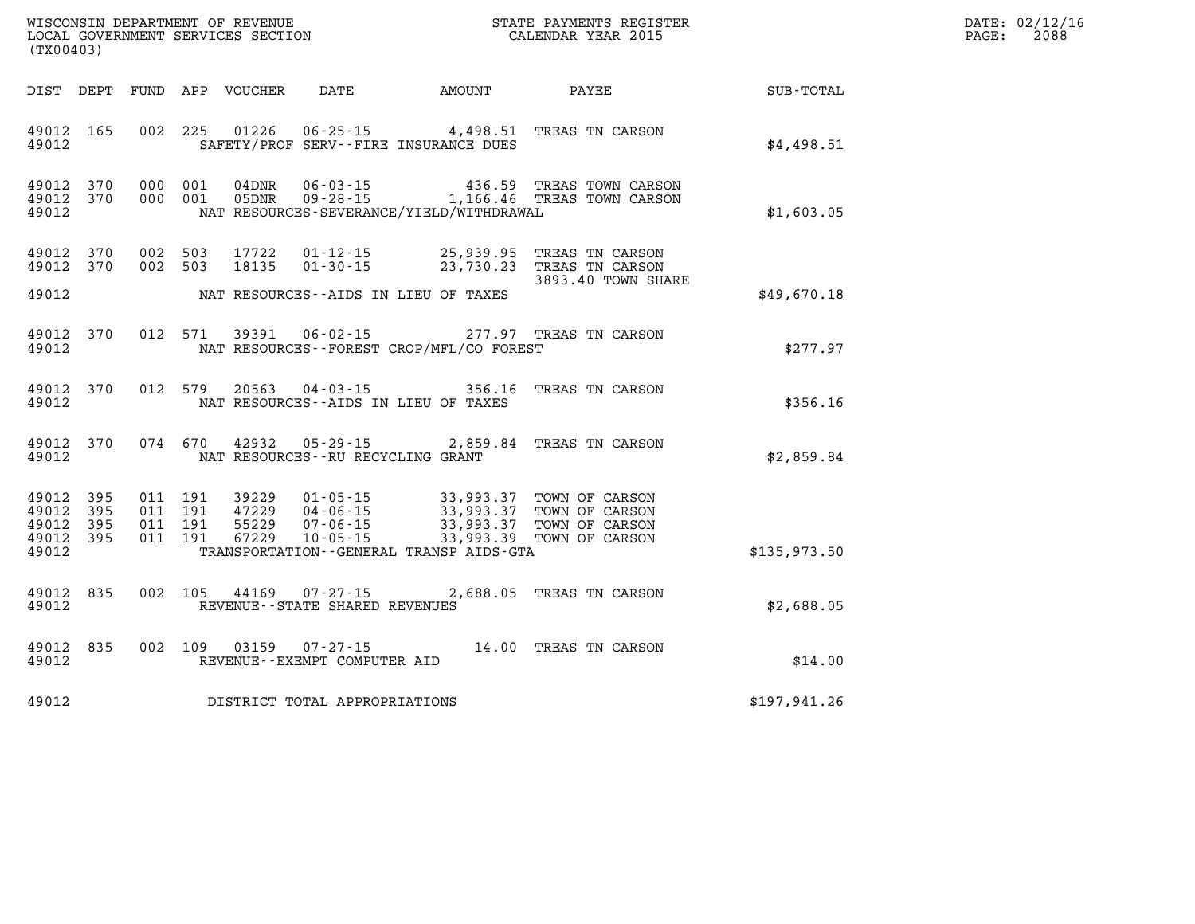| WISCONSIN DEPARTMENT OF REVENUE      | PAYMENTS REGISTER<br>3TATE | DATE: | 02/12/16 |
|--------------------------------------|----------------------------|-------|----------|
| GOVERNMENT SERVICES SECTION<br>LOCAL | CALENDAR YEAR 2015         | PAGE  | 2088     |

|                | (TX00403)                                    |                    | LOCAL GOVERNMENT SERVICES SECTION |                                                     | CALENDAR YEAR 2015                                                                                                                                                                                                                                                                                                                                                                       |                                                                                           |               | PAGE: | 2088 |
|----------------|----------------------------------------------|--------------------|-----------------------------------|-----------------------------------------------------|------------------------------------------------------------------------------------------------------------------------------------------------------------------------------------------------------------------------------------------------------------------------------------------------------------------------------------------------------------------------------------------|-------------------------------------------------------------------------------------------|---------------|-------|------|
|                | DIST DEPT                                    |                    |                                   |                                                     |                                                                                                                                                                                                                                                                                                                                                                                          |                                                                                           | SUB-TOTAL     |       |      |
| 49012          | 49012 165                                    |                    |                                   |                                                     | SAFETY/PROF SERV--FIRE INSURANCE DUES                                                                                                                                                                                                                                                                                                                                                    | 002 225 01226 06-25-15 4,498.51 TREAS TN CARSON                                           | \$4,498.51    |       |      |
| 49012          | 49012 370<br>49012 370                       | 000 001<br>000 001 |                                   |                                                     | NAT RESOURCES-SEVERANCE/YIELD/WITHDRAWAL                                                                                                                                                                                                                                                                                                                                                 | 04DNR  06-03-15  436.59 TREAS TOWN CARSON<br>05DNR  09-28-15   1,166.46 TREAS TOWN CARSON | \$1,603.05    |       |      |
|                | 49012 370<br>49012 370                       | 002 503<br>002 503 | 17722<br>18135                    | $01 - 30 - 15$                                      |                                                                                                                                                                                                                                                                                                                                                                                          | 01-12-15 25,939.95 TREAS TN CARSON<br>23,730.23 TREAS TN CARSON                           |               |       |      |
| 49012          |                                              |                    |                                   |                                                     | NAT RESOURCES--AIDS IN LIEU OF TAXES                                                                                                                                                                                                                                                                                                                                                     | 3893.40 TOWN SHARE                                                                        | \$49,670.18   |       |      |
| 49012          | 49012 370                                    | 012 571            | 39391                             | $06 - 02 - 15$                                      | NAT RESOURCES - - FOREST CROP/MFL/CO FOREST                                                                                                                                                                                                                                                                                                                                              | 277.97 TREAS TN CARSON                                                                    | \$277.97      |       |      |
| 49012          | 49012 370                                    | 012 579            | 20563                             |                                                     | NAT RESOURCES -- AIDS IN LIEU OF TAXES                                                                                                                                                                                                                                                                                                                                                   | 04-03-15 356.16 TREAS TN CARSON                                                           | \$356.16      |       |      |
| 49012          | 49012 370                                    | 074 670            |                                   |                                                     | NAT RESOURCES -- RU RECYCLING GRANT                                                                                                                                                                                                                                                                                                                                                      | 42932  05-29-15  2,859.84  TREAS TN CARSON                                                | \$2,859.84    |       |      |
| 49012<br>49012 | 49012 395<br>49012 395<br>- 395<br>49012 395 |                    |                                   |                                                     | $\begin{array}{cccc} 011 & 191 & 39229 & 01\cdot 05\cdot 15 & 33\, , 993\, .37 & \text{TOWN OF CARSON} \\ 011 & 191 & 47229 & 04\cdot 06\cdot 15 & 33\, , 993\, .37 & \text{TOWN OF CARSON} \\ 011 & 191 & 55229 & 07\cdot 06\cdot 15 & 33\, , 993\, .37 & \text{TOWN OF CARSON} \\ 011 & 191 & 67229 & 10\cdot 05\cdot 15 & 33\, , 993$<br>TRANSPORTATION - - GENERAL TRANSP AIDS - GTA |                                                                                           | \$135,973.50  |       |      |
| 49012          | 49012 835                                    | 002 105            |                                   | 44169 07-27-15<br>REVENUE - - STATE SHARED REVENUES |                                                                                                                                                                                                                                                                                                                                                                                          | 2,688.05 TREAS TN CARSON                                                                  | \$2,688.05    |       |      |
| 49012          | 49012 835                                    | 002 109            |                                   | REVENUE--EXEMPT COMPUTER AID                        |                                                                                                                                                                                                                                                                                                                                                                                          | 03159  07-27-15  14.00  TREAS TN CARSON                                                   | \$14.00       |       |      |
| 49012          |                                              |                    |                                   | DISTRICT TOTAL APPROPRIATIONS                       |                                                                                                                                                                                                                                                                                                                                                                                          |                                                                                           | \$197, 941.26 |       |      |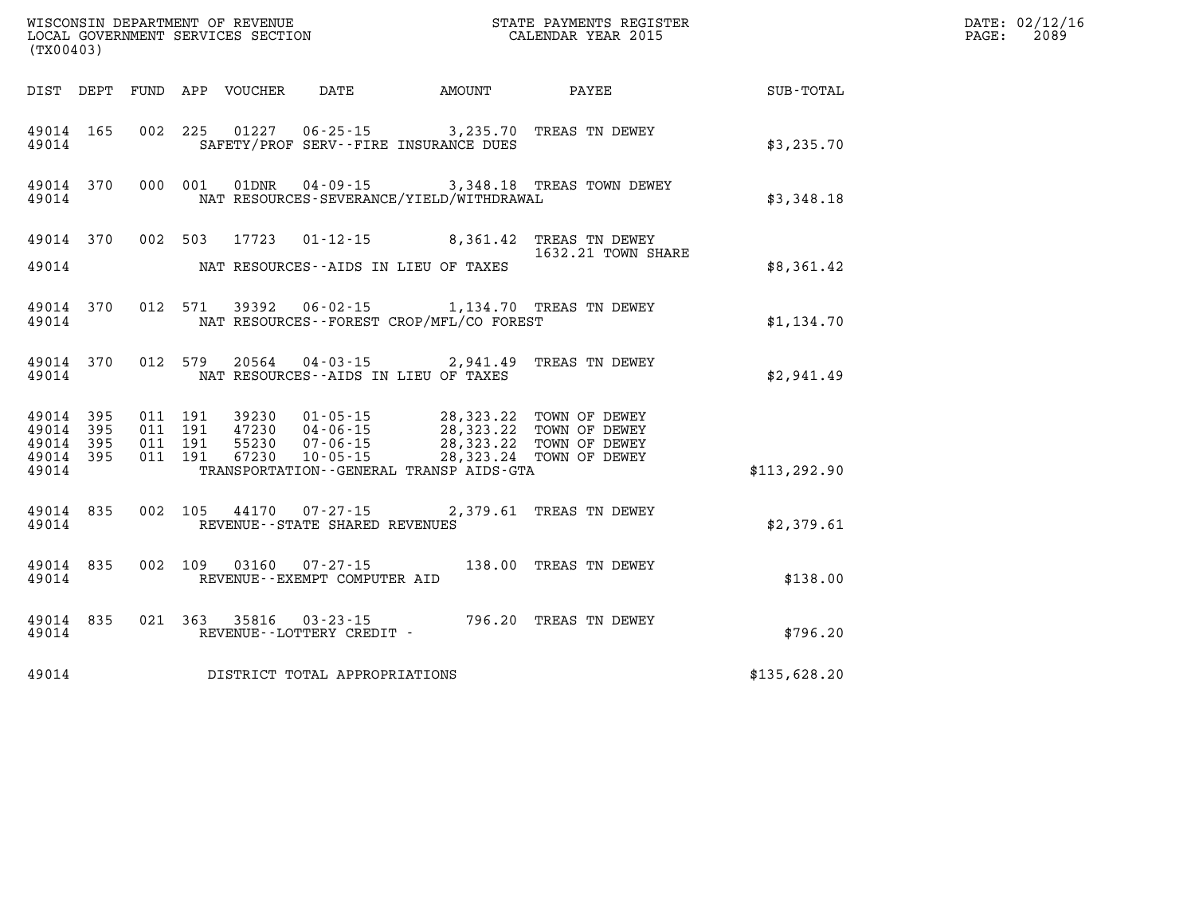| (TX00403)                                                 |           |                                          |                            |                                                        |                                                                                                                                                                                                                             |                                                                                |               | DATE: 02/12/16<br>2089<br>PAGE: |
|-----------------------------------------------------------|-----------|------------------------------------------|----------------------------|--------------------------------------------------------|-----------------------------------------------------------------------------------------------------------------------------------------------------------------------------------------------------------------------------|--------------------------------------------------------------------------------|---------------|---------------------------------|
|                                                           |           |                                          | DIST DEPT FUND APP VOUCHER | DATE                                                   | AMOUNT                                                                                                                                                                                                                      | PAYEE                                                                          | SUB-TOTAL     |                                 |
| 49014 165<br>49014                                        |           |                                          |                            |                                                        | SAFETY/PROF SERV--FIRE INSURANCE DUES                                                                                                                                                                                       | 002 225 01227 06-25-15 3,235.70 TREAS TN DEWEY                                 | \$3,235.70    |                                 |
| 49014                                                     | 49014 370 |                                          |                            |                                                        | NAT RESOURCES-SEVERANCE/YIELD/WITHDRAWAL                                                                                                                                                                                    | 000 001 01DNR 04-09-15 3,348.18 TREAS TOWN DEWEY                               | \$3,348.18    |                                 |
| 49014                                                     |           |                                          |                            |                                                        | NAT RESOURCES--AIDS IN LIEU OF TAXES                                                                                                                                                                                        | 49014 370 002 503 17723 01-12-15 8,361.42 TREAS TN DEWEY<br>1632.21 TOWN SHARE | \$8,361.42    |                                 |
| 49014                                                     | 49014 370 |                                          |                            |                                                        | NAT RESOURCES--FOREST CROP/MFL/CO FOREST                                                                                                                                                                                    | 012 571 39392 06-02-15 1,134.70 TREAS TN DEWEY                                 | \$1,134.70    |                                 |
| 49014                                                     | 49014 370 |                                          |                            |                                                        | NAT RESOURCES--AIDS IN LIEU OF TAXES                                                                                                                                                                                        | 012 579 20564 04-03-15 2,941.49 TREAS TN DEWEY                                 | \$2.941.49    |                                 |
| 49014 395<br>49014 395<br>49014 395<br>49014 395<br>49014 |           | 011 191<br>011 191<br>011 191<br>011 191 |                            |                                                        | 39230  01-05-15  28,323.22  TOWN OF DEWEY<br>47230  04-06-15  28,323.22  TOWN OF DEWEY<br>55230  07-06-15  28,323.22  TOWN OF DEWEY<br>67230  10-05-15  28,323.24  TOWN OF DEWEY<br>TRANSPORTATION--GENERAL TRANSP AIDS-GTA |                                                                                | \$113, 292.90 |                                 |
| 49014 835<br>49014                                        |           |                                          |                            | REVENUE - - STATE SHARED REVENUES                      |                                                                                                                                                                                                                             | 002 105 44170 07-27-15 2,379.61 TREAS TN DEWEY                                 | \$2,379.61    |                                 |
| 49014 835<br>49014                                        |           |                                          |                            | 002 109 03160 07-27-15<br>REVENUE--EXEMPT COMPUTER AID |                                                                                                                                                                                                                             | 138.00 TREAS TN DEWEY                                                          | \$138.00      |                                 |
| 49014                                                     | 49014 835 |                                          |                            | 021 363 35816 03-23-15<br>REVENUE--LOTTERY CREDIT -    |                                                                                                                                                                                                                             | 796.20 TREAS TN DEWEY                                                          | \$796.20      |                                 |
| 49014                                                     |           |                                          |                            | DISTRICT TOTAL APPROPRIATIONS                          |                                                                                                                                                                                                                             |                                                                                | \$135,628.20  |                                 |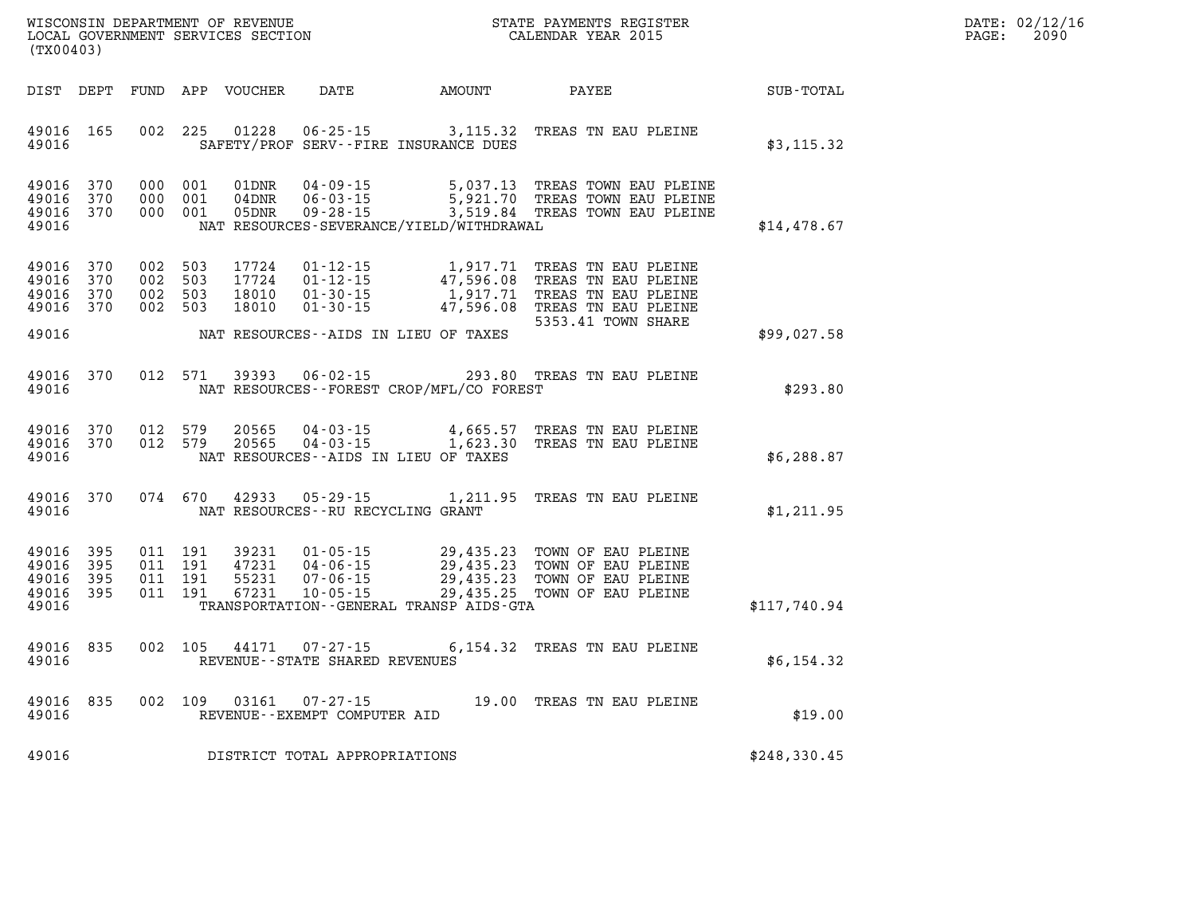| $\mathtt{DATE}$ : | 02/12/16 |
|-------------------|----------|
| PAGE:             | 2090     |

| (TX00403)                                 |                          |                          |                          | WISCONSIN DEPARTMENT OF REVENUE<br>LOCAL GOVERNMENT SERVICES SECTION |                                                                      |                                                                                             | STATE PAYMENTS REGISTER<br>CALENDAR YEAR 2015                                                                  |              |
|-------------------------------------------|--------------------------|--------------------------|--------------------------|----------------------------------------------------------------------|----------------------------------------------------------------------|---------------------------------------------------------------------------------------------|----------------------------------------------------------------------------------------------------------------|--------------|
| DIST                                      | DEPT                     | FUND                     | APP                      | VOUCHER                                                              | DATE                                                                 | AMOUNT                                                                                      | PAYEE                                                                                                          | SUB-TOTAL    |
| 49016<br>49016                            | 165                      | 002                      | 225                      | 01228                                                                | $06 - 25 - 15$                                                       | 3,115.32<br>SAFETY/PROF SERV--FIRE INSURANCE DUES                                           | TREAS TN EAU PLEINE                                                                                            | \$3,115.32   |
| 49016<br>49016<br>49016<br>49016          | 370<br>370<br>370        | 000<br>000<br>000        | 001<br>001<br>001        | 01DNR<br>04DNR<br>05DNR                                              | $04 - 09 - 15$<br>$06 - 03 - 15$<br>$09 - 28 - 15$                   | 5,037.13<br>5,921.70<br>3,519.84<br>NAT RESOURCES-SEVERANCE/YIELD/WITHDRAWAL                | TREAS TOWN EAU PLEINE<br>TREAS TOWN EAU PLEINE<br>TREAS TOWN EAU PLEINE                                        | \$14,478.67  |
| 49016<br>49016<br>49016<br>49016          | 370<br>370<br>370<br>370 | 002<br>002<br>002<br>002 | 503<br>503<br>503<br>503 | 17724<br>17724<br>18010<br>18010                                     | $01 - 12 - 15$<br>$01 - 12 - 15$<br>$01 - 30 - 15$<br>$01 - 30 - 15$ | 1,917.71<br>47,596.08<br>1,917.71<br>47,596.08                                              | TREAS TN EAU PLEINE<br>TREAS TN EAU PLEINE<br>TREAS TN EAU PLEINE<br>TREAS TN EAU PLEINE<br>5353.41 TOWN SHARE |              |
| 49016                                     |                          |                          |                          |                                                                      |                                                                      | NAT RESOURCES--AIDS IN LIEU OF TAXES                                                        |                                                                                                                | \$99,027.58  |
| 49016<br>49016                            | 370                      | 012                      | 571                      | 39393                                                                | $06 - 02 - 15$                                                       | 293.80<br>NAT RESOURCES - - FOREST CROP/MFL/CO FOREST                                       | TREAS TN EAU PLEINE                                                                                            | \$293.80     |
| 49016<br>49016<br>49016                   | 370<br>370               | 012<br>012               | 579<br>579               | 20565<br>20565                                                       | $04 - 03 - 15$<br>$04 - 03 - 15$                                     | 4,665.57<br>1,623.30<br>NAT RESOURCES -- AIDS IN LIEU OF TAXES                              | TREAS TN EAU PLEINE<br>TREAS TN EAU PLEINE                                                                     | \$6,288.87   |
| 49016<br>49016                            | 370                      | 074                      | 670                      | 42933                                                                | $05 - 29 - 15$<br>NAT RESOURCES - - RU RECYCLING GRANT               | 1,211.95                                                                                    | TREAS TN EAU PLEINE                                                                                            | \$1,211.95   |
| 49016<br>49016<br>49016<br>49016<br>49016 | 395<br>395<br>395<br>395 | 011<br>011<br>011<br>011 | 191<br>191<br>191<br>191 | 39231<br>47231<br>55231<br>67231                                     | $01 - 05 - 15$<br>$04 - 06 - 15$<br>$07 - 06 - 15$<br>$10 - 05 - 15$ | 29,435.23<br>29,435.23<br>29,435.23<br>29,435.25<br>TRANSPORTATION--GENERAL TRANSP AIDS-GTA | TOWN OF EAU PLEINE<br>TOWN OF EAU PLEINE<br>TOWN OF EAU PLEINE<br>TOWN OF EAU PLEINE                           | \$117,740.94 |
| 49016<br>49016                            | 835                      | 002                      | 105                      | 44171                                                                | $07 - 27 - 15$<br>REVENUE - - STATE SHARED REVENUES                  | 6,154.32                                                                                    | TREAS TN EAU PLEINE                                                                                            | \$6,154.32   |
| 49016<br>49016                            | 835                      | 002                      | 109                      | 03161                                                                | $07 - 27 - 15$<br>REVENUE - - EXEMPT COMPUTER AID                    | 19.00                                                                                       | TREAS TN EAU PLEINE                                                                                            | \$19.00      |
| 49016                                     |                          |                          |                          |                                                                      | DISTRICT TOTAL APPROPRIATIONS                                        |                                                                                             |                                                                                                                | \$248,330.45 |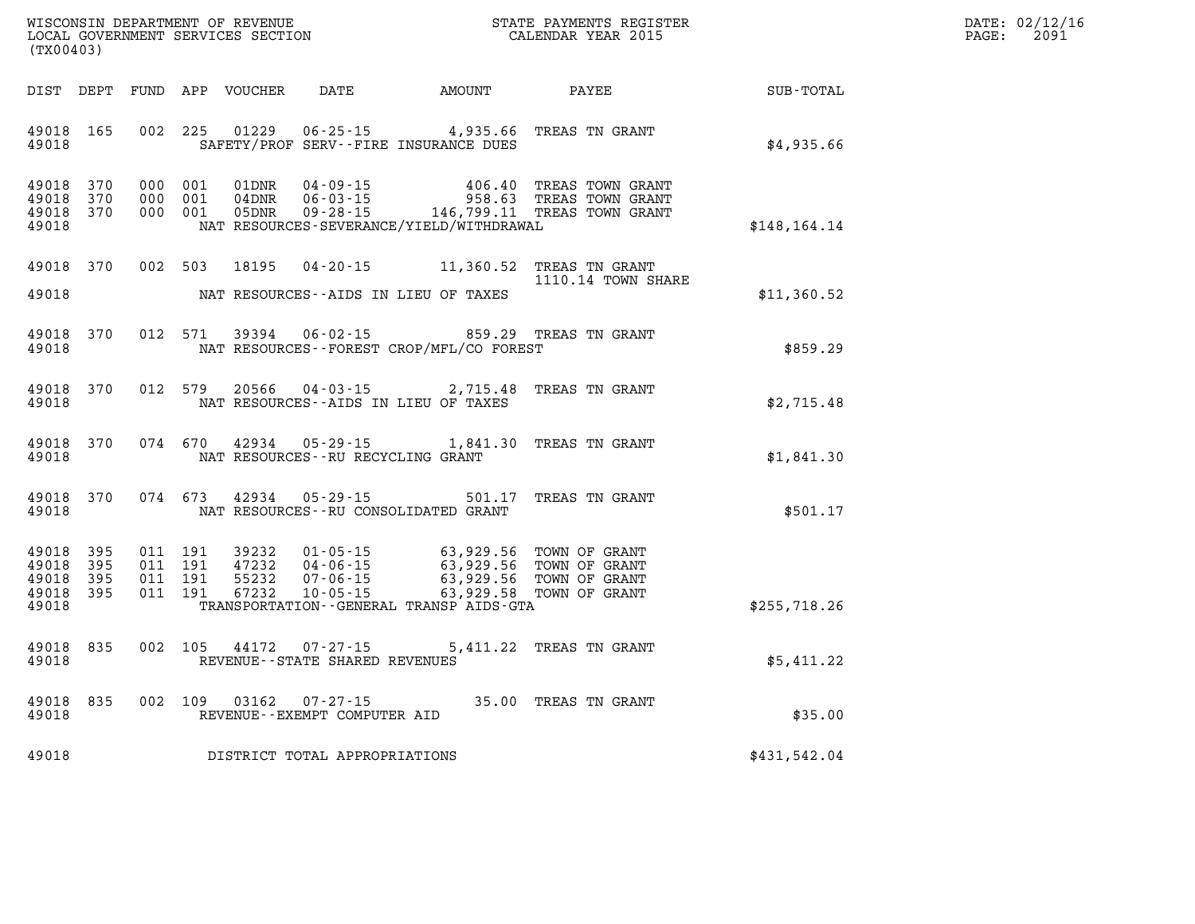| WISCONSIN DEPARTMENT OF REVENUE      | PAYMENTS REGISTER<br>3TATE | DATE: | 02/12/16 |
|--------------------------------------|----------------------------|-------|----------|
| GOVERNMENT SERVICES SECTION<br>LOCAL | CALENDAR YEAR 2015         | PAGE  | 2091     |

| (TX00403)                                         |            |  |               |                                      |                                                                                                                                                                                                                                                                                                                                                                                        | $\begin{array}{ll}\n\text{LOCALENDAR} & \text{YEAR} \text{ NEAR} \\ \text{JHOMO2} & \text{SERVICES} \text{ SECTION} \\ \text{JHOMO2} & \text{SERTION} \\ \end{array}$ |              | PAGE: | 2091 |
|---------------------------------------------------|------------|--|---------------|--------------------------------------|----------------------------------------------------------------------------------------------------------------------------------------------------------------------------------------------------------------------------------------------------------------------------------------------------------------------------------------------------------------------------------------|-----------------------------------------------------------------------------------------------------------------------------------------------------------------------|--------------|-------|------|
|                                                   |            |  |               |                                      |                                                                                                                                                                                                                                                                                                                                                                                        | DIST DEPT FUND APP VOUCHER DATE             AMOUNT               PAYEE                          SUB-TOTAL                                                             |              |       |      |
| 49018 165<br>49018                                |            |  |               |                                      | SAFETY/PROF SERV--FIRE INSURANCE DUES                                                                                                                                                                                                                                                                                                                                                  | 002 225 01229 06-25-15 4,935.66 TREAS TN GRANT                                                                                                                        | \$4,935.66   |       |      |
| 49018 370<br>49018 370<br>49018 370<br>49018      |            |  |               |                                      | NAT RESOURCES-SEVERANCE/YIELD/WITHDRAWAL                                                                                                                                                                                                                                                                                                                                               | 000 001 01DNR 04-09-15 406.40 TREAS TOWN GRANT 000 001 04DNR 06-03-15 958.63 TREAS TOWN GRANT 000 001 05DNR 09-28-15 146,799.11 TREAS TOWN GRANT                      | \$148,164.14 |       |      |
|                                                   | 49018 370  |  |               |                                      |                                                                                                                                                                                                                                                                                                                                                                                        | 002 503 18195 04-20-15 11,360.52 TREAS TN GRANT<br>1110.14 TOWN SHARE                                                                                                 |              |       |      |
| 49018                                             |            |  |               |                                      | NAT RESOURCES--AIDS IN LIEU OF TAXES                                                                                                                                                                                                                                                                                                                                                   |                                                                                                                                                                       | \$11,360.52  |       |      |
| 49018<br>49018                                    | 370        |  |               |                                      |                                                                                                                                                                                                                                                                                                                                                                                        | 012 571 39394 06-02-15 859.29 TREAS TN GRANT<br>\$859.29 \$859.29 TREAS TN GRANT                                                                                      |              |       |      |
| 49018                                             | 49018 370  |  |               |                                      | NAT RESOURCES--AIDS IN LIEU OF TAXES                                                                                                                                                                                                                                                                                                                                                   | 012 579 20566 04-03-15 2,715.48 TREAS TN GRANT                                                                                                                        | \$2,715.48   |       |      |
| 49018<br>49018                                    | 370        |  | 074 670 42934 | NAT RESOURCES - - RU RECYCLING GRANT | 05-29-15 1,841.30 TREAS TN GRANT                                                                                                                                                                                                                                                                                                                                                       |                                                                                                                                                                       | \$1,841.30   |       |      |
| 49018                                             | 49018 370  |  |               | 074 673 42934 05-29-15               | NAT RESOURCES--RU CONSOLIDATED GRANT                                                                                                                                                                                                                                                                                                                                                   | 501.17 TREAS TN GRANT                                                                                                                                                 | \$501.17     |       |      |
| 49018<br>49018<br>49018 395<br>49018 395<br>49018 | 395<br>395 |  |               |                                      | $\begin{array}{cccc} 011 & 191 & 39232 & 01\cdot 05\cdot 15 & 63\,, 929\, .56 & \text{TOWN OF GRANT} \\ 011 & 191 & 47232 & 04\cdot 06\cdot 15 & 63\,, 929\, .56 & \text{TOWN OF GRANT} \\ 011 & 191 & 55232 & 07\cdot 06\cdot 15 & 63\,, 929\, .56 & \text{TOWN OF GRANT} \\ 011 & 191 & 67232 & 10\cdot 05\cdot 15 & 63\,, 929\, .58 & \$<br>TRANSPORTATION--GENERAL TRANSP AIDS-GTA |                                                                                                                                                                       | \$255,718.26 |       |      |
| 49018<br>49018                                    | 835        |  | 002 105 44172 | REVENUE--STATE SHARED REVENUES       | 07-27-15 5,411.22 TREAS TN GRANT                                                                                                                                                                                                                                                                                                                                                       |                                                                                                                                                                       | \$5,411.22   |       |      |
| 49018 835<br>49018                                |            |  |               | REVENUE--EXEMPT COMPUTER AID         | 002 109 03162 07-27-15 35.00 TREAS TN GRANT                                                                                                                                                                                                                                                                                                                                            |                                                                                                                                                                       | \$35.00      |       |      |
| 49018                                             |            |  |               | DISTRICT TOTAL APPROPRIATIONS        |                                                                                                                                                                                                                                                                                                                                                                                        |                                                                                                                                                                       | \$431,542.04 |       |      |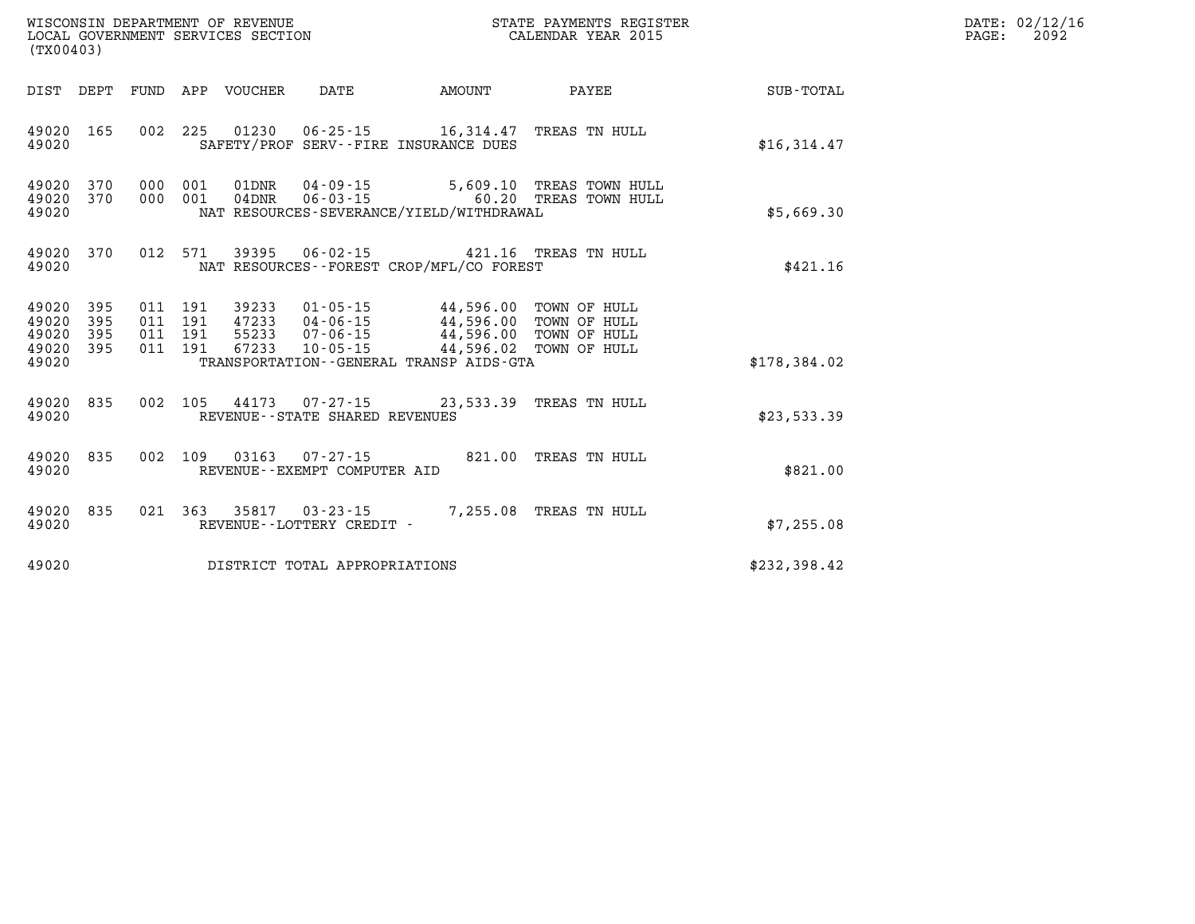| (TX00403)                                                 |                        |                                          |                            | WISCONSIN DEPARTMENT OF REVENUE<br>LOCAL GOVERNMENT SERVICES SECTION |                                                                                                                                                                                                                         | STATE PAYMENTS REGISTER<br>CALENDAR YEAR 2015     |              | DATE: 02/12/16<br>$\mathtt{PAGE:}$<br>2092 |
|-----------------------------------------------------------|------------------------|------------------------------------------|----------------------------|----------------------------------------------------------------------|-------------------------------------------------------------------------------------------------------------------------------------------------------------------------------------------------------------------------|---------------------------------------------------|--------------|--------------------------------------------|
|                                                           |                        |                                          | DIST DEPT FUND APP VOUCHER | DATE                                                                 | AMOUNT                                                                                                                                                                                                                  | PAYEE                                             | SUB-TOTAL    |                                            |
| 49020                                                     | 49020 165              |                                          |                            |                                                                      | 002 225 01230 06-25-15 16,314.47 TREAS TN HULL<br>SAFETY/PROF SERV--FIRE INSURANCE DUES                                                                                                                                 |                                                   | \$16,314.47  |                                            |
| 49020                                                     | 49020 370<br>49020 370 | 000 001                                  |                            | 000 001 04DNR 06-03-15                                               | NAT RESOURCES-SEVERANCE/YIELD/WITHDRAWAL                                                                                                                                                                                | 5,609.10 TREAS TOWN HULL<br>60.20 TREAS TOWN HULL | \$5,669.30   |                                            |
| 49020                                                     | 49020 370              |                                          |                            |                                                                      | 012 571 39395 06-02-15 421.16 TREAS TN HULL<br>NAT RESOURCES--FOREST CROP/MFL/CO FOREST                                                                                                                                 |                                                   | \$421.16     |                                            |
| 49020 395<br>49020 395<br>49020 395<br>49020 395<br>49020 |                        | 011 191<br>011 191<br>011 191<br>011 191 |                            |                                                                      | 39233  01-05-15  44,596.00  TOWN OF HULL<br>47233  04-06-15  44,596.00  TOWN OF HULL<br>55233  07-06-15  44,596.00  TOWN OF HULL<br>67233  10-05-15  44,596.02  TOWN OF HULL<br>TRANSPORTATION--GENERAL TRANSP AIDS-GTA |                                                   | \$178,384.02 |                                            |
|                                                           |                        |                                          |                            |                                                                      |                                                                                                                                                                                                                         |                                                   |              |                                            |
| 49020                                                     | 49020 835              |                                          |                            | REVENUE - - STATE SHARED REVENUES                                    | 002 105 44173 07-27-15 23,533.39 TREAS TN HULL                                                                                                                                                                          |                                                   | \$23,533.39  |                                            |
| 49020                                                     | 49020 835              | 002 109                                  |                            | REVENUE--EXEMPT COMPUTER AID                                         |                                                                                                                                                                                                                         |                                                   | \$821.00     |                                            |
| 49020                                                     | 49020 835              |                                          |                            | REVENUE - - LOTTERY CREDIT -                                         | 021 363 35817 03-23-15 7,255.08 TREAS TN HULL                                                                                                                                                                           |                                                   | \$7,255.08   |                                            |
| 49020                                                     |                        |                                          |                            | DISTRICT TOTAL APPROPRIATIONS                                        |                                                                                                                                                                                                                         |                                                   | \$232,398.42 |                                            |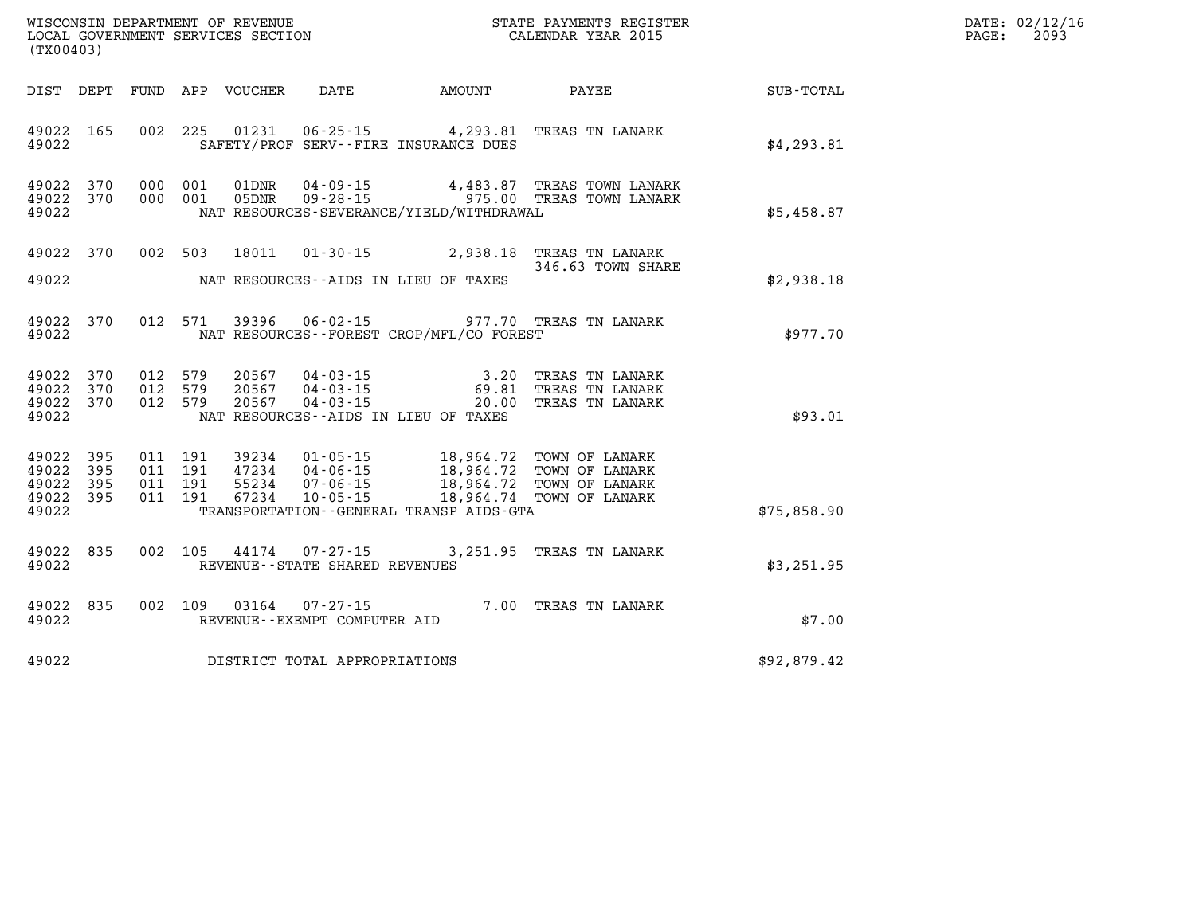| (TX00403)                                     |                   |                                          |                            | WISCONSIN DEPARTMENT OF REVENUE<br>LOCAL GOVERNMENT SERVICES SECTION<br>(TYO0403) |                                              | STATE PAYMENTS REGISTER<br>CALENDAR YEAR 2015                                                                                                                            |             | DATE: 02/12/16<br>PAGE:<br>2093 |
|-----------------------------------------------|-------------------|------------------------------------------|----------------------------|-----------------------------------------------------------------------------------|----------------------------------------------|--------------------------------------------------------------------------------------------------------------------------------------------------------------------------|-------------|---------------------------------|
|                                               |                   |                                          | DIST DEPT FUND APP VOUCHER |                                                                                   | DATE AMOUNT                                  | <b>PAYEE</b>                                                                                                                                                             | SUB-TOTAL   |                                 |
| 49022 165<br>49022                            |                   |                                          |                            |                                                                                   | SAFETY/PROF SERV--FIRE INSURANCE DUES        | 002 225 01231 06-25-15 4,293.81 TREAS TN LANARK                                                                                                                          | \$4,293.81  |                                 |
| 49022 370<br>49022 370<br>49022               |                   | 000 001<br>000 001                       | 01DNR<br>05DNR             |                                                                                   | NAT RESOURCES-SEVERANCE/YIELD/WITHDRAWAL     | 04-09-15 4,483.87 TREAS TOWN LANARK<br>09-28-15 975.00 TREAS TOWN LANARK                                                                                                 | \$5,458.87  |                                 |
| 49022 370                                     |                   |                                          |                            |                                                                                   |                                              | 002 503 18011 01-30-15 2,938.18 TREAS TN LANARK<br>346.63 TOWN SHARE                                                                                                     |             |                                 |
| 49022                                         |                   |                                          |                            |                                                                                   | NAT RESOURCES--AIDS IN LIEU OF TAXES         |                                                                                                                                                                          | \$2,938.18  |                                 |
| 49022 370<br>49022                            |                   |                                          |                            |                                                                                   | NAT RESOURCES--FOREST CROP/MFL/CO FOREST     | 012 571 39396 06-02-15 977.70 TREAS TN LANARK                                                                                                                            | \$977.70    |                                 |
| 49022<br>49022 370<br>49022 370<br>49022      | 370               |                                          |                            | NAT RESOURCES--AIDS IN LIEU OF TAXES                                              |                                              | 012 579 20567 04-03-15 3.20 TREAS TN LANARK<br>012 579 20567 04-03-15 69.81 TREAS TN LANARK<br>012 579 20567 04-03-15 20.00 TREAS TN LANARK                              | \$93.01     |                                 |
| 49022<br>49022<br>49022<br>49022 395<br>49022 | 395<br>395<br>395 | 011 191<br>011 191<br>011 191<br>011 191 |                            |                                                                                   | TRANSPORTATION - - GENERAL TRANSP AIDS - GTA | 39234 01-05-15 18,964.72 TOWN OF LANARK<br>47234 04-06-15 18,964.72 TOWN OF LANARK<br>55234 07-06-15 18,964.72 TOWN OF LANARK<br>67234 10-05-15 18,964.74 TOWN OF LANARK | \$75,858.90 |                                 |
| 49022<br>49022                                | 835               |                                          |                            | 002 105 44174 07-27-15<br>REVENUE - - STATE SHARED REVENUES                       |                                              | 3,251.95 TREAS TN LANARK                                                                                                                                                 | \$3,251.95  |                                 |
| 49022<br>49022                                | 835               |                                          | 002 109 03164              | REVENUE--EXEMPT COMPUTER AID                                                      |                                              | 07-27-15 7.00 TREAS TN LANARK                                                                                                                                            | \$7.00      |                                 |
| 49022                                         |                   |                                          |                            | DISTRICT TOTAL APPROPRIATIONS                                                     |                                              |                                                                                                                                                                          | \$92,879.42 |                                 |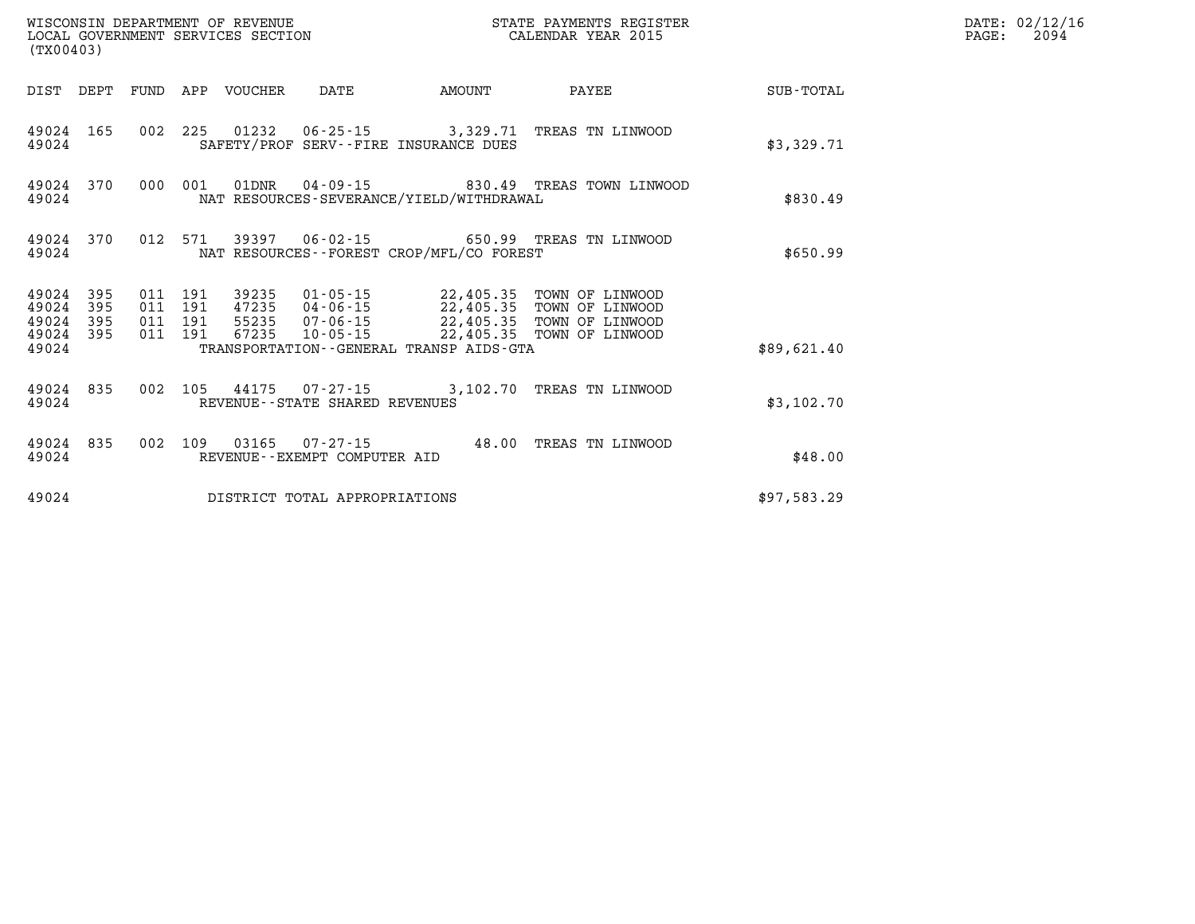| (TX00403)               |                   |                   |                   | WISCONSIN DEPARTMENT OF REVENUE<br>LOCAL GOVERNMENT SERVICES SECTION |                                                   | STATE PAYMENTS REGISTER<br>CALENDAR YEAR 2015        |                                                       |             |  |
|-------------------------|-------------------|-------------------|-------------------|----------------------------------------------------------------------|---------------------------------------------------|------------------------------------------------------|-------------------------------------------------------|-------------|--|
| DIST                    | DEPT              | FUND              | APP               | VOUCHER                                                              | DATE                                              | AMOUNT                                               | PAYEE                                                 | SUB-TOTAL   |  |
| 49024<br>49024          | 165               | 002               | 225               |                                                                      |                                                   | SAFETY/PROF SERV--FIRE INSURANCE DUES                | 01232   06-25-15   3,329.71   TREAS TN LINWOOD        | \$3,329.71  |  |
| 49024<br>49024          | 370               | 000               | 001               | 01DNR                                                                |                                                   | NAT RESOURCES-SEVERANCE/YIELD/WITHDRAWAL             | 04-09-15 830.49 TREAS TOWN LINWOOD                    | \$830.49    |  |
| 49024<br>49024          | 370               | 012               | 571               | 39397                                                                |                                                   | NAT RESOURCES - - FOREST CROP/MFL/CO FOREST          | 06-02-15 650.99 TREAS TN LINWOOD                      | \$650.99    |  |
| 49024<br>49024<br>49024 | 395<br>395<br>395 | 011<br>011<br>011 | 191<br>191<br>191 | 39235<br>47235<br>55235                                              | $01 - 05 - 15$<br>04-06-15<br>$07 - 06 - 15$      | 22,405.35<br>22,405.35<br>22,405.35                  | TOWN OF LINWOOD<br>TOWN OF LINWOOD<br>TOWN OF LINWOOD |             |  |
| 49024<br>49024          | 395               | 011               | 191               | 67235                                                                | $10 - 05 - 15$                                    | 22,405.35<br>TRANSPORTATION--GENERAL TRANSP AIDS-GTA | TOWN OF LINWOOD                                       | \$89,621.40 |  |
| 49024<br>49024          | 835               | 002               | 105               | 44175                                                                | $07 - 27 - 15$<br>REVENUE--STATE SHARED REVENUES  | 3,102.70                                             | TREAS TN LINWOOD                                      | \$3,102.70  |  |
| 49024<br>49024          | 835               | 002               | 109               | 03165                                                                | $07 - 27 - 15$<br>REVENUE - - EXEMPT COMPUTER AID | 48.00                                                | TREAS TN LINWOOD                                      | \$48.00     |  |
| 49024                   |                   |                   |                   |                                                                      | DISTRICT TOTAL APPROPRIATIONS                     |                                                      |                                                       | \$97,583.29 |  |

**DATE: 02/12/16<br>PAGE: 2094**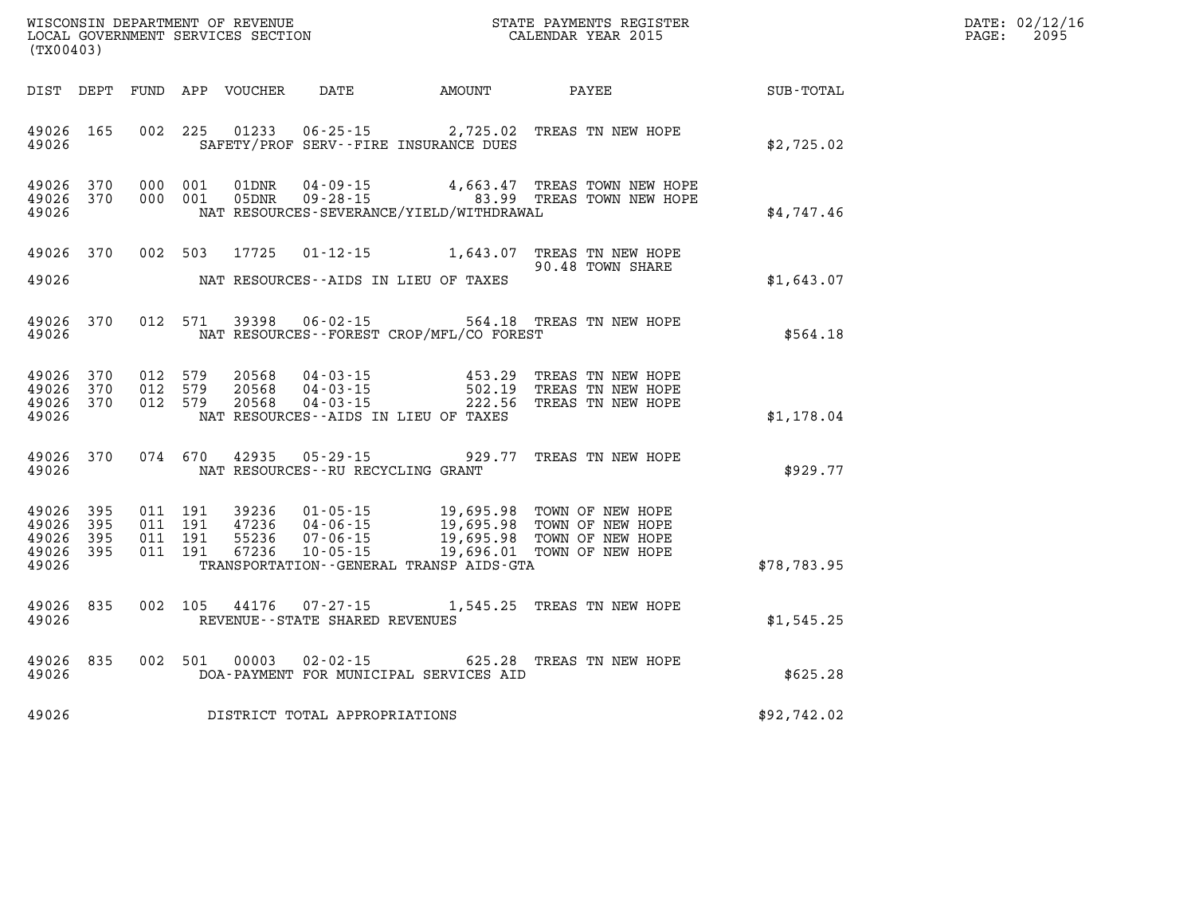| (TX00403)                                 |                          |                                          | WISCONSIN DEPARTMENT OF REVENUE<br>LOCAL GOVERNMENT SERVICES SECTION |                                        |                                              | STATE PAYMENTS REGISTER<br>CALENDAR YEAR 2015                                                                                                                                                                                       |                  | DATE: 02/12/16<br>$\mathtt{PAGE:}$<br>2095 |
|-------------------------------------------|--------------------------|------------------------------------------|----------------------------------------------------------------------|----------------------------------------|----------------------------------------------|-------------------------------------------------------------------------------------------------------------------------------------------------------------------------------------------------------------------------------------|------------------|--------------------------------------------|
|                                           |                          |                                          |                                                                      |                                        |                                              |                                                                                                                                                                                                                                     | <b>SUB-TOTAL</b> |                                            |
| 49026 165<br>49026                        |                          |                                          |                                                                      |                                        | SAFETY/PROF SERV--FIRE INSURANCE DUES        | 002 225 01233 06-25-15 2,725.02 TREAS TN NEW HOPE                                                                                                                                                                                   | \$2,725.02       |                                            |
| 49026 370<br>49026<br>49026               | 370                      | 000 001<br>000 001                       |                                                                      |                                        | NAT RESOURCES-SEVERANCE/YIELD/WITHDRAWAL     | $\begin{array}{cccc} \texttt{01DNR} & \texttt{04-09-15} & \texttt{4,663.47} & \texttt{TREAS} & \texttt{TOWN NEW HOPE} \\ \texttt{05DNR} & \texttt{09-28-15} & \texttt{83.99} & \texttt{TREAS} & \texttt{TOWN NEW HOPE} \end{array}$ | \$4,747.46       |                                            |
| 49026 370                                 |                          |                                          |                                                                      |                                        |                                              | 002 503 17725 01-12-15 1,643.07 TREAS TN NEW HOPE<br>90.48 TOWN SHARE                                                                                                                                                               |                  |                                            |
| 49026                                     |                          |                                          |                                                                      | NAT RESOURCES--AIDS IN LIEU OF TAXES   |                                              |                                                                                                                                                                                                                                     | \$1,643.07       |                                            |
| 49026                                     | 49026 370                |                                          |                                                                      |                                        | NAT RESOURCES--FOREST CROP/MFL/CO FOREST     | 012 571 39398 06-02-15 564.18 TREAS TN NEW HOPE                                                                                                                                                                                     | \$564.18         |                                            |
| 49026 370<br>49026<br>49026<br>49026      | 370<br>370               | 012 579<br>012 579<br>012 579            |                                                                      | NAT RESOURCES -- AIDS IN LIEU OF TAXES |                                              | 20568  04-03-15   453.29 TREAS TN NEW HOPE<br>20568  04-03-15   502.19 TREAS TN NEW HOPE<br>20568  04-03-15   222.56 TREAS TN NEW HOPE                                                                                              | \$1,178.04       |                                            |
| 49026                                     | 49026 370                |                                          |                                                                      | NAT RESOURCES--RU RECYCLING GRANT      |                                              | 074 670 42935 05-29-15 929.77 TREAS TN NEW HOPE                                                                                                                                                                                     | \$929.77         |                                            |
| 49026<br>49026<br>49026<br>49026<br>49026 | 395<br>395<br>395<br>395 | 011 191<br>011 191<br>011 191<br>011 191 |                                                                      |                                        | TRANSPORTATION - - GENERAL TRANSP AIDS - GTA | 39236 01-05-15 19,695.98 TOWN OF NEW HOPE<br>47236 04-06-15 19,695.98 TOWN OF NEW HOPE<br>55236 07-06-15 19,695.98 TOWN OF NEW HOPE<br>67236 10-05-15 19,696.01 TOWN OF NEW HOPE                                                    | \$78,783.95      |                                            |
| 49026 835<br>49026                        |                          |                                          |                                                                      | REVENUE - - STATE SHARED REVENUES      |                                              | 002 105 44176 07-27-15 1,545.25 TREAS TN NEW HOPE                                                                                                                                                                                   | \$1,545.25       |                                            |
| 49026                                     |                          |                                          |                                                                      |                                        | DOA-PAYMENT FOR MUNICIPAL SERVICES AID       | 49026 835 002 501 00003 02-02-15 625.28 TREAS TN NEW HOPE                                                                                                                                                                           | \$625.28         |                                            |
| 49026                                     |                          |                                          |                                                                      | DISTRICT TOTAL APPROPRIATIONS          |                                              |                                                                                                                                                                                                                                     | \$92,742.02      |                                            |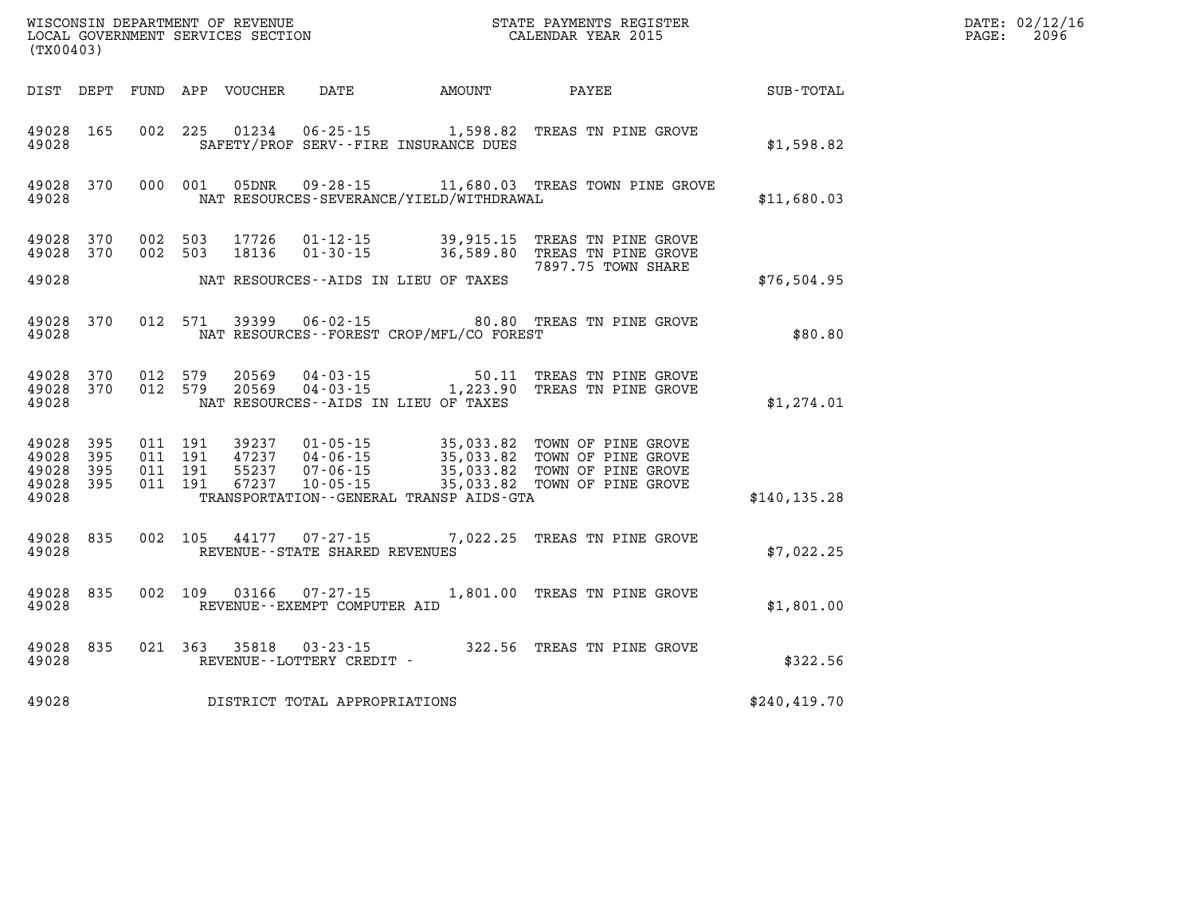|                                                   | WISCONSIN DEPARTMENT OF REVENUE<br>LOCAL GOVERNMENT SERVICES SECTION<br>(TX00403) |                                          |         |                            |                                                          |                                                                          | STATE PAYMENTS REGISTER<br>CALENDAR YEAR 2015                                                                                                                                                        |               | DATE: 02/12/16<br>$\mathtt{PAGE:}$<br>2096 |
|---------------------------------------------------|-----------------------------------------------------------------------------------|------------------------------------------|---------|----------------------------|----------------------------------------------------------|--------------------------------------------------------------------------|------------------------------------------------------------------------------------------------------------------------------------------------------------------------------------------------------|---------------|--------------------------------------------|
|                                                   |                                                                                   |                                          |         | DIST DEPT FUND APP VOUCHER | DATE                                                     | <b>AMOUNT</b>                                                            | PAYEE                                                                                                                                                                                                | SUB-TOTAL     |                                            |
| 49028 165<br>49028                                |                                                                                   |                                          |         |                            |                                                          | 002 225 01234 06-25-15 1,598.82<br>SAFETY/PROF SERV--FIRE INSURANCE DUES | TREAS TN PINE GROVE                                                                                                                                                                                  | \$1,598.82    |                                            |
| 49028                                             | 49028 370                                                                         | 000 001                                  |         | 05DNR                      |                                                          | NAT RESOURCES-SEVERANCE/YIELD/WITHDRAWAL                                 | 09-28-15 11,680.03 TREAS TOWN PINE GROVE                                                                                                                                                             | \$11,680.03   |                                            |
| 49028 370<br>49028 370                            |                                                                                   | 002 503<br>002 503                       |         | 17726<br>18136             |                                                          |                                                                          | 01-12-15 39,915.15 TREAS TN PINE GROVE<br>01-30-15 36,589.80 TREAS TN PINE GROVE<br>7897.75 TOWN SHARE                                                                                               |               |                                            |
| 49028                                             |                                                                                   |                                          |         |                            |                                                          | NAT RESOURCES--AIDS IN LIEU OF TAXES                                     |                                                                                                                                                                                                      | \$76,504.95   |                                            |
| 49028                                             | 49028 370                                                                         |                                          | 012 571 |                            |                                                          | NAT RESOURCES - - FOREST CROP/MFL/CO FOREST                              | 39399   06-02-15   80.80   TREAS TN PINE GROVE                                                                                                                                                       | \$80.80       |                                            |
| 49028 370<br>49028                                |                                                                                   | 49028 370 012 579<br>012 579             |         |                            |                                                          | NAT RESOURCES--AIDS IN LIEU OF TAXES                                     | 20569  04-03-15  50.11  TREAS TN PINE GROVE<br>20569  04-03-15   1,223.90  TREAS TN PINE GROVE                                                                                                       | \$1,274.01    |                                            |
| 49028 395<br>49028<br>49028<br>49028 395<br>49028 | 395<br>395                                                                        | 011 191<br>011 191<br>011 191<br>011 191 |         |                            |                                                          | TRANSPORTATION--GENERAL TRANSP AIDS-GTA                                  | 39237  01-05-15  35,033.82  TOWN OF PINE GROVE<br>47237  04-06-15  35,033.82  TOWN OF PINE GROVE<br>55237  07-06-15  35,033.82  TOWN OF PINE GROVE<br>67237  10-05-15  35,033.82  TOWN OF PINE GROVE | \$140, 135.28 |                                            |
| 49028 835<br>49028                                |                                                                                   |                                          |         |                            | 002 105 44177 07-27-15<br>REVENUE--STATE SHARED REVENUES |                                                                          | 7,022.25 TREAS TN PINE GROVE                                                                                                                                                                         | \$7,022.25    |                                            |
| 49028 835<br>49028                                |                                                                                   |                                          |         |                            | 002 109 03166 07-27-15<br>REVENUE--EXEMPT COMPUTER AID   |                                                                          | 1,801.00 TREAS TN PINE GROVE                                                                                                                                                                         | \$1,801.00    |                                            |
| 49028 835<br>49028                                |                                                                                   |                                          |         |                            | REVENUE--LOTTERY CREDIT -                                |                                                                          | 021 363 35818 03-23-15 322.56 TREAS TN PINE GROVE                                                                                                                                                    | \$322.56      |                                            |
| 49028                                             |                                                                                   |                                          |         |                            | DISTRICT TOTAL APPROPRIATIONS                            |                                                                          |                                                                                                                                                                                                      | \$240, 419.70 |                                            |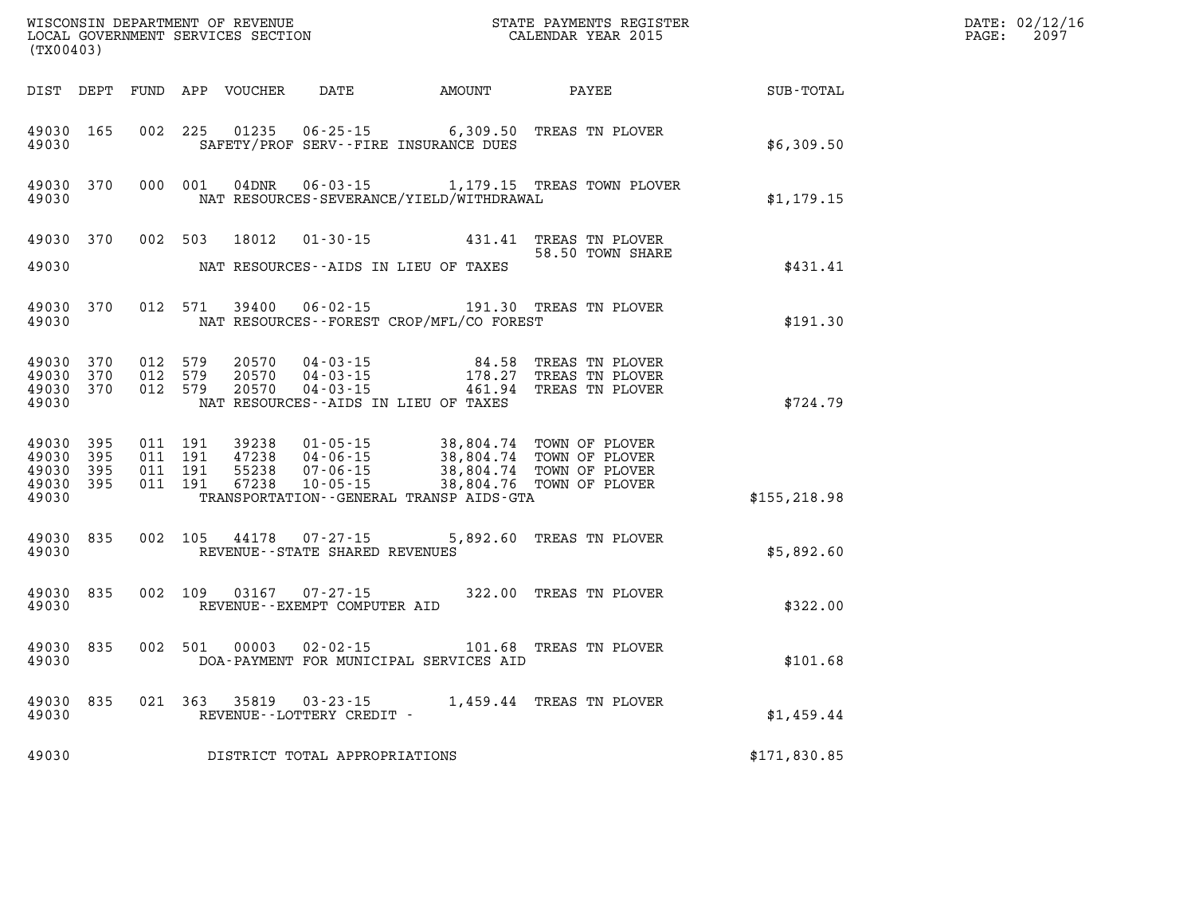| (TX00403)                                         |              |                                          |         |                         |                                                     |                                              |                                                                                                                                                                                      |               | DATE: 02/12/16<br>$\mathtt{PAGE:}$<br>2097 |
|---------------------------------------------------|--------------|------------------------------------------|---------|-------------------------|-----------------------------------------------------|----------------------------------------------|--------------------------------------------------------------------------------------------------------------------------------------------------------------------------------------|---------------|--------------------------------------------|
|                                                   |              |                                          |         |                         |                                                     | DIST DEPT FUND APP VOUCHER DATE AMOUNT PAYEE |                                                                                                                                                                                      | SUB-TOTAL     |                                            |
| 49030 165<br>49030                                |              | 002 225                                  |         |                         |                                                     | SAFETY/PROF SERV--FIRE INSURANCE DUES        | 01235  06-25-15  6,309.50  TREAS TN PLOVER                                                                                                                                           | \$6,309.50    |                                            |
| 49030                                             | 49030 370    |                                          |         |                         |                                                     | NAT RESOURCES-SEVERANCE/YIELD/WITHDRAWAL     | 000 001 04DNR 06-03-15 1,179.15 TREAS TOWN PLOVER                                                                                                                                    | \$1,179.15    |                                            |
| 49030 370<br>49030                                |              | 002 503                                  |         | 18012                   |                                                     | NAT RESOURCES--AIDS IN LIEU OF TAXES         | 01-30-15 431.41 TREAS TN PLOVER<br>58.50 TOWN SHARE                                                                                                                                  | \$431.41      |                                            |
|                                                   |              |                                          |         |                         |                                                     |                                              |                                                                                                                                                                                      |               |                                            |
| 49030 370<br>49030                                |              |                                          |         |                         |                                                     | NAT RESOURCES--FOREST CROP/MFL/CO FOREST     | 012 571 39400 06-02-15 191.30 TREAS TN PLOVER                                                                                                                                        | \$191.30      |                                            |
| 49030 370<br>49030<br>49030 370<br>49030          | 370          | 012 579<br>012 579<br>012 579            |         | 20570<br>20570<br>20570 |                                                     | NAT RESOURCES - AIDS IN LIEU OF TAXES        |                                                                                                                                                                                      | \$724.79      |                                            |
| 49030 395<br>49030<br>49030<br>49030 395<br>49030 | 395<br>- 395 | 011 191<br>011 191<br>011 191<br>011 191 |         |                         |                                                     | TRANSPORTATION - - GENERAL TRANSP AIDS - GTA | 99238  01-05-15  38,804.74  TOWN OF PLOVER<br>47238  04-06-15  38,804.74  TOWN OF PLOVER<br>55238  07-06-15  38,804.74  TOWN OF PLOVER<br>67238  10-05-15  38,804.76  TOWN OF PLOVER | \$155, 218.98 |                                            |
| 49030 835<br>49030                                |              |                                          |         | 002 105 44178           | $07 - 27 - 15$<br>REVENUE - - STATE SHARED REVENUES |                                              | 5,892.60 TREAS TN PLOVER                                                                                                                                                             | \$5,892.60    |                                            |
| 49030 835<br>49030                                |              |                                          | 002 109 |                         | 03167 07-27-15<br>REVENUE--EXEMPT COMPUTER AID      |                                              | 322.00 TREAS TN PLOVER                                                                                                                                                               | \$322.00      |                                            |
| 49030 835<br>49030                                |              | 002 501                                  |         | 00003                   |                                                     | DOA-PAYMENT FOR MUNICIPAL SERVICES AID       | 02-02-15    101.68    TREAS TN PLOVER                                                                                                                                                | \$101.68      |                                            |
| 49030 835<br>49030                                |              |                                          |         |                         | REVENUE--LOTTERY CREDIT -                           |                                              | 021 363 35819 03-23-15 1,459.44 TREAS TN PLOVER                                                                                                                                      | \$1,459.44    |                                            |
| 49030                                             |              |                                          |         |                         | DISTRICT TOTAL APPROPRIATIONS                       |                                              |                                                                                                                                                                                      | \$171,830.85  |                                            |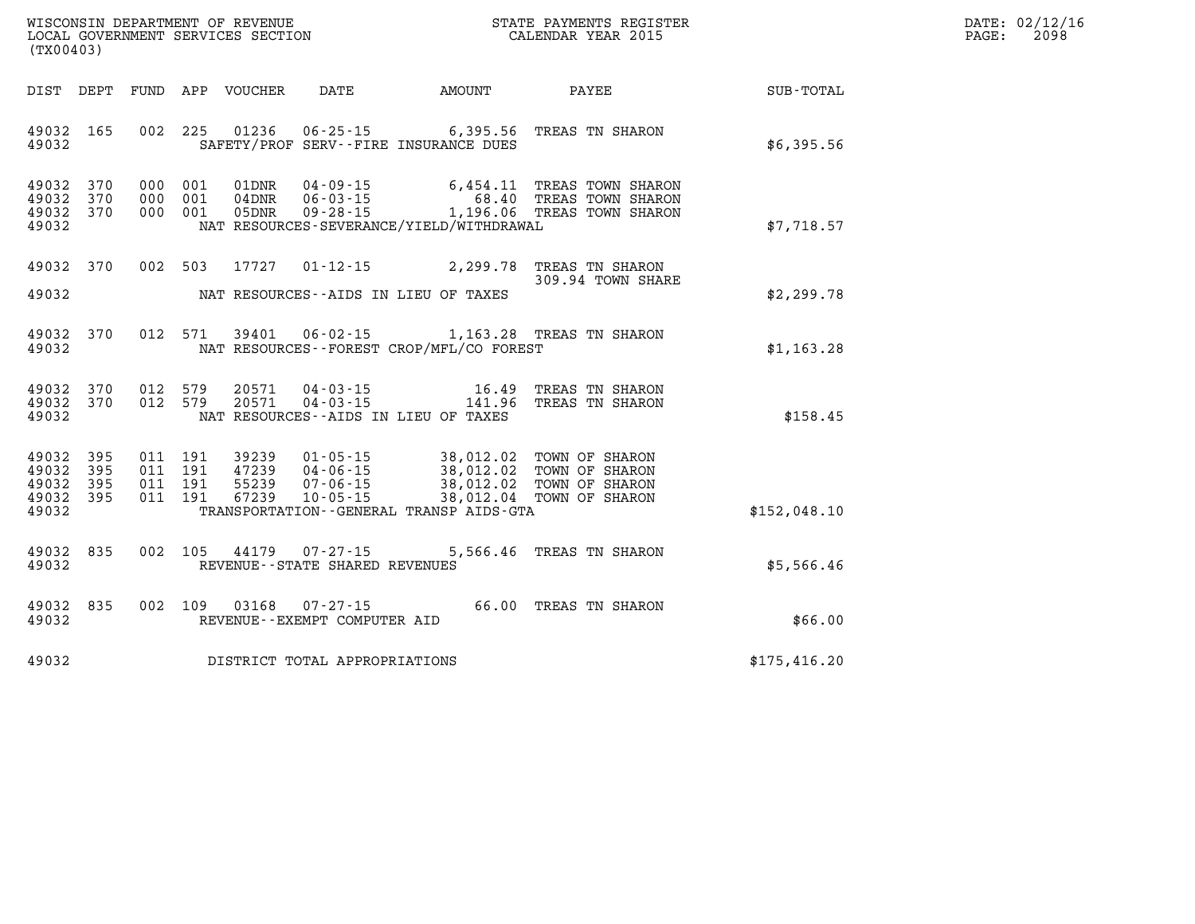| $\mathtt{DATE}$ : | 02/12/16 |
|-------------------|----------|
| $\mathtt{PAGE}$ : | 2098     |

| WISCONSIN DEPARTMENT OF REVENUE<br>(TX00403)                                                      | LOCAL GOVERNMENT SERVICES SECTION                                                                                                                                               | STATE PAYMENTS REGISTER<br>CALENDAR YEAR 2015                                                                            |                  |  |  |
|---------------------------------------------------------------------------------------------------|---------------------------------------------------------------------------------------------------------------------------------------------------------------------------------|--------------------------------------------------------------------------------------------------------------------------|------------------|--|--|
| DIST<br>DEPT<br>FUND                                                                              | APP<br>VOUCHER<br>DATE                                                                                                                                                          | <b>AMOUNT</b><br>PAYEE                                                                                                   | <b>SUB-TOTAL</b> |  |  |
| 165<br>002<br>49032<br>49032                                                                      | 225<br>01236<br>$06 - 25 - 15$<br>SAFETY/PROF SERV--FIRE INSURANCE DUES                                                                                                         | 6,395.56<br>TREAS TN SHARON                                                                                              | \$6,395.56       |  |  |
| 370<br>49032<br>000<br>370<br>49032<br>000<br>49032<br>370<br>000<br>49032                        | 001<br>01DNR<br>$04 - 09 - 15$<br>001<br>$04$ DNR<br>$06 - 03 - 15$<br>$09 - 28 - 15$<br>001<br>05DNR<br>NAT RESOURCES-SEVERANCE/YIELD/WITHDRAWAL                               | 6,454.11<br>TREAS TOWN SHARON<br>68.40<br>TREAS TOWN SHARON<br>1,196.06 TREAS TOWN SHARON                                | \$7,718.57       |  |  |
| 002<br>49032<br>370<br>49032                                                                      | 503<br>17727<br>$01 - 12 - 15$<br>NAT RESOURCES -- AIDS IN LIEU OF TAXES                                                                                                        | 2,299.78<br>TREAS TN SHARON<br>309.94 TOWN SHARE                                                                         | \$2,299.78       |  |  |
| 370<br>012<br>49032<br>49032                                                                      | 571<br>39401<br>$06 - 02 - 15$<br>NAT RESOURCES - - FOREST CROP/MFL/CO FOREST                                                                                                   | 1,163.28<br>TREAS TN SHARON                                                                                              | \$1,163.28       |  |  |
| 49032<br>370<br>012<br>49032<br>370<br>012<br>49032                                               | 579<br>20571<br>$04 - 03 - 15$<br>579<br>20571<br>$04 - 03 - 15$<br>NAT RESOURCES -- AIDS IN LIEU OF TAXES                                                                      | TREAS TN SHARON<br>16.49<br>141.96<br>TREAS TN SHARON                                                                    | \$158.45         |  |  |
| 49032<br>395<br>011<br>49032<br>395<br>011<br>49032<br>395<br>011<br>011<br>49032<br>395<br>49032 | 191<br>39239<br>$01 - 05 - 15$<br>191<br>$04 - 06 - 15$<br>47239<br>191<br>55239<br>$07 - 06 - 15$<br>$10 - 05 - 15$<br>191<br>67239<br>TRANSPORTATION--GENERAL TRANSP AIDS-GTA | 38,012.02<br>TOWN OF SHARON<br>38,012.02<br>TOWN OF SHARON<br>38,012.02<br>TOWN OF SHARON<br>38,012.04<br>TOWN OF SHARON | \$152,048.10     |  |  |
| 002<br>49032<br>835<br>49032                                                                      | 105<br>44179<br>$07 - 27 - 15$<br>REVENUE - - STATE SHARED REVENUES                                                                                                             | 5,566.46<br>TREAS TN SHARON                                                                                              | \$5,566.46       |  |  |
| 835<br>002<br>49032<br>49032                                                                      | 109<br>03168<br>$07 - 27 - 15$<br>REVENUE--EXEMPT COMPUTER AID                                                                                                                  | 66.00<br>TREAS TN SHARON                                                                                                 | \$66.00          |  |  |
| 49032                                                                                             | DISTRICT TOTAL APPROPRIATIONS                                                                                                                                                   |                                                                                                                          | \$175,416.20     |  |  |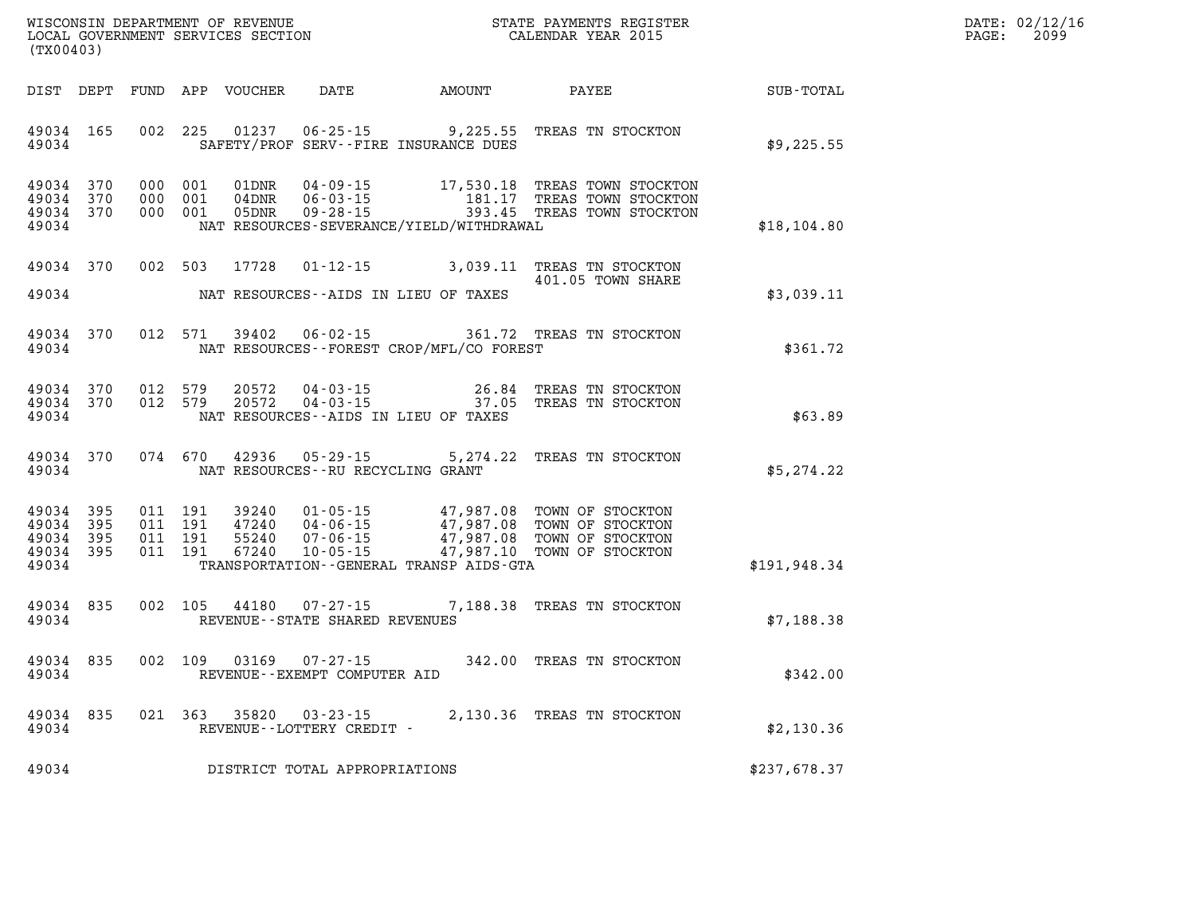| WISCONSIN DEPARTMENT OF REVENUE      | PAYMENTS REGISTER<br>3TATE | DATE: | 02/12/16 |
|--------------------------------------|----------------------------|-------|----------|
| GOVERNMENT SERVICES SECTION<br>LOCAL | CALENDAR YEAR 2015         | PAGE  | 2099     |

| (TX00403)                                             |           |                                          | LOCAL GOVERNMENT SERVICES SECTION |                                   |                                          | CALENDAR YEAR 2015                                                                                                                                                                           |               | PAGE: | 2099 |
|-------------------------------------------------------|-----------|------------------------------------------|-----------------------------------|-----------------------------------|------------------------------------------|----------------------------------------------------------------------------------------------------------------------------------------------------------------------------------------------|---------------|-------|------|
|                                                       |           |                                          |                                   |                                   |                                          | DIST DEPT FUND APP VOUCHER DATE AMOUNT PAYEE SUB-TOTAL                                                                                                                                       |               |       |      |
| 49034 165<br>49034                                    |           |                                          |                                   |                                   | SAFETY/PROF SERV--FIRE INSURANCE DUES    | 002 225 01237 06-25-15 9,225.55 TREAS TN STOCKTON                                                                                                                                            | \$9,225.55    |       |      |
| 49034 370<br>49034 370<br>49034 370<br>49034          |           | 000 001<br>000 001<br>000 001            |                                   |                                   | NAT RESOURCES-SEVERANCE/YIELD/WITHDRAWAL | 01DNR  04-09-15   17,530.18 TREAS TOWN STOCKTON<br>04DNR  06-03-15   181.17 TREAS TOWN STOCKTON<br>05DNR  09-28-15   193.45 TREAS TOWN STOCKTON                                              | \$18, 104.80  |       |      |
| 49034 370                                             |           |                                          |                                   |                                   |                                          | 002 503 17728 01-12-15 3,039.11 TREAS TN STOCKTON<br>401.05 TOWN SHARE                                                                                                                       |               |       |      |
| 49034                                                 |           |                                          |                                   |                                   | NAT RESOURCES--AIDS IN LIEU OF TAXES     |                                                                                                                                                                                              | \$3,039.11    |       |      |
| 49034 370<br>49034                                    |           |                                          | 012 571 39402                     |                                   | NAT RESOURCES--FOREST CROP/MFL/CO FOREST | 06-02-15 361.72 TREAS TN STOCKTON                                                                                                                                                            | \$361.72      |       |      |
| 49034 370<br>49034 370<br>49034                       |           | 012 579<br>012 579                       |                                   |                                   | NAT RESOURCES--AIDS IN LIEU OF TAXES     | $20572$ 04-03-15<br>$20572$ 04-03-15<br>$37.05$ TREAS TN STOCKTON                                                                                                                            | \$63.89       |       |      |
| 49034                                                 | 49034 370 |                                          |                                   |                                   | NAT RESOURCES--RU RECYCLING GRANT        | 074 670 42936 05-29-15 5,274.22 TREAS TN STOCKTON                                                                                                                                            | \$5,274.22    |       |      |
| 49034<br>49034 395<br>49034 395<br>49034 395<br>49034 | 395       | 011 191<br>011 191<br>011 191<br>011 191 |                                   |                                   | TRANSPORTATION--GENERAL TRANSP AIDS-GTA  | 39240  01-05-15  47,987.08  TOWN OF STOCKTON<br>47240  04-06-15  47,987.08  TOWN OF STOCKTON<br>55240  07-06-15  47,987.08  TOWN OF STOCKTON<br>67240  10-05-15  47,987.10  TOWN OF STOCKTON | \$191, 948.34 |       |      |
| 49034<br>49034                                        | 835       |                                          |                                   | REVENUE - - STATE SHARED REVENUES |                                          | 002 105 44180 07-27-15 7,188.38 TREAS TN STOCKTON                                                                                                                                            | \$7,188.38    |       |      |
| 49034 835<br>49034                                    |           |                                          |                                   | REVENUE--EXEMPT COMPUTER AID      |                                          | 002 109 03169 07-27-15 342.00 TREAS TN STOCKTON                                                                                                                                              | \$342.00      |       |      |
| 49034<br>49034                                        | 835       | 021 363                                  |                                   | REVENUE--LOTTERY CREDIT -         |                                          | 35820 03-23-15 2,130.36 TREAS TN STOCKTON                                                                                                                                                    | \$2,130.36    |       |      |
| 49034                                                 |           |                                          |                                   | DISTRICT TOTAL APPROPRIATIONS     |                                          |                                                                                                                                                                                              | \$237,678.37  |       |      |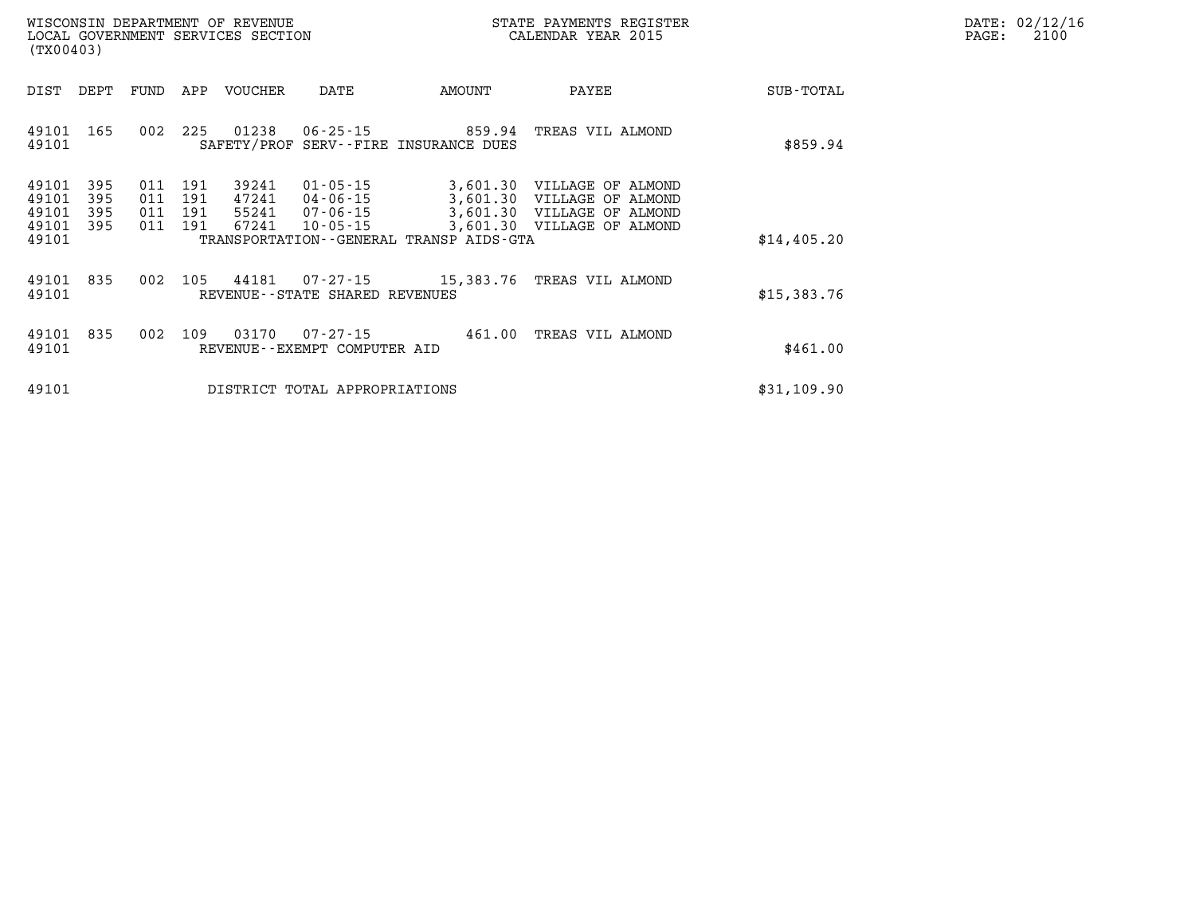| $\mathtt{DATE}$ : | 02/12/16 |
|-------------------|----------|
| $\mathtt{PAGE}$ : | 2100     |

| (TX00403)                                 |                                                      |                          | LOCAL GOVERNMENT SERVICES SECTION |                                                          | CALENDAR YEAR 2015                           |                                                                                                                      | PAGE:       | 2100 |  |
|-------------------------------------------|------------------------------------------------------|--------------------------|-----------------------------------|----------------------------------------------------------|----------------------------------------------|----------------------------------------------------------------------------------------------------------------------|-------------|------|--|
| DIST                                      | DEPT<br>FUND                                         | APP                      | VOUCHER                           | DATE                                                     | AMOUNT                                       | PAYEE                                                                                                                | SUB-TOTAL   |      |  |
| 49101<br>49101                            | 165<br>002                                           | 225                      | 01238                             |                                                          | SAFETY/PROF SERV--FIRE INSURANCE DUES        | 06-25-15 859.94 TREAS VIL ALMOND                                                                                     | \$859.94    |      |  |
| 49101<br>49101<br>49101<br>49101<br>49101 | 395<br>011<br>395<br>011<br>395<br>011<br>395<br>011 | 191<br>191<br>191<br>191 | 39241<br>47241<br>55241<br>67241  | $01 - 05 - 15$<br>04-06-15<br>07-06-15<br>$10 - 05 - 15$ | TRANSPORTATION - - GENERAL TRANSP AIDS - GTA | 3,601.30 VILLAGE OF ALMOND<br>3,601.30 VILLAGE OF ALMOND<br>3,601.30 VILLAGE OF ALMOND<br>3,601.30 VILLAGE OF ALMOND | \$14,405.20 |      |  |
| 49101<br>49101                            | 835<br>002                                           | 105                      | 44181                             | 07-27-15<br>REVENUE - - STATE SHARED REVENUES            |                                              | 15,383.76 TREAS VIL ALMOND                                                                                           | \$15,383.76 |      |  |
| 49101<br>49101                            | 835<br>002                                           | 109                      | 03170                             | 07-27-15<br>REVENUE--EXEMPT COMPUTER AID                 |                                              | 461.00 TREAS VIL ALMOND                                                                                              | \$461.00    |      |  |
| 49101                                     |                                                      |                          |                                   | DISTRICT TOTAL APPROPRIATIONS                            |                                              |                                                                                                                      | \$31,109.90 |      |  |

WISCONSIN DEPARTMENT OF REVENUE **STATE PAYMENTS REGISTER**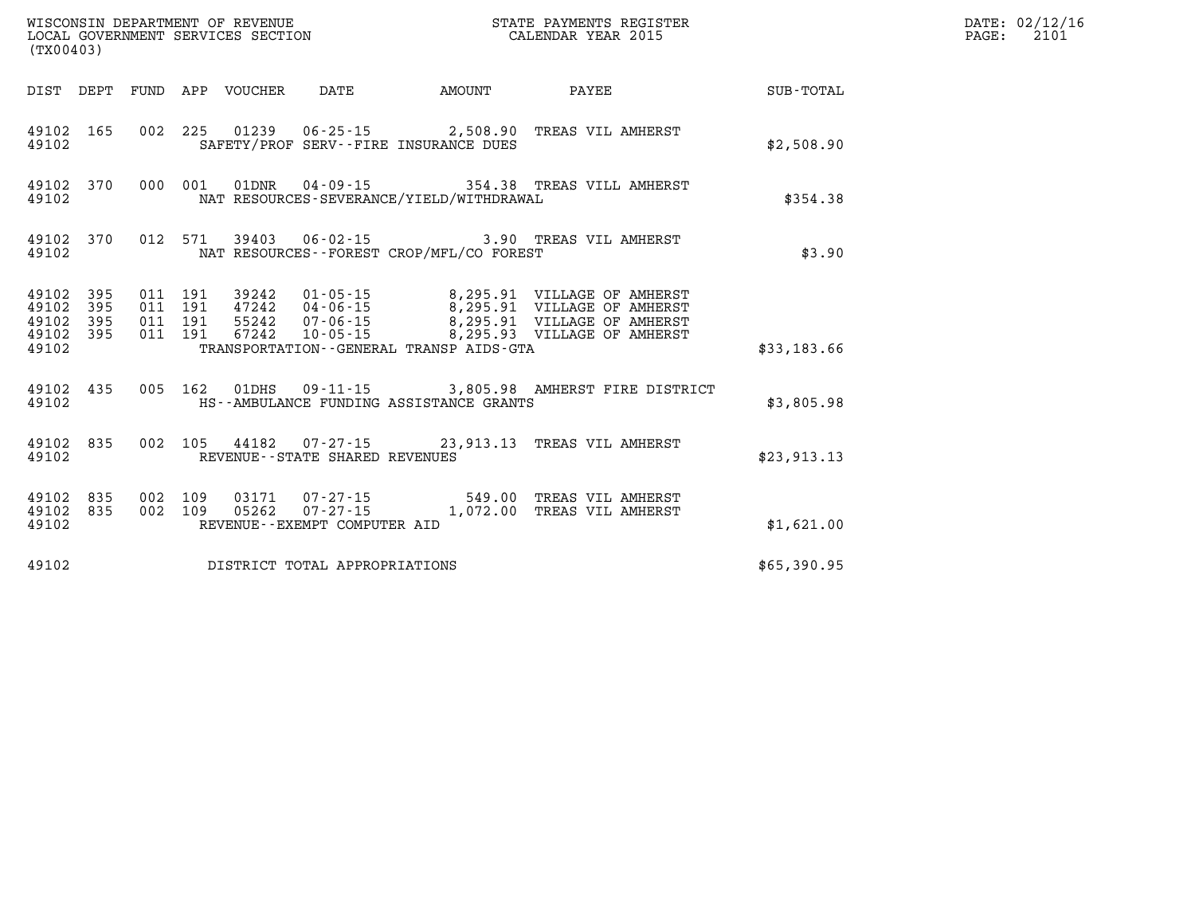| (TX00403) |                        |  | WISCONSIN DEPARTMENT OF REVENUE<br>LOCAL GOVERNMENT SERVICES SECTION | STATE PAYMENTS REGISTER<br>CALENDAR YEAR 2015                                                                                                                                                                                                                                                                                               |             | DATE: 02/12/16<br>PAGE: 2101 |
|-----------|------------------------|--|----------------------------------------------------------------------|---------------------------------------------------------------------------------------------------------------------------------------------------------------------------------------------------------------------------------------------------------------------------------------------------------------------------------------------|-------------|------------------------------|
|           |                        |  | DIST DEPT FUND APP VOUCHER DATE AMOUNT                               | <b>PAYEE</b> PAYEE                                                                                                                                                                                                                                                                                                                          | SUB-TOTAL   |                              |
| 49102     |                        |  | SAFETY/PROF SERV--FIRE INSURANCE DUES                                | 49102 165 002 225 01239 06-25-15 2,508.90 TREAS VIL AMHERST                                                                                                                                                                                                                                                                                 | \$2,508.90  |                              |
| 49102     |                        |  | NAT RESOURCES-SEVERANCE/YIELD/WITHDRAWAL                             | 49102 370 000 001 01DNR 04-09-15 354.38 TREAS VILL AMHERST                                                                                                                                                                                                                                                                                  | \$354.38    |                              |
| 49102     |                        |  | NAT RESOURCES--FOREST CROP/MFL/CO FOREST                             | 49102 370 012 571 39403 06-02-15 3.90 TREAS VIL AMHERST                                                                                                                                                                                                                                                                                     | \$3.90      |                              |
| 49102     |                        |  | TRANSPORTATION--GENERAL TRANSP AIDS-GTA                              | $\begin{array}{cccccccc} 49102 & 395 & 011 & 191 & 39242 & 01\cdot 05\cdot 15 & & 8\,295.91 & \text{VILLAGE OF AMHERST} \\ 49102 & 395 & 011 & 191 & 47242 & 04\cdot 06\cdot 15 & & 8\,295.91 & \text{VILLAGE OF AMHERST} \\ 49102 & 395 & 011 & 191 & 55242 & 07\cdot 06\cdot 15 & & 8\,295.91 & \text{VILLAGE OF AMHERST} \\ 49102 & 395$ | \$33,183.66 |                              |
| 49102     |                        |  | HS--AMBULANCE FUNDING ASSISTANCE GRANTS                              | 49102 435 005 162 01DHS 09-11-15 3,805.98 AMHERST FIRE DISTRICT                                                                                                                                                                                                                                                                             | \$3,805.98  |                              |
| 49102     |                        |  | REVENUE--STATE SHARED REVENUES                                       | 49102 835 002 105 44182 07-27-15 23,913.13 TREAS VIL AMHERST                                                                                                                                                                                                                                                                                | \$23,913.13 |                              |
| 49102     | 49102 835<br>49102 835 |  | REVENUE--EXEMPT COMPUTER AID                                         | 002 109 03171 07-27-15 549.00 TREAS VIL AMHERST<br>002 109 05262 07-27-15 1,072.00 TREAS VIL AMHERST                                                                                                                                                                                                                                        | \$1,621.00  |                              |
| 49102     |                        |  | DISTRICT TOTAL APPROPRIATIONS                                        |                                                                                                                                                                                                                                                                                                                                             | \$65,390.95 |                              |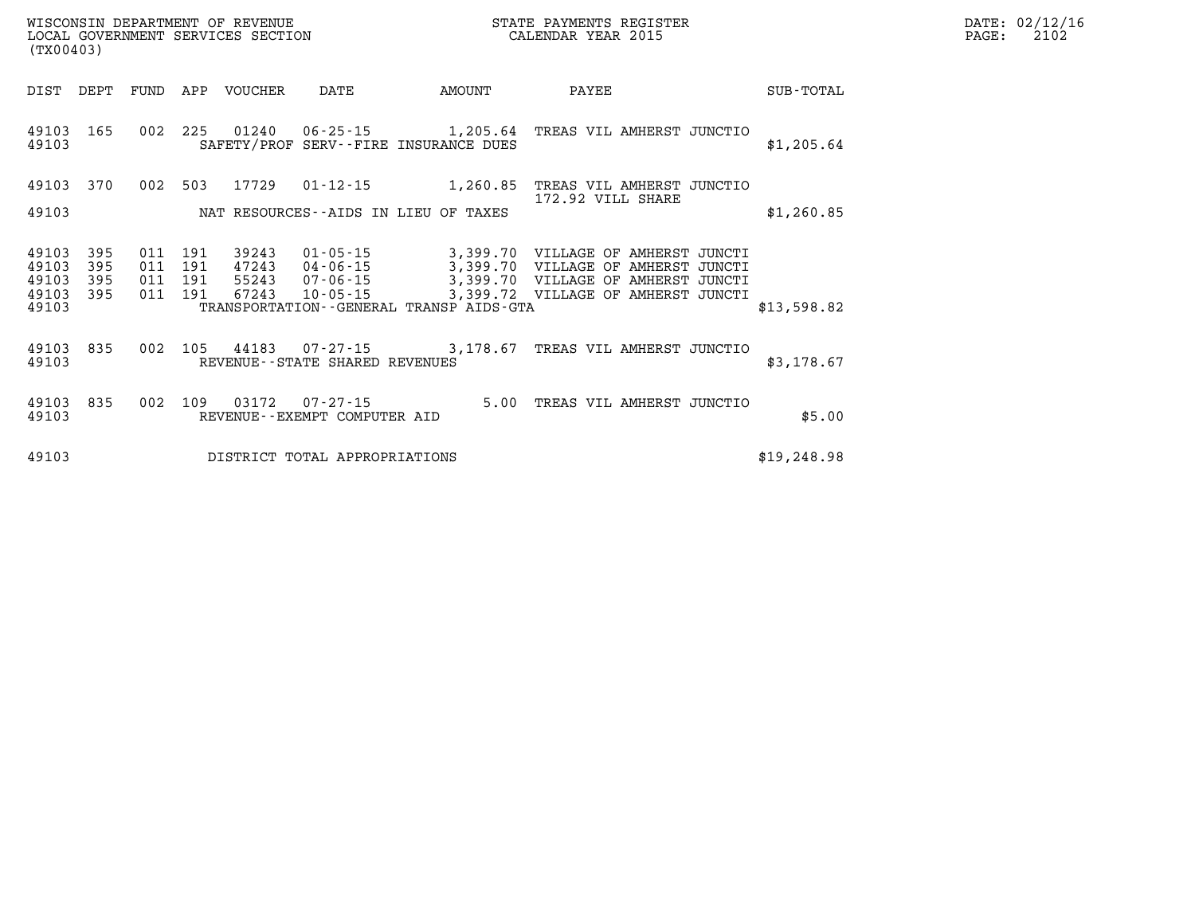| DATE: | 02/12/16 |
|-------|----------|
| PAGE: | 2102     |

| (TX00403)          |            |            |                    | LOCAL GOVERNMENT SERVICES SECTION |                                                |                                              | CALENDAR YEAR 2015                                               |             | PAGE: | 2102 |
|--------------------|------------|------------|--------------------|-----------------------------------|------------------------------------------------|----------------------------------------------|------------------------------------------------------------------|-------------|-------|------|
| DIST               | DEPT       |            |                    | FUND APP VOUCHER                  | DATE                                           | AMOUNT                                       | PAYEE                                                            | SUB-TOTAL   |       |      |
| 49103 165<br>49103 |            |            |                    |                                   |                                                | SAFETY/PROF SERV--FIRE INSURANCE DUES        | 002 225 01240 06-25-15 1,205.64 TREAS VIL AMHERST JUNCTIO        | \$1,205.64  |       |      |
| 49103              | 370        |            | 002 503            | 17729                             |                                                |                                              | 01-12-15 1,260.85 TREAS VIL AMHERST JUNCTIO<br>172.92 VILL SHARE |             |       |      |
| 49103              |            |            |                    |                                   |                                                | NAT RESOURCES--AIDS IN LIEU OF TAXES         |                                                                  | \$1,260.85  |       |      |
| 49103<br>49103     | 395<br>395 | 011<br>011 | 191<br>191         | 39243<br>47243                    |                                                |                                              | 01-05-15 3,399.70 VILLAGE OF AMHERST JUNCTI                      |             |       |      |
| 49103<br>49103     | 395<br>395 |            | 011 191<br>011 191 | 55243<br>67243                    | 10-05-15                                       |                                              | 3,399.72 VILLAGE OF AMHERST JUNCTI                               |             |       |      |
| 49103              |            |            |                    |                                   |                                                | TRANSPORTATION - - GENERAL TRANSP AIDS - GTA |                                                                  | \$13,598.82 |       |      |
| 49103<br>49103     | 835        |            |                    |                                   | REVENUE--STATE SHARED REVENUES                 |                                              | 002 105 44183 07-27-15 3,178.67 TREAS VIL AMHERST JUNCTIO        | \$3,178.67  |       |      |
| 49103 835<br>49103 |            | 002        | 109                | 03172                             | $07 - 27 - 15$<br>REVENUE--EXEMPT COMPUTER AID |                                              | 5.00 TREAS VIL AMHERST JUNCTIO                                   | \$5.00      |       |      |
| 49103              |            |            |                    |                                   | DISTRICT TOTAL APPROPRIATIONS                  |                                              |                                                                  | \$19,248.98 |       |      |

WISCONSIN DEPARTMENT OF REVENUE **STATE PAYMENTS REGISTER**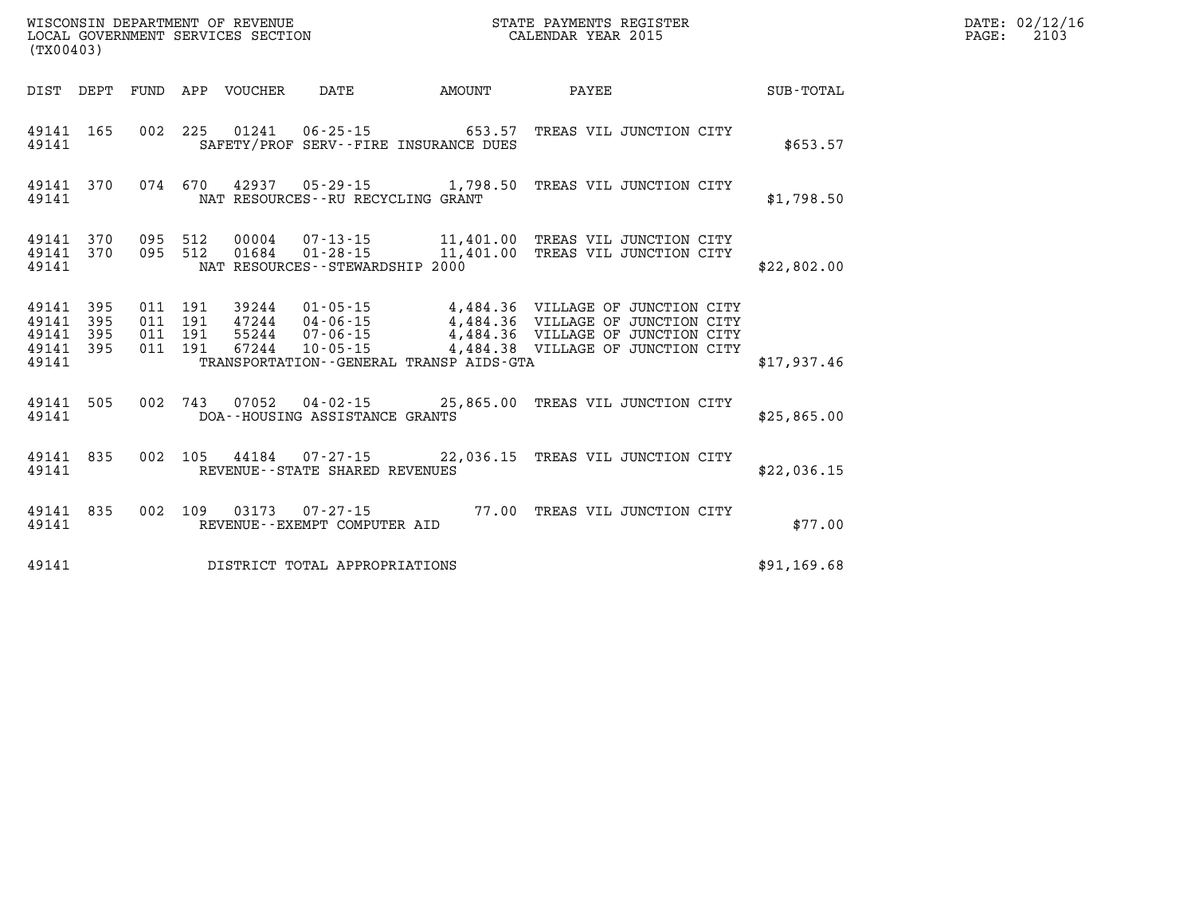| WISCONSIN DEPARTMENT OF REVENUE   | ' PAYMENTS REGISTER<br>STATE | 02/12/16<br>DATE: |  |
|-----------------------------------|------------------------------|-------------------|--|
| LOCAL GOVERNMENT SERVICES SECTION | CALENDAR YEAR 2015           | 210<br>PAGE:      |  |

| (TX00403)                                 |                          |                          |                          |                |                                                                                                                                   |        |                                                                                                                                                  |                  |
|-------------------------------------------|--------------------------|--------------------------|--------------------------|----------------|-----------------------------------------------------------------------------------------------------------------------------------|--------|--------------------------------------------------------------------------------------------------------------------------------------------------|------------------|
| DIST                                      | DEPT                     | FUND                     | APP                      | <b>VOUCHER</b> | DATE                                                                                                                              | AMOUNT | <b>PAYEE</b> PAYEE                                                                                                                               | <b>SUB-TOTAL</b> |
| 49141<br>49141                            | 165                      | 002                      | 225                      | 01241          | $06 - 25 - 15$ 653.57<br>SAFETY/PROF SERV--FIRE INSURANCE DUES                                                                    |        | TREAS VIL JUNCTION CITY                                                                                                                          | \$653.57         |
| 49141<br>49141                            | 370                      | 074                      | 670                      |                | 42937 05-29-15 1,798.50<br>NAT RESOURCES - - RU RECYCLING GRANT                                                                   |        | TREAS VIL JUNCTION CITY                                                                                                                          | \$1,798.50       |
| 49141<br>49141<br>49141                   | 370<br>370               | 095<br>095               | 512<br>512               | 01684          | $01 - 28 - 15$ 11,401.00<br>NAT RESOURCES - - STEWARDSHIP 2000                                                                    |        | 00004  07-13-15  11,401.00 TREAS VIL JUNCTION CITY<br>TREAS VIL JUNCTION CITY                                                                    | \$22,802.00      |
| 49141<br>49141<br>49141<br>49141<br>49141 | 395<br>395<br>395<br>395 | 011<br>011<br>011<br>011 | 191<br>191<br>191<br>191 | 55244<br>67244 | $39244 \t\t 01 - 05 - 15$ $17244 \t\t 04 - 06 - 15$ $-224 - 06 - 15$<br>$10 - 05 - 15$<br>TRANSPORTATION--GENERAL TRANSP AIDS-GTA |        | 4,484.36 VILLAGE OF JUNCTION CITY<br>4,484.36 VILLAGE OF JUNCTION CITY<br>4,484.36 VILLAGE OF JUNCTION CITY<br>4,484.38 VILLAGE OF JUNCTION CITY | \$17,937.46      |
| 49141<br>49141                            | 505                      | 002                      | 743                      |                | $07052$ $04-02-15$ 25,865.00<br>DOA--HOUSING ASSISTANCE GRANTS                                                                    |        | TREAS VIL JUNCTION CITY                                                                                                                          | \$25,865.00      |
| 49141<br>49141                            | 835                      | 002                      | 105                      |                | 44184 07-27-15 22,036.15<br>REVENUE - - STATE SHARED REVENUES                                                                     |        | TREAS VIL JUNCTION CITY                                                                                                                          | \$22,036.15      |
| 49141<br>49141                            | 835                      | 002                      | 109                      | 03173          | $07 - 27 - 15$<br>REVENUE--EXEMPT COMPUTER AID                                                                                    | 77.00  | TREAS VIL JUNCTION CITY                                                                                                                          | \$77.00          |
| 49141                                     |                          |                          |                          |                | DISTRICT TOTAL APPROPRIATIONS                                                                                                     |        |                                                                                                                                                  | \$91,169.68      |

WISCONSIN DEPARTMENT OF REVENUE **STATE PAYMENTS REGISTER**<br>LOCAL GOVERNMENT SERVICES SECTION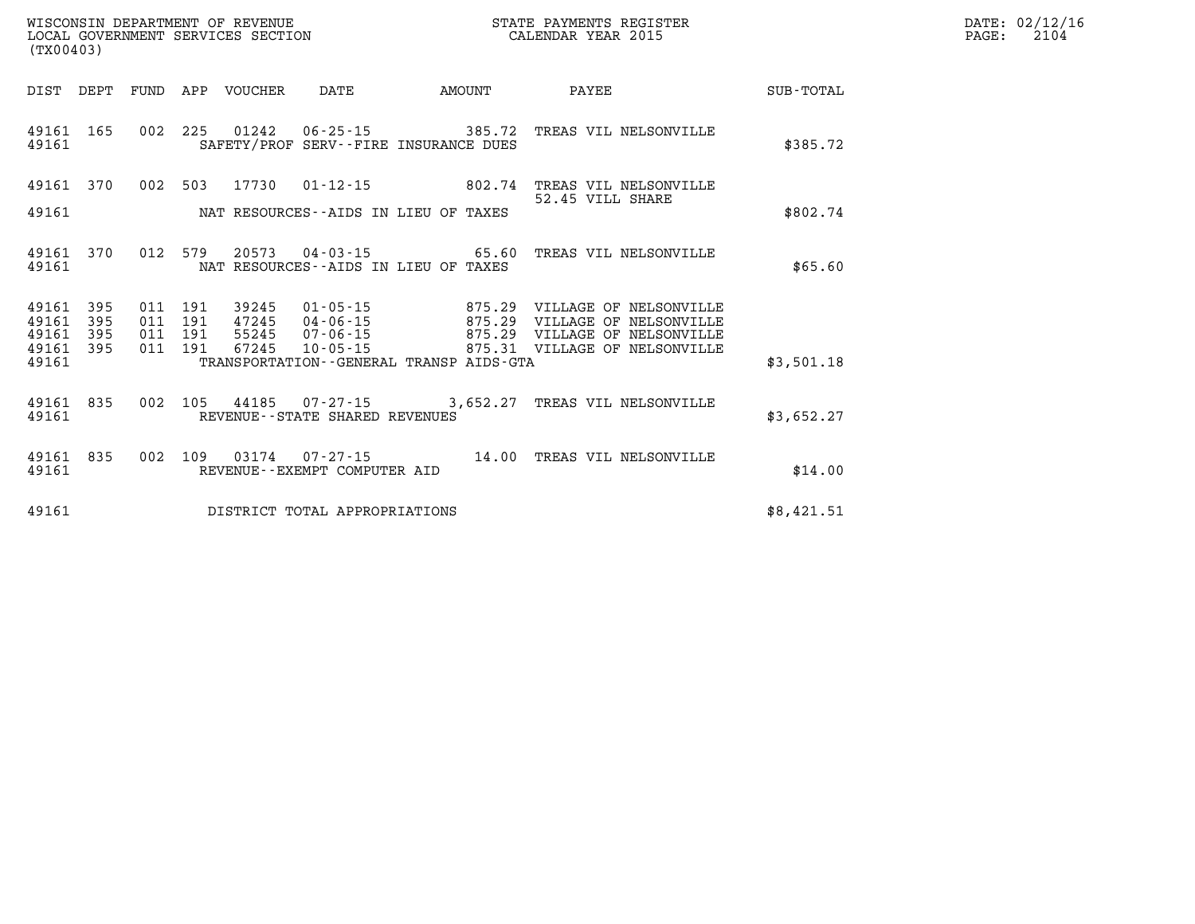| (TX00403)               |                   |                               |         | LOCAL GOVERNMENT SERVICES SECTION |                                                                         |        | CALENDAR YEAR 2015                                                         |            | PAGE: | 2104 |
|-------------------------|-------------------|-------------------------------|---------|-----------------------------------|-------------------------------------------------------------------------|--------|----------------------------------------------------------------------------|------------|-------|------|
|                         |                   |                               |         | DIST DEPT FUND APP VOUCHER        | DATE                                                                    | AMOUNT | PAYEE SUB-TOTAL                                                            |            |       |      |
| 49161                   |                   |                               |         |                                   | SAFETY/PROF SERV--FIRE INSURANCE DUES                                   |        | 49161 165 002 225 01242 06-25-15 385.72 TREAS VIL NELSONVILLE              | \$385.72   |       |      |
|                         | 49161 370         |                               |         |                                   |                                                                         |        | 002 503 17730 01-12-15 602.74 TREAS VIL NELSONVILLE<br>52.45 VILL SHARE    |            |       |      |
| 49161                   |                   |                               |         |                                   | NAT RESOURCES--AIDS IN LIEU OF TAXES                                    |        |                                                                            | \$802.74   |       |      |
| 49161                   | 49161 370         |                               | 012 579 |                                   | NAT RESOURCES--AIDS IN LIEU OF TAXES                                    |        | 20573  04-03-15  65.60  TREAS VIL NELSONVILLE                              | \$65.60    |       |      |
| 49161<br>49161<br>49161 | 395<br>395<br>395 | 011 191<br>011 191<br>011 191 |         | 39245                             | $01 - 05 - 15$ 875.29<br>47245 04-06-15 875.29<br>55245 07-06-15 875.29 |        | VILLAGE OF NELSONVILLE<br>VILLAGE OF NELSONVILLE<br>VILLAGE OF NELSONVILLE |            |       |      |
| 49161 395<br>49161      |                   | 011 191                       |         | 67245                             | $10 - 05 - 15$<br>TRANSPORTATION--GENERAL TRANSP AIDS-GTA               |        | 875.31 VILLAGE OF NELSONVILLE                                              | \$3,501.18 |       |      |
| 49161                   |                   |                               |         |                                   | REVENUE--STATE SHARED REVENUES                                          |        | 49161 835 002 105 44185 07-27-15 3,652.27 TREAS VIL NELSONVILLE            | \$3,652.27 |       |      |
| 49161                   | 49161 835         |                               | 002 109 | 03174                             | REVENUE--EXEMPT COMPUTER AID                                            |        | 07-27-15 14.00 TREAS VIL NELSONVILLE                                       | \$14.00    |       |      |
| 49161                   |                   |                               |         |                                   | DISTRICT TOTAL APPROPRIATIONS                                           |        |                                                                            | \$8,421.51 |       |      |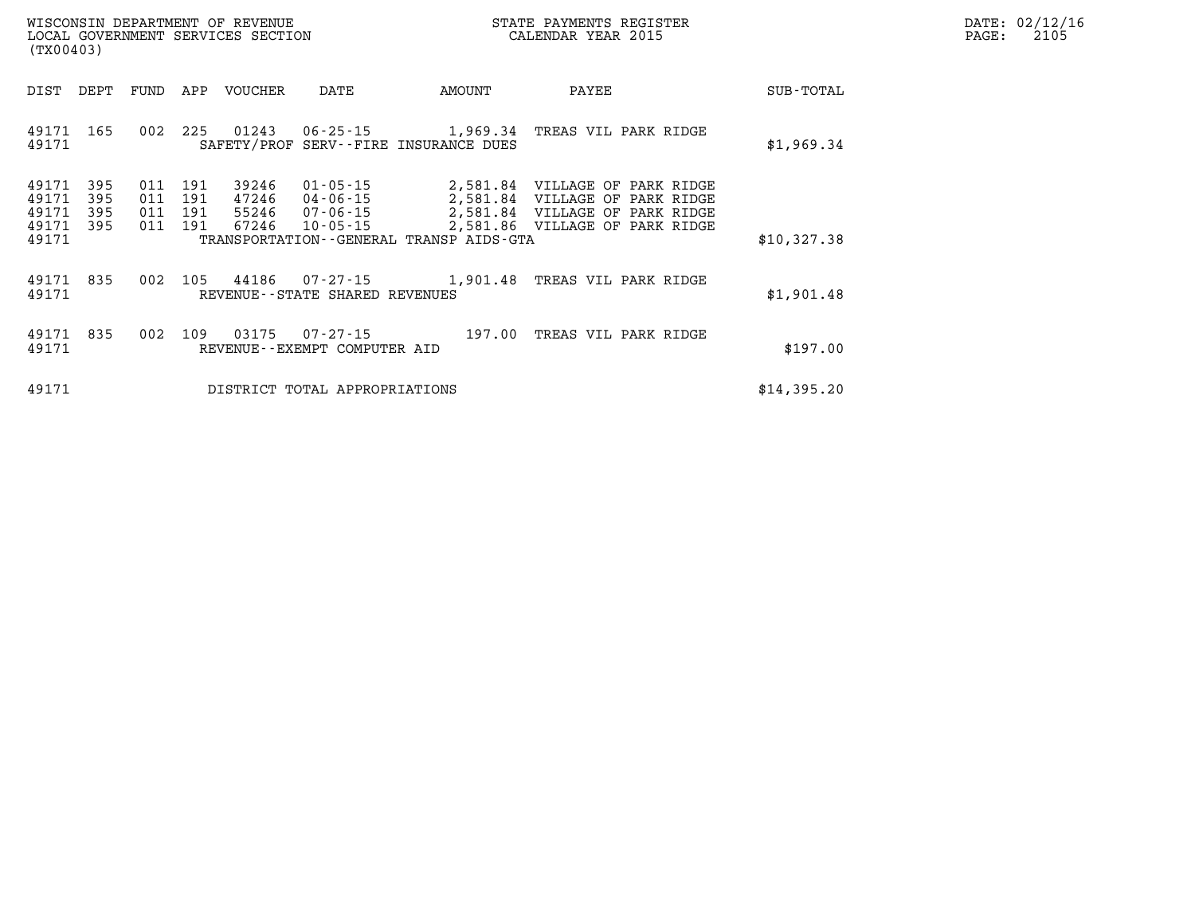| $\mathtt{DATE}$ : | 02/12/16 |
|-------------------|----------|
| PAGE:             | 2105     |

| WISCONSIN DEPARTMENT OF REVENUE<br>LOCAL GOVERNMENT SERVICES SECTION<br>(TX00403) |                   |                          |                          |                                  |                                          |                                              | STATE PAYMENTS REGISTER<br>CALENDAR YEAR 2015                                                                                                                   |             | DATE: 02/12/1<br>2105<br>PAGE: |
|-----------------------------------------------------------------------------------|-------------------|--------------------------|--------------------------|----------------------------------|------------------------------------------|----------------------------------------------|-----------------------------------------------------------------------------------------------------------------------------------------------------------------|-------------|--------------------------------|
| DIST                                                                              | DEPT              | FUND                     | APP                      | VOUCHER                          | DATE                                     | AMOUNT                                       | PAYEE                                                                                                                                                           | SUB-TOTAL   |                                |
| 49171<br>49171                                                                    | 165               | 002                      | 225                      |                                  |                                          | SAFETY/PROF SERV--FIRE INSURANCE DUES        | 01243   06-25-15   1,969.34   TREAS VIL PARK RIDGE                                                                                                              | \$1,969.34  |                                |
| 49171<br>49171<br>49171<br>49171 395<br>49171                                     | 395<br>395<br>395 | 011<br>011<br>011<br>011 | 191<br>191<br>191<br>191 | 39246<br>47246<br>55246<br>67246 | $10 - 05 - 15$                           | TRANSPORTATION - - GENERAL TRANSP AIDS - GTA | 01-05-15 2,581.84 VILLAGE OF PARK RIDGE<br>04-06-15 2,581.84 VILLAGE OF PARK RIDGE<br>07-06-15 2,581.84 VILLAGE OF PARK RIDGE<br>2,581.86 VILLAGE OF PARK RIDGE | \$10,327.38 |                                |
| 49171 835<br>49171                                                                |                   | 002                      |                          |                                  | REVENUE--STATE SHARED REVENUES           |                                              | 105 44186 07-27-15 1,901.48 TREAS VIL PARK RIDGE                                                                                                                | \$1,901.48  |                                |
| 49171 835<br>49171                                                                |                   | 002                      | 109                      | 03175                            | 07-27-15<br>REVENUE--EXEMPT COMPUTER AID |                                              | 197.00 TREAS VIL PARK RIDGE                                                                                                                                     | \$197.00    |                                |
| 49171                                                                             |                   |                          |                          |                                  | DISTRICT TOTAL APPROPRIATIONS            |                                              |                                                                                                                                                                 | \$14,395.20 |                                |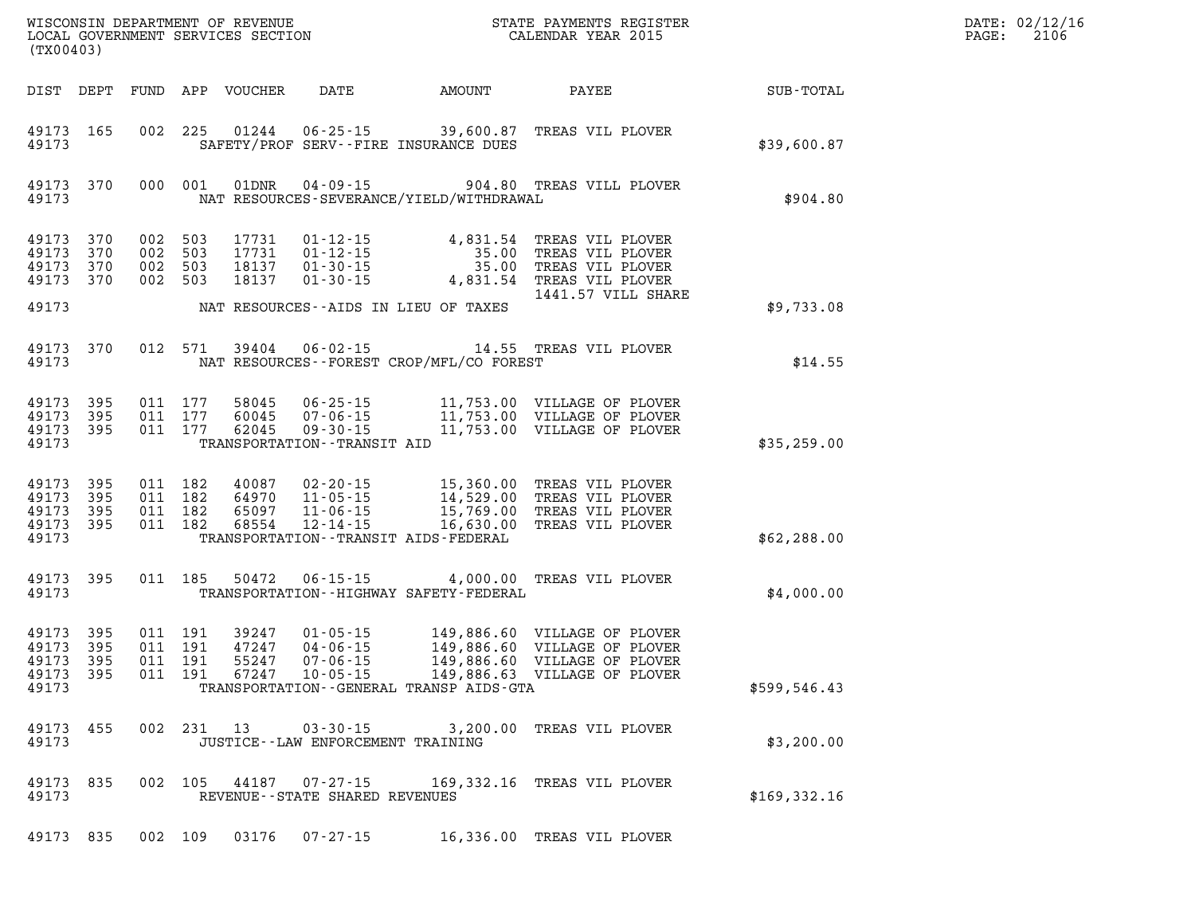| DATE: | 02/12/16 |
|-------|----------|
| PAGE: | 2106     |

| (TX00403)                                     |                          |                                          | LOCAL GOVERNMENT SERVICES SECTION |                                | CALENDAR YEAR 2015                           |                                                                                                                                                                  |                 | PAGE: | 2106 |
|-----------------------------------------------|--------------------------|------------------------------------------|-----------------------------------|--------------------------------|----------------------------------------------|------------------------------------------------------------------------------------------------------------------------------------------------------------------|-----------------|-------|------|
|                                               | DIST DEPT                |                                          | FUND APP VOUCHER                  |                                | DATE AMOUNT                                  |                                                                                                                                                                  | PAYEE SUB-TOTAL |       |      |
| 49173 165<br>49173                            |                          | 002 225                                  |                                   |                                | SAFETY/PROF SERV--FIRE INSURANCE DUES        | 01244  06-25-15  39,600.87  TREAS VIL PLOVER                                                                                                                     | \$39,600.87     |       |      |
| 49173                                         | 49173 370                | 000 001                                  | 01DNR                             | $04 - 09 - 15$                 | NAT RESOURCES-SEVERANCE/YIELD/WITHDRAWAL     | 904.80 TREAS VILL PLOVER                                                                                                                                         | \$904.80        |       |      |
| 49173<br>49173<br>49173<br>49173<br>49173     | 370<br>370<br>370<br>370 | 002 503<br>002 503<br>002 503<br>002 503 | 17731<br>17731<br>18137<br>18137  | $01 - 30 - 15$                 |                                              | 01-12-15 4,831.54 TREAS VIL PLOVER<br>01-12-15 35.00 TREAS VIL PLOVER<br>01-30-15 35.00 TREAS VIL PLOVER<br>4,831.54 TREAS VIL PLOVER<br>1441.57 VILL SHARE      |                 |       |      |
|                                               |                          |                                          |                                   |                                | NAT RESOURCES--AIDS IN LIEU OF TAXES         |                                                                                                                                                                  | \$9,733.08      |       |      |
| 49173<br>49173                                | 370                      | 012 571                                  | 39404                             | $06 - 02 - 15$                 | NAT RESOURCES--FOREST CROP/MFL/CO FOREST     | 14.55 TREAS VIL PLOVER                                                                                                                                           | \$14.55         |       |      |
| 49173<br>49173 395<br>49173 395<br>49173      | 395                      | 011 177<br>011 177<br>011 177            |                                   | TRANSPORTATION - - TRANSIT AID |                                              |                                                                                                                                                                  | \$35,259.00     |       |      |
| 49173<br>49173<br>49173<br>49173 395<br>49173 | 395<br>395<br>395        | 011 182<br>011 182<br>011 182<br>011 182 | 40087<br>64970<br>65097<br>68554  | $12 - 14 - 15$                 | TRANSPORTATION - - TRANSIT AIDS - FEDERAL    | 02-20-15 15,360.00 TREAS VIL PLOVER<br>11-05-15 14,529.00 TREAS VIL PLOVER<br>11-06-15 15,769.00 TREAS VIL PLOVER<br>16,630.00 TREAS VIL PLOVER                  | \$62, 288.00    |       |      |
| 49173<br>49173                                | 395                      | 011 185                                  |                                   | 50472 06-15-15                 | TRANSPORTATION - - HIGHWAY SAFETY - FEDERAL  | 4,000.00 TREAS VIL PLOVER                                                                                                                                        | \$4,000.00      |       |      |
| 49173<br>49173<br>49173<br>49173<br>49173     | 395<br>395<br>395<br>395 | 011 191<br>011 191<br>011 191<br>011 191 | 39247<br>47247<br>55247<br>67247  |                                | TRANSPORTATION - - GENERAL TRANSP AIDS - GTA | 01-05-15 149,886.60 VILLAGE OF PLOVER<br>04-06-15 149,886.60 VILLAGE OF PLOVER<br>07-06-15 149,886.60 VILLAGE OF PLOVER<br>10-05-15 149,886.63 VILLAGE OF PLOVER | \$599,546.43    |       |      |
| 49173                                         | 49173 455                |                                          |                                   |                                | JUSTICE - - LAW ENFORCEMENT TRAINING         | 002 231 13 03-30-15 3,200.00 TREAS VIL PLOVER                                                                                                                    | \$3,200.00      |       |      |
| 49173                                         | 49173 835                | 002 105                                  |                                   | REVENUE--STATE SHARED REVENUES |                                              | 44187 07-27-15 169,332.16 TREAS VIL PLOVER                                                                                                                       | \$169,332.16    |       |      |
|                                               | 49173 835                | 002 109                                  | 03176                             | 07-27-15                       |                                              | 16,336.00 TREAS VIL PLOVER                                                                                                                                       |                 |       |      |

WISCONSIN DEPARTMENT OF REVENUE **STATE PAYMENTS REGISTER**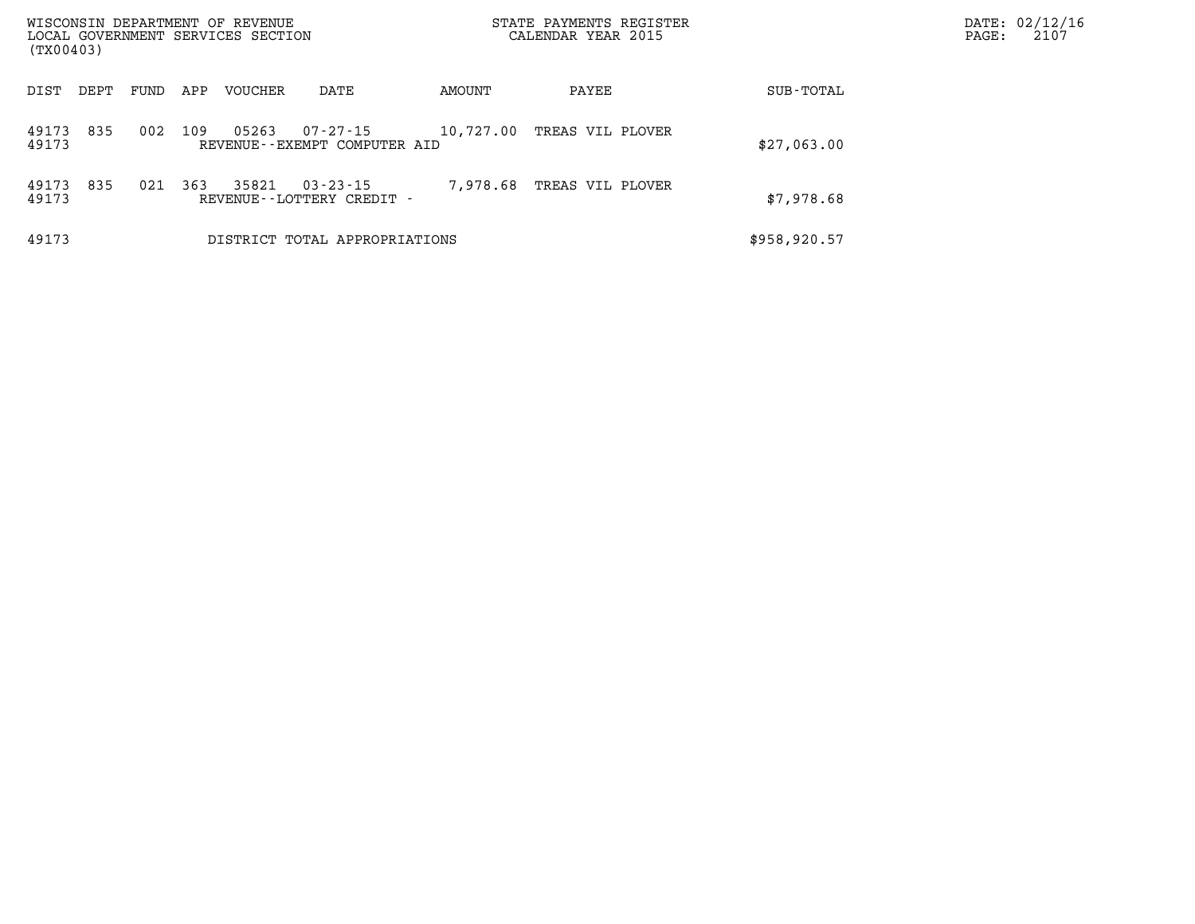| WISCONSIN DEPARTMENT OF REVENUE<br>LOCAL GOVERNMENT SERVICES SECTION<br>(TX00403) |      |      |     |                |                                                | STATE PAYMENTS REGISTER<br>CALENDAR YEAR 2015 |                  |              | PAGE: | DATE: 02/12/16<br>2107 |
|-----------------------------------------------------------------------------------|------|------|-----|----------------|------------------------------------------------|-----------------------------------------------|------------------|--------------|-------|------------------------|
| DIST                                                                              | DEPT | FUND | APP | <b>VOUCHER</b> | DATE                                           | AMOUNT                                        | PAYEE            | SUB-TOTAL    |       |                        |
| 49173<br>49173                                                                    | 835  | 002  | 109 | 05263          | $07 - 27 - 15$<br>REVENUE--EXEMPT COMPUTER AID | 10,727.00                                     | TREAS VIL PLOVER | \$27,063.00  |       |                        |
| 49173<br>49173                                                                    | 835  | 021  | 363 | 35821          | $03 - 23 - 15$<br>REVENUE - - LOTTERY CREDIT - | 7,978.68                                      | TREAS VIL PLOVER | \$7,978.68   |       |                        |
| 49173                                                                             |      |      |     |                | DISTRICT TOTAL APPROPRIATIONS                  |                                               |                  | \$958,920.57 |       |                        |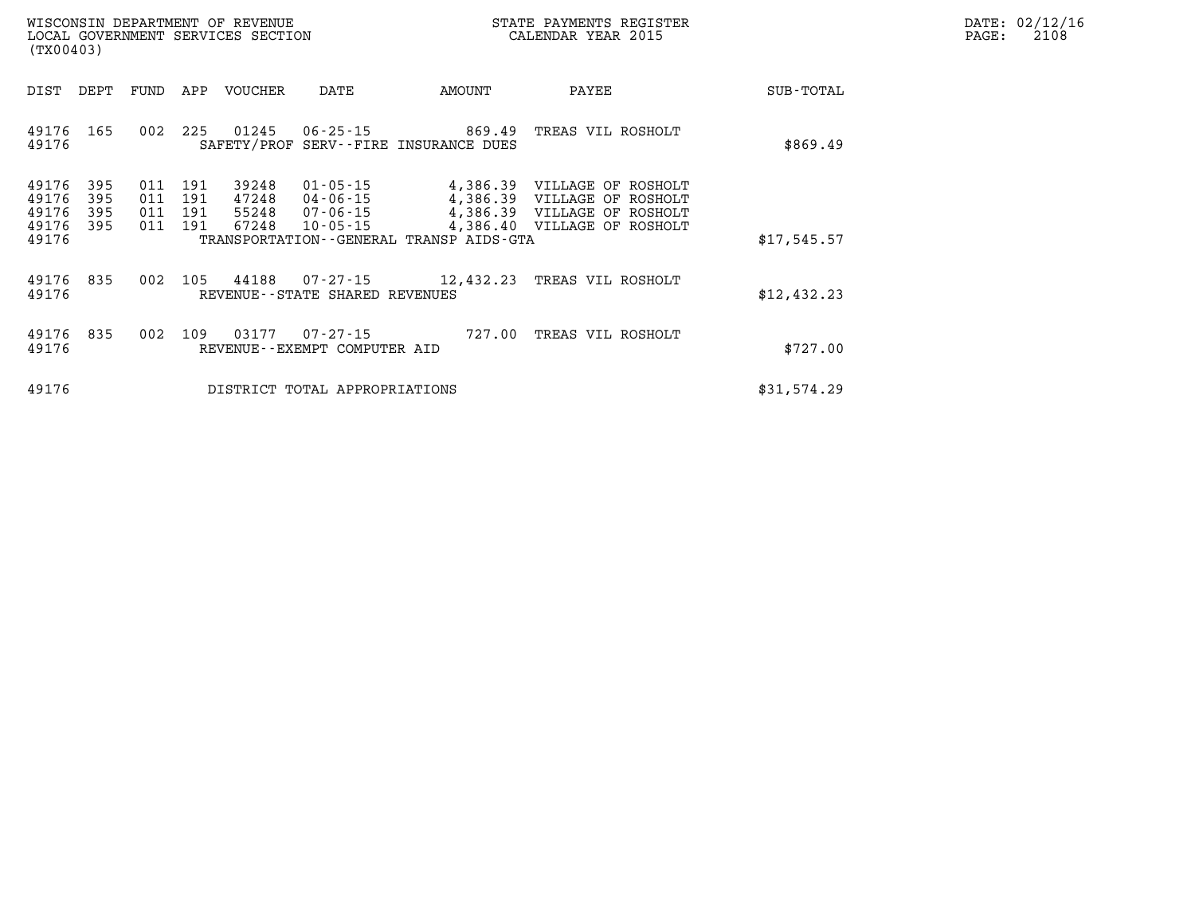| $\mathtt{DATE}$ : | 02/12/16 |
|-------------------|----------|
| PAGE:             | 2108     |

| WISCONSIN DEPARTMENT OF REVENUE<br>LOCAL GOVERNMENT SERVICES SECTION<br>(TX00403) |                          |                          |                          |                                  |                                                          |                                              | STATE PAYMENTS REGISTER<br>CALENDAR YEAR 2015                                                                            |             | DATE: 02/12/1<br>PAGE:<br>2108 |
|-----------------------------------------------------------------------------------|--------------------------|--------------------------|--------------------------|----------------------------------|----------------------------------------------------------|----------------------------------------------|--------------------------------------------------------------------------------------------------------------------------|-------------|--------------------------------|
| DIST                                                                              | DEPT                     | FUND                     | APP                      | VOUCHER                          | DATE                                                     | AMOUNT                                       | PAYEE                                                                                                                    | SUB-TOTAL   |                                |
| 49176<br>49176                                                                    | 165                      | 002                      | 225                      | 01245                            | 06-25-15                                                 | SAFETY/PROF SERV--FIRE INSURANCE DUES        | 869.49 TREAS VIL ROSHOLT                                                                                                 | \$869.49    |                                |
| 49176<br>49176<br>49176<br>49176<br>49176                                         | 395<br>395<br>395<br>395 | 011<br>011<br>011<br>011 | 191<br>191<br>191<br>191 | 39248<br>47248<br>55248<br>67248 | $01 - 05 - 15$<br>04-06-15<br>07-06-15<br>$10 - 05 - 15$ | TRANSPORTATION - - GENERAL TRANSP AIDS - GTA | 4,386.39 VILLAGE OF ROSHOLT<br>4,386.39 VILLAGE OF ROSHOLT<br>4,386.39 VILLAGE OF ROSHOLT<br>4,386.40 VILLAGE OF ROSHOLT | \$17,545.57 |                                |
| 49176<br>49176                                                                    | 835                      |                          | 002 105                  | 44188                            | REVENUE - - STATE SHARED REVENUES                        |                                              | 07-27-15 12,432.23 TREAS VIL ROSHOLT                                                                                     | \$12,432.23 |                                |
| 49176<br>49176                                                                    | 835                      | 002                      | 109                      | 03177                            | 07-27-15<br>REVENUE - - EXEMPT COMPUTER AID              |                                              | 727.00 TREAS VIL ROSHOLT                                                                                                 | \$727.00    |                                |
| 49176                                                                             |                          |                          |                          |                                  | DISTRICT TOTAL APPROPRIATIONS                            |                                              |                                                                                                                          | \$31,574.29 |                                |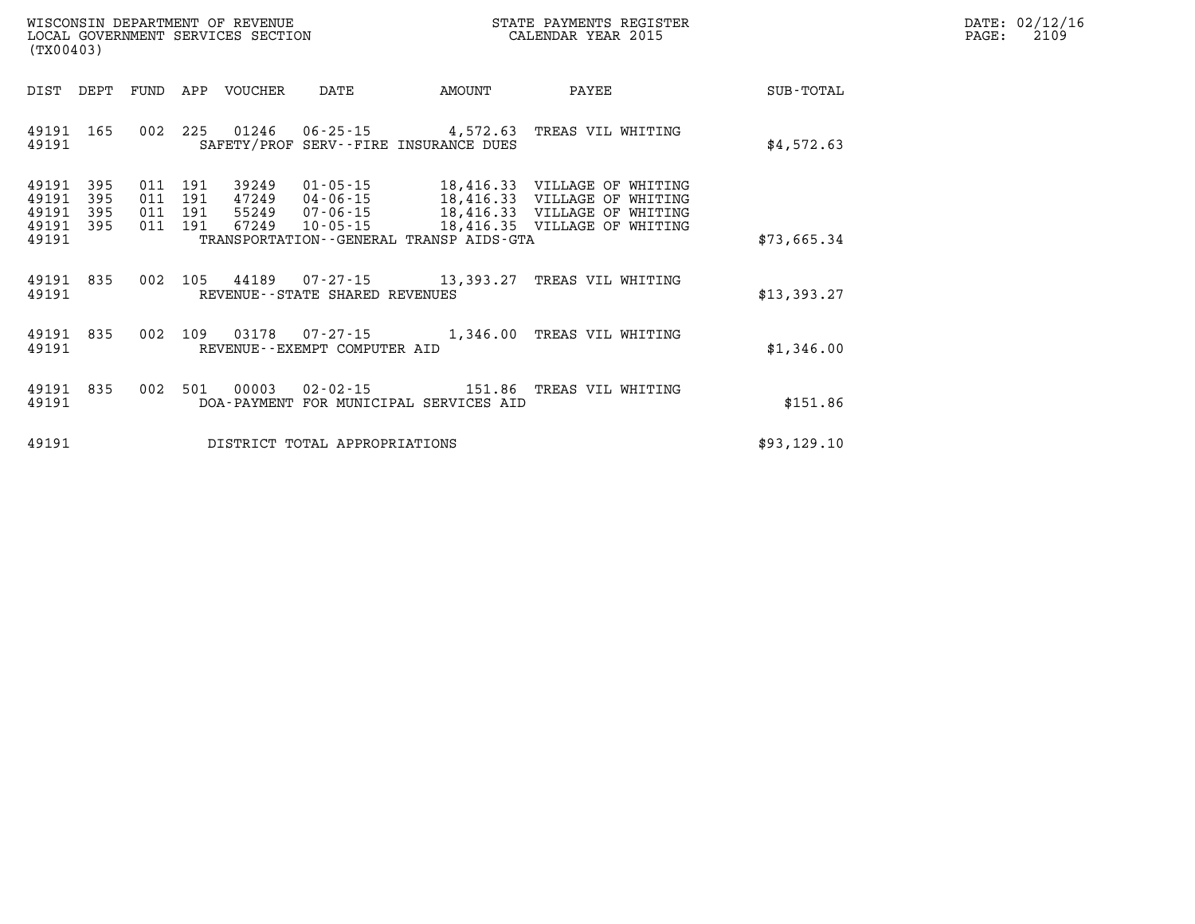| WISCONSIN DEPARTMENT OF REVENUE      | PAYMENTS REGISTER<br>3TATE | DATE: | 02/12/16 |
|--------------------------------------|----------------------------|-------|----------|
| GOVERNMENT SERVICES SECTION<br>LOCAL | CALENDAR YEAR 2015         | PAGE  | 2109     |

| LOCAL GOVERNMENT SERVICES SECTION<br>(TX00403) |                   |         |                    |                         |                                        |                                                                                              | CALENDAR YEAR 2015 |             | PAGE: | 2109 |
|------------------------------------------------|-------------------|---------|--------------------|-------------------------|----------------------------------------|----------------------------------------------------------------------------------------------|--------------------|-------------|-------|------|
| DIST                                           | DEPT              |         |                    | FUND APP VOUCHER        | DATE                                   | AMOUNT                                                                                       | PAYEE              | SUB-TOTAL   |       |      |
| 49191<br>49191                                 | 165               |         |                    |                         |                                        | 002 225 01246 06-25-15 4,572.63 TREAS VIL WHITING<br>SAFETY/PROF SERV--FIRE INSURANCE DUES   |                    | \$4,572.63  |       |      |
| 49191<br>49191<br>49191                        | 395<br>395<br>395 | 011 191 | 011 191<br>011 191 | 39249<br>47249<br>55249 | $01 - 05 - 15$<br>04-06-15<br>07-06-15 | 18,416.33 VILLAGE OF WHITING<br>18,416.33 VILLAGE OF WHITING<br>18,416.33 VILLAGE OF WHITING |                    |             |       |      |
| 49191 395<br>49191                             |                   |         | 011 191            |                         | 67249 10-05-15                         | 18,416.35 VILLAGE OF WHITING<br>TRANSPORTATION - - GENERAL TRANSP AIDS - GTA                 |                    | \$73,665.34 |       |      |
| 49191<br>49191                                 | 835               |         |                    |                         | REVENUE--STATE SHARED REVENUES         | 002 105 44189 07-27-15 13,393.27 TREAS VIL WHITING                                           |                    | \$13,393.27 |       |      |
| 49191<br>49191                                 | 835               |         |                    |                         | REVENUE--EXEMPT COMPUTER AID           | 002 109 03178 07-27-15 1,346.00 TREAS VIL WHITING                                            |                    | \$1,346.00  |       |      |
| 49191<br>49191                                 | 835               | 002     | 501                | 00003                   | 02-02-15                               | 151.86 TREAS VIL WHITING<br>DOA-PAYMENT FOR MUNICIPAL SERVICES AID                           |                    | \$151.86    |       |      |
| 49191                                          |                   |         |                    |                         | DISTRICT TOTAL APPROPRIATIONS          |                                                                                              |                    | \$93,129.10 |       |      |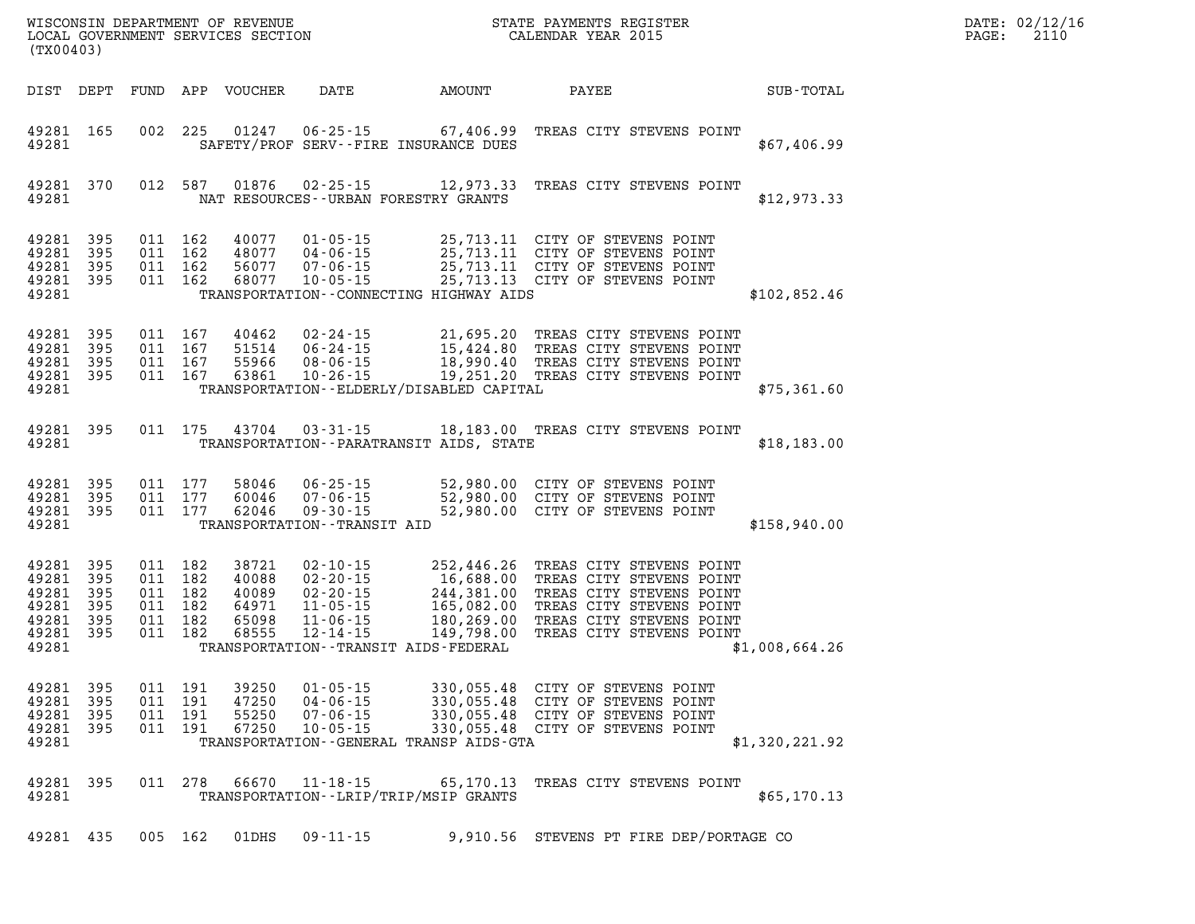| STATE PAYMENTS REGISTER<br>CALENDAR YEAR 2015<br>WISCONSIN DEPARTMENT OF REVENUE<br>LOCAL GOVERNMENT SERVICES SECTION<br>(TX00403) |                                 |                       |                                                     |                                                    |                                                                                              |                                                                                                                                      |                                                                                                                                                                      |                | DATE: 02/12/16<br>PAGE:<br>2110 |
|------------------------------------------------------------------------------------------------------------------------------------|---------------------------------|-----------------------|-----------------------------------------------------|----------------------------------------------------|----------------------------------------------------------------------------------------------|--------------------------------------------------------------------------------------------------------------------------------------|----------------------------------------------------------------------------------------------------------------------------------------------------------------------|----------------|---------------------------------|
| DIST DEPT                                                                                                                          |                                 | FUND                  |                                                     | APP VOUCHER                                        | DATE                                                                                         | AMOUNT                                                                                                                               | PAYEE                                                                                                                                                                | SUB-TOTAL      |                                 |
| 49281 165<br>49281                                                                                                                 |                                 | 002                   | 225                                                 | 01247                                              | $06 - 25 - 15$                                                                               | 67,406.99<br>SAFETY/PROF SERV--FIRE INSURANCE DUES                                                                                   | TREAS CITY STEVENS POINT                                                                                                                                             | \$67,406.99    |                                 |
| 49281                                                                                                                              | 49281 370                       |                       | 012 587                                             | 01876                                              | $02 - 25 - 15$                                                                               | 12,973.33<br>NAT RESOURCES--URBAN FORESTRY GRANTS                                                                                    | TREAS CITY STEVENS POINT                                                                                                                                             | \$12,973.33    |                                 |
| 49281<br>49281<br>49281<br>49281 395<br>49281                                                                                      | 395<br>395<br>395               |                       | 011 162<br>011 162<br>011 162<br>011 162            | 40077<br>48077<br>56077<br>68077                   | $01 - 05 - 15$<br>$04 - 06 - 15$<br>$07 - 06 - 15$<br>$10 - 05 - 15$                         | TRANSPORTATION - CONNECTING HIGHWAY AIDS                                                                                             | 25,713.11 CITY OF STEVENS POINT<br>25,713.11 CITY OF STEVENS POINT<br>25,713.11 CITY OF STEVENS POINT<br>25,713.13 CITY OF STEVENS POINT                             | \$102,852.46   |                                 |
| 49281<br>49281<br>49281<br>49281 395<br>49281                                                                                      | 395<br>395<br>395               |                       | 011 167<br>011 167<br>011 167<br>011 167            | 40462<br>51514<br>55966<br>63861                   | $02 - 24 - 15$<br>06-24-15<br>$08 - 06 - 15$<br>$10 - 26 - 15$                               | TRANSPORTATION - - ELDERLY/DISABLED CAPITAL                                                                                          | 21,695.20 TREAS CITY STEVENS POINT<br>15,424.80 TREAS CITY STEVENS POINT<br>18,990.40 TKEAS CITY STEVENS POINT<br>19,251.20 TREAS CITY STEVENS POINT                 | \$75,361.60    |                                 |
| 49281 395<br>49281                                                                                                                 |                                 |                       | 011 175                                             | 43704                                              | $03 - 31 - 15$                                                                               | TRANSPORTATION - - PARATRANSIT AIDS, STATE                                                                                           | 18,183.00 TREAS CITY STEVENS POINT                                                                                                                                   | \$18,183.00    |                                 |
| 49281 395<br>49281<br>49281 395<br>49281                                                                                           | 395                             | 011 177<br>011 177    | 011 177                                             | 58046<br>60046<br>62046                            | 06-25-15<br>$07 - 06 - 15$<br>$09 - 30 - 15$<br>TRANSPORTATION - - TRANSIT AID               | 52,980.00                                                                                                                            | 52,980.00 CITY OF STEVENS POINT<br>CITY OF STEVENS POINT<br>52,980.00 CITY OF STEVENS POINT                                                                          | \$158,940.00   |                                 |
| 49281<br>49281<br>49281<br>49281<br>49281<br>49281 395<br>49281                                                                    | 395<br>395<br>395<br>395<br>395 | 011 182               | 011 182<br>011 182<br>011 182<br>011 182<br>011 182 | 38721<br>40088<br>40089<br>64971<br>65098<br>68555 | 02-10-15<br>$02 - 20 - 15$<br>$02 - 20 - 15$<br>$11 - 05 - 15$<br>$11 - 06 - 15$<br>12-14-15 | 252,446.26<br>$16,688.00$<br>$244,381.00$<br>$165,082.00$<br>$180,269.00$<br>149,798.00<br>TRANSPORTATION - - TRANSIT AIDS - FEDERAL | TREAS CITY STEVENS POINT<br>TREAS CITY STEVENS POINT<br>TREAS CITY STEVENS POINT<br>TREAS CITY STEVENS POINT<br>TREAS CITY STEVENS POINT<br>TREAS CITY STEVENS POINT | \$1,008,664.26 |                                 |
| 49281 395<br>49281 395<br>49281<br>49281<br>49281                                                                                  | 395<br>- 395                    | 011<br>011<br>011 191 | 011 191<br>191<br>191                               | 39250<br>47250<br>55250<br>67250                   | $01 - 05 - 15$<br>$04 - 06 - 15$<br>$07 - 06 - 15$<br>$10 - 05 - 15$                         | 330,055.48<br>TRANSPORTATION--GENERAL TRANSP AIDS-GTA                                                                                | CITY OF STEVENS POINT<br>330,055.48 CITY OF STEVENS POINT<br>330,055.48 CITY OF STEVENS POINT<br>330,055.48 CITY OF STEVENS POINT                                    | \$1,320,221.92 |                                 |
| 49281 395<br>49281                                                                                                                 |                                 |                       | 011 278                                             | 66670                                              | $11 - 18 - 15$                                                                               | 65,170.13<br>TRANSPORTATION - - LRIP/TRIP/MSIP GRANTS                                                                                | TREAS CITY STEVENS POINT                                                                                                                                             | \$65,170.13    |                                 |
| 49281 435                                                                                                                          |                                 |                       | 005 162                                             | 01DHS                                              | $09 - 11 - 15$                                                                               |                                                                                                                                      | 9,910.56 STEVENS PT FIRE DEP/PORTAGE CO                                                                                                                              |                |                                 |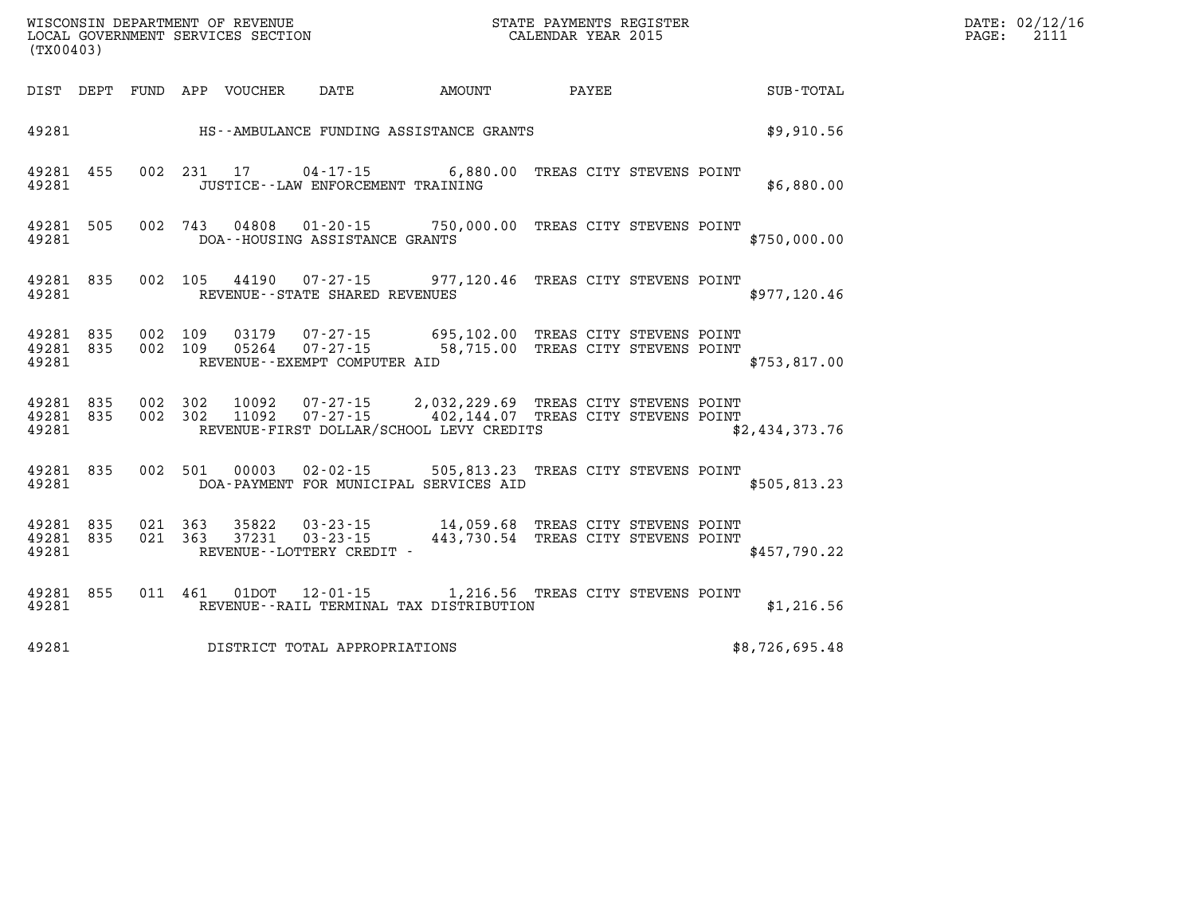| DIST                        | DEPT       | FUND APP   |            | VOUCHER        | DATE                                                             | <b>AMOUNT</b>                                                                                                             | PAYEE                    | SUB-TOTAL      |
|-----------------------------|------------|------------|------------|----------------|------------------------------------------------------------------|---------------------------------------------------------------------------------------------------------------------------|--------------------------|----------------|
| 49281                       |            |            |            |                |                                                                  | HS--AMBULANCE FUNDING ASSISTANCE GRANTS                                                                                   |                          | \$9,910.56     |
| 49281<br>49281              | 455        | 002        | 231        | 17             | JUSTICE - - LAW ENFORCEMENT TRAINING                             | $04 - 17 - 15$ 6,880.00                                                                                                   | TREAS CITY STEVENS POINT | \$6,880.00     |
| 49281<br>49281              | 505        | 002        | 743        |                | DOA--HOUSING ASSISTANCE GRANTS                                   | 04808  01-20-15  750,000.00                                                                                               | TREAS CITY STEVENS POINT | \$750,000.00   |
| 49281<br>49281              | 835        | 002        | 105        | 44190          | REVENUE - - STATE SHARED REVENUES                                | 07-27-15 977,120.46 TREAS CITY STEVENS POINT                                                                              |                          | \$977,120.46   |
| 49281<br>49281 835<br>49281 | 835        | 002<br>002 | 109<br>109 | 03179          | REVENUE--EXEMPT COMPUTER AID                                     | 07-27-15 695,102.00 TREAS CITY STEVENS POINT<br>05264 07-27-15 58,715.00                                                  | TREAS CITY STEVENS POINT | \$753,817.00   |
| 49281<br>49281<br>49281     | 835<br>835 | 002<br>002 | 302<br>302 | 11092          |                                                                  | 10092  07-27-15  2,032,229.69<br>07-27-15 402,144.07 TREAS CITY STEVENS POINT<br>REVENUE-FIRST DOLLAR/SCHOOL LEVY CREDITS | TREAS CITY STEVENS POINT | \$2,434,373.76 |
| 49281<br>49281              | 835        | 002        | 501        | 00003          |                                                                  | 02-02-15 505,813.23<br>DOA-PAYMENT FOR MUNICIPAL SERVICES AID                                                             | TREAS CITY STEVENS POINT | \$505, 813.23  |
| 49281<br>49281<br>49281     | 835<br>835 | 021<br>021 | 363<br>363 | 35822<br>37231 | $03 - 23 - 15$<br>$03 - 23 - 15$<br>REVENUE - - LOTTERY CREDIT - | 14,059.68 TREAS CITY STEVENS POINT<br>443,730.54                                                                          | TREAS CITY STEVENS POINT | \$457,790.22   |
| 49281<br>49281              | 855        | 011        | 461        | 01DOT          |                                                                  | 12-01-15 1,216.56 TREAS CITY STEVENS POINT<br>REVENUE - - RAIL TERMINAL TAX DISTRIBUTION                                  |                          | \$1,216.56     |
| 49281                       |            |            |            |                | DISTRICT TOTAL APPROPRIATIONS                                    |                                                                                                                           |                          | \$8,726,695.48 |

LOCAL GOVERNMENT SERVICES SECTION

**(TX00403)**